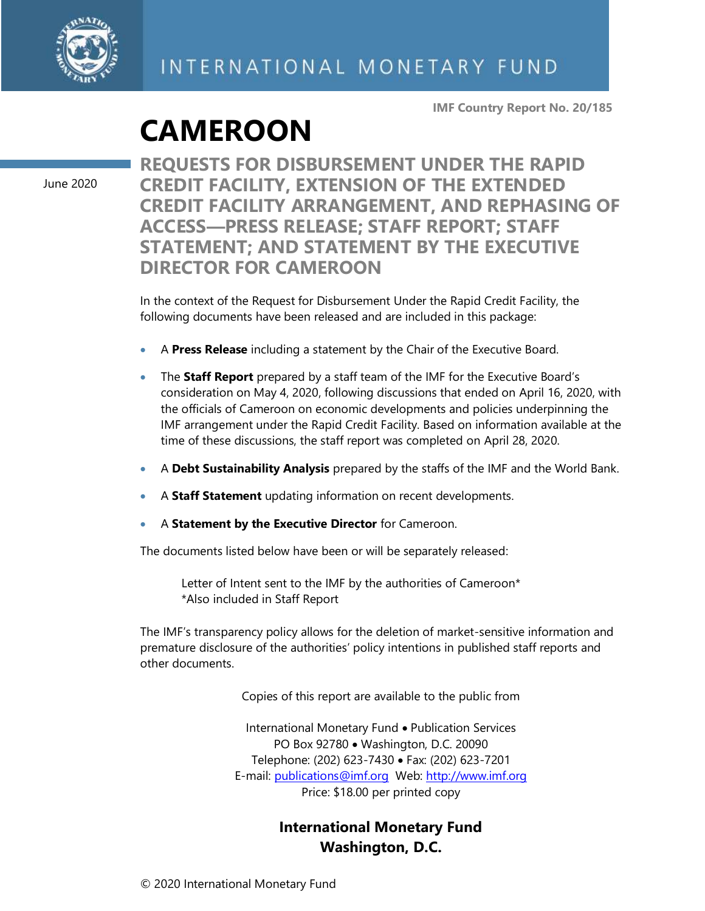

**IMF Country Report No. 20/185**

## **CAMEROON**

June 2020

**REQUESTS FOR DISBURSEMENT UNDER THE RAPID CREDIT FACILITY, EXTENSION OF THE EXTENDED CREDIT FACILITY ARRANGEMENT, AND REPHASING OF ACCESS—PRESS RELEASE; STAFF REPORT; STAFF STATEMENT; AND STATEMENT BY THE EXECUTIVE DIRECTOR FOR CAMEROON**

In the context of the Request for Disbursement Under the Rapid Credit Facility, the following documents have been released and are included in this package:

- A **Press Release** including a statement by the Chair of the Executive Board.
- The **Staff Report** prepared by a staff team of the IMF for the Executive Board's consideration on May 4, 2020, following discussions that ended on April 16, 2020, with the officials of Cameroon on economic developments and policies underpinning the IMF arrangement under the Rapid Credit Facility. Based on information available at the time of these discussions, the staff report was completed on April 28, 2020.
- A **Debt Sustainability Analysis** prepared by the staffs of the IMF and the World Bank.
- A **Staff Statement** updating information on recent developments.
- A **Statement by the Executive Director** for Cameroon.

The documents listed below have been or will be separately released:

Letter of Intent sent to the IMF by the authorities of Cameroon\* \*Also included in Staff Report

The IMF's transparency policy allows for the deletion of market-sensitive information and premature disclosure of the authorities' policy intentions in published staff reports and other documents.

Copies of this report are available to the public from

International Monetary Fund • Publication Services PO Box 92780 • Washington, D.C. 20090 Telephone: (202) 623-7430 • Fax: (202) 623-7201 E-mail: [publications@imf.org](mailto:publications@imf.org) Web: [http://www.imf.org](http://www.imf.org/) Price: \$18.00 per printed copy

### **International Monetary Fund Washington, D.C.**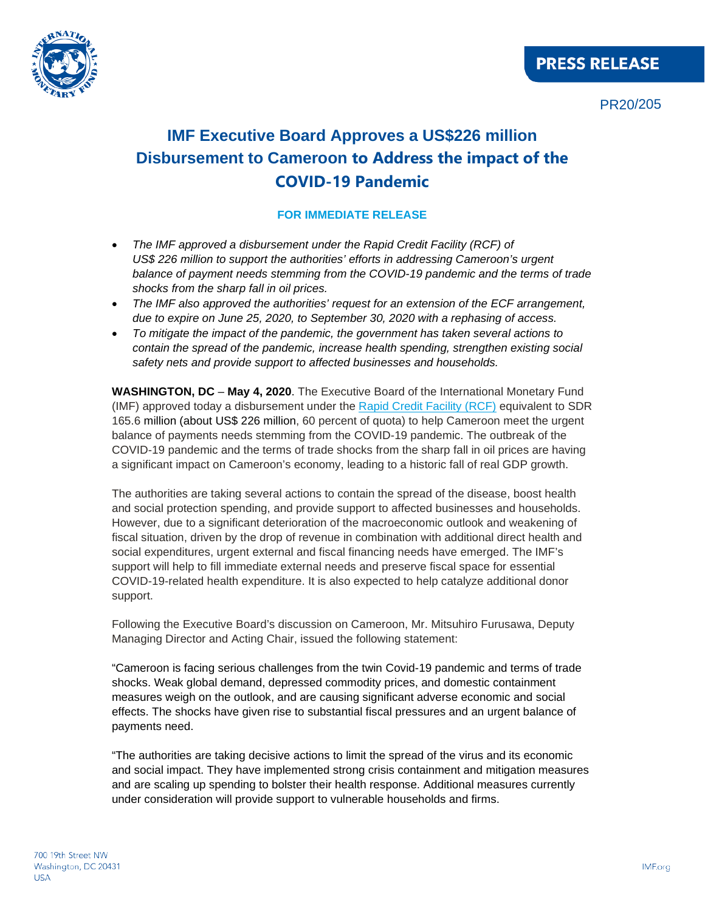



PR20/205

### **IMF Executive Board Approves a US\$226 million Disbursement to Cameroon to Address the impact of the COVID-19 Pandemic**

#### **FOR IMMEDIATE RELEASE**

- *The IMF approved a disbursement under the Rapid Credit Facility (RCF) of US\$ 226 million to support the authorities' efforts in addressing Cameroon's urgent balance of payment needs stemming from the COVID-19 pandemic and the terms of trade shocks from the sharp fall in oil prices.*
- *The IMF also approved the authorities' request for an extension of the ECF arrangement, due to expire on June 25, 2020, to September 30, 2020 with a rephasing of access.*
- *To mitigate the impact of the pandemic, the government has taken several actions to contain the spread of the pandemic, increase health spending, strengthen existing social safety nets and provide support to affected businesses and households.*

**WASHINGTON, DC** – **May 4, 2020**. The Executive Board of the International Monetary Fund (IMF) approved today a disbursement under the [Rapid Credit Facility \(RCF\)](https://www.imf.org/en/About/Factsheets/Sheets/2016/08/02/21/08/Rapid-Credit-Facility) equivalent to SDR 165.6 million (about US\$ 226 million, 60 percent of quota) to help Cameroon meet the urgent balance of payments needs stemming from the COVID-19 pandemic. The outbreak of the COVID-19 pandemic and the terms of trade shocks from the sharp fall in oil prices are having a significant impact on Cameroon's economy, leading to a historic fall of real GDP growth.

The authorities are taking several actions to contain the spread of the disease, boost health and social protection spending, and provide support to affected businesses and households. However, due to a significant deterioration of the macroeconomic outlook and weakening of fiscal situation, driven by the drop of revenue in combination with additional direct health and social expenditures, urgent external and fiscal financing needs have emerged. The IMF's support will help to fill immediate external needs and preserve fiscal space for essential COVID-19-related health expenditure. It is also expected to help catalyze additional donor support.

Following the Executive Board's discussion on Cameroon, Mr. Mitsuhiro Furusawa, Deputy Managing Director and Acting Chair, issued the following statement:

"Cameroon is facing serious challenges from the twin Covid-19 pandemic and terms of trade shocks. Weak global demand, depressed commodity prices, and domestic containment measures weigh on the outlook, and are causing significant adverse economic and social effects. The shocks have given rise to substantial fiscal pressures and an urgent balance of payments need.

"The authorities are taking decisive actions to limit the spread of the virus and its economic and social impact. They have implemented strong crisis containment and mitigation measures and are scaling up spending to bolster their health response. Additional measures currently under consideration will provide support to vulnerable households and firms.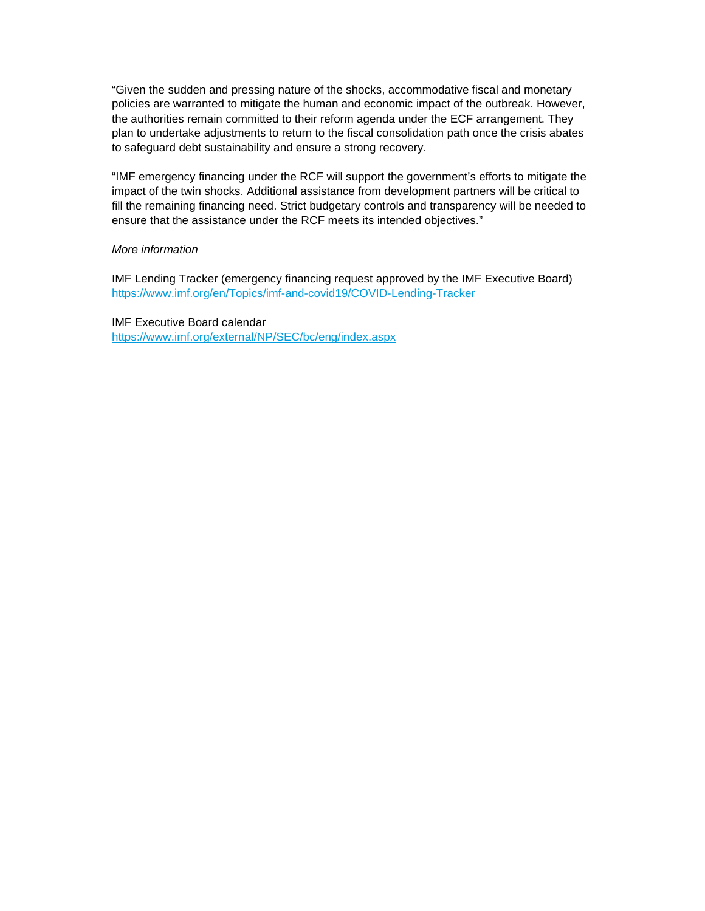"Given the sudden and pressing nature of the shocks, accommodative fiscal and monetary policies are warranted to mitigate the human and economic impact of the outbreak. However, the authorities remain committed to their reform agenda under the ECF arrangement. They plan to undertake adjustments to return to the fiscal consolidation path once the crisis abates to safeguard debt sustainability and ensure a strong recovery.

"IMF emergency financing under the RCF will support the government's efforts to mitigate the impact of the twin shocks. Additional assistance from development partners will be critical to fill the remaining financing need. Strict budgetary controls and transparency will be needed to ensure that the assistance under the RCF meets its intended objectives."

#### *More information*

IMF Lending Tracker (emergency financing request approved by the IMF Executive Board) <https://www.imf.org/en/Topics/imf-and-covid19/COVID-Lending-Tracker>

IMF Executive Board calendar <https://www.imf.org/external/NP/SEC/bc/eng/index.aspx>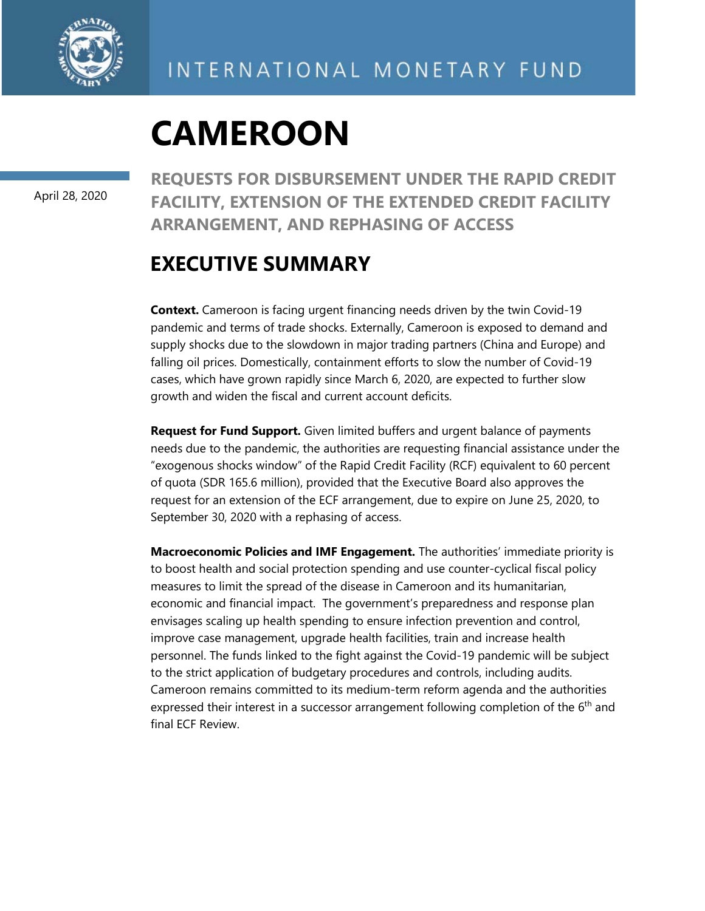

April 28, 2020

**REQUESTS FOR DISBURSEMENT UNDER THE RAPID CREDIT FACILITY, EXTENSION OF THE EXTENDED CREDIT FACILITY ARRANGEMENT, AND REPHASING OF ACCESS**

### **EXECUTIVE SUMMARY**

**Context.** Cameroon is facing urgent financing needs driven by the twin Covid-19 pandemic and terms of trade shocks. Externally, Cameroon is exposed to demand and supply shocks due to the slowdown in major trading partners (China and Europe) and falling oil prices. Domestically, containment efforts to slow the number of Covid-19 cases, which have grown rapidly since March 6, 2020, are expected to further slow growth and widen the fiscal and current account deficits.

**Request for Fund Support.** Given limited buffers and urgent balance of payments needs due to the pandemic, the authorities are requesting financial assistance under the "exogenous shocks window" of the Rapid Credit Facility (RCF) equivalent to 60 percent of quota (SDR 165.6 million), provided that the Executive Board also approves the request for an extension of the ECF arrangement, due to expire on June 25, 2020, to September 30, 2020 with a rephasing of access.

**Macroeconomic Policies and IMF Engagement.** The authorities' immediate priority is to boost health and social protection spending and use counter-cyclical fiscal policy measures to limit the spread of the disease in Cameroon and its humanitarian, economic and financial impact. The government's preparedness and response plan envisages scaling up health spending to ensure infection prevention and control, improve case management, upgrade health facilities, train and increase health personnel. The funds linked to the fight against the Covid-19 pandemic will be subject to the strict application of budgetary procedures and controls, including audits. Cameroon remains committed to its medium-term reform agenda and the authorities expressed their interest in a successor arrangement following completion of the  $6<sup>th</sup>$  and final ECF Review.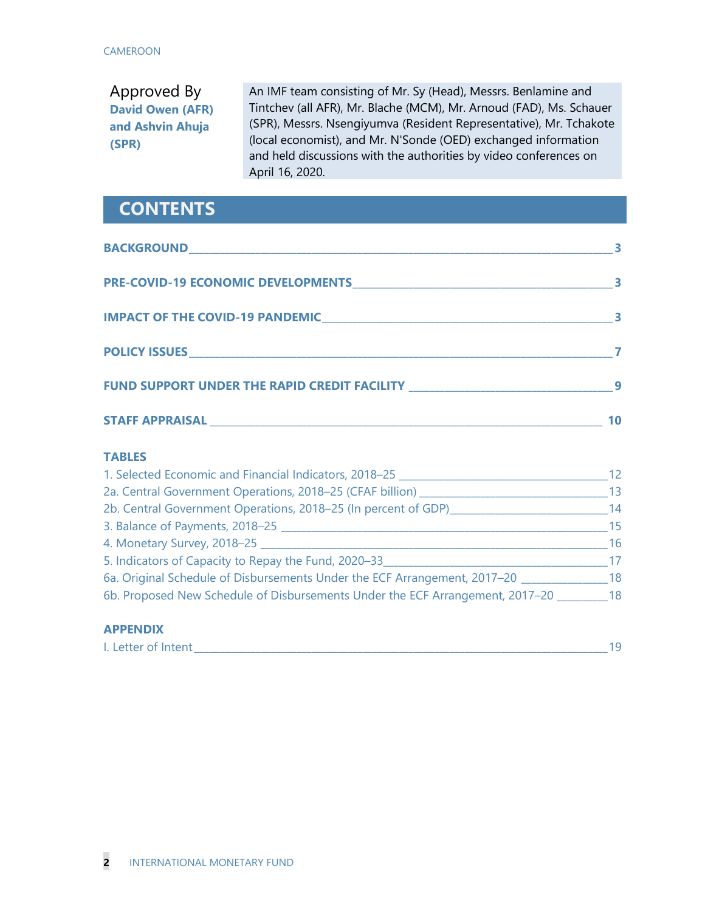### Approved By **David Owen (AFR) and Ashvin Ahuja (SPR)**

An IMF team consisting of Mr. Sy (Head), Messrs. Benlamine and Tintchev (all AFR), Mr. Blache (MCM), Mr. Arnoud (FAD), Ms. Schauer (SPR), Messrs. Nsengiyumva (Resident Representative), Mr. Tchakote (local economist), and Mr. N'Sonde (OED) exchanged information and held discussions with the authorities by video conferences on April 16, 2020.

### **CONTENTS**

| <b>BACKGROUND</b>                            | 3  |
|----------------------------------------------|----|
| <b>PRE-COVID-19 ECONOMIC DEVELOPMENTS</b>    |    |
| <b>IMPACT OF THE COVID-19 PANDEMIC</b>       | 3  |
| <b>POLICY ISSUES</b>                         |    |
| FUND SUPPORT UNDER THE RAPID CREDIT FACILITY | 9  |
| <b>STAFF APPRAISAL</b>                       | 10 |

#### **TABLES**

| 1. Selected Economic and Financial Indicators, 2018–25                        | 12. |
|-------------------------------------------------------------------------------|-----|
| 2a. Central Government Operations, 2018-25 (CFAF billion) __                  | 13  |
| 2b. Central Government Operations, 2018-25 (In percent of GDP)                | 14  |
| 3. Balance of Payments, 2018-25                                               | 15  |
| 4. Monetary Survey, 2018-25                                                   | 16  |
| 5. Indicators of Capacity to Repay the Fund, 2020-33                          | 17  |
| 6a. Original Schedule of Disbursements Under the ECF Arrangement, 2017-20     | 18  |
| 6b. Proposed New Schedule of Disbursements Under the ECF Arrangement, 2017-20 | 18  |

#### **APPENDIX**

| Letter of Intent |  |
|------------------|--|
|                  |  |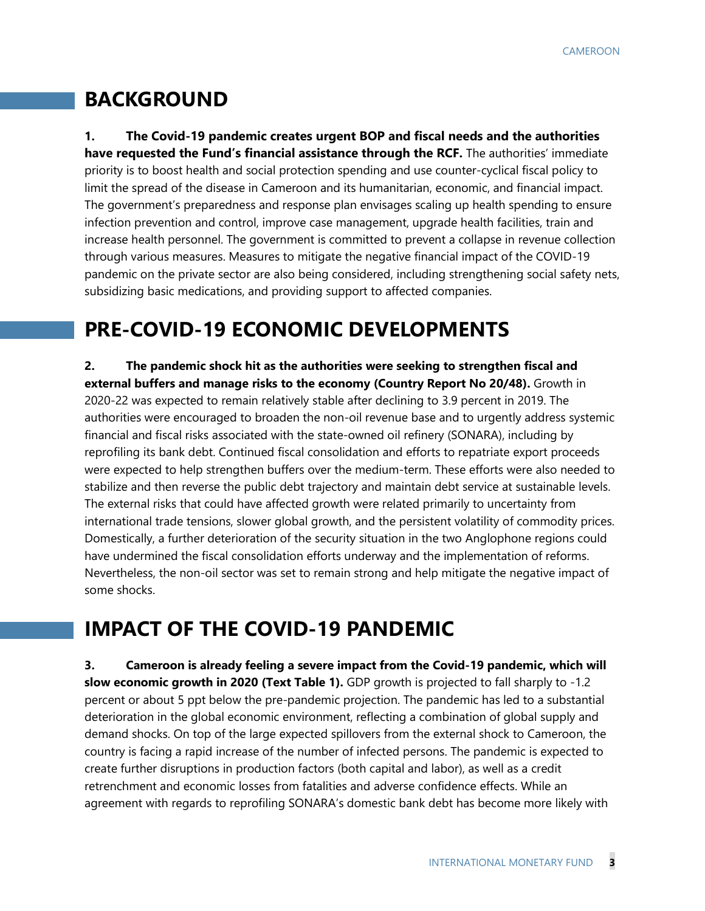### **BACKGROUND**

**1. The Covid-19 pandemic creates urgent BOP and fiscal needs and the authorities have requested the Fund's financial assistance through the RCF.** The authorities' immediate priority is to boost health and social protection spending and use counter-cyclical fiscal policy to limit the spread of the disease in Cameroon and its humanitarian, economic, and financial impact. The government's preparedness and response plan envisages scaling up health spending to ensure infection prevention and control, improve case management, upgrade health facilities, train and increase health personnel. The government is committed to prevent a collapse in revenue collection through various measures. Measures to mitigate the negative financial impact of the COVID-19 pandemic on the private sector are also being considered, including strengthening social safety nets, subsidizing basic medications, and providing support to affected companies.

## **PRE-COVID-19 ECONOMIC DEVELOPMENTS**

**2. The pandemic shock hit as the authorities were seeking to strengthen fiscal and external buffers and manage risks to the economy (Country Report No 20/48).** Growth in 2020-22 was expected to remain relatively stable after declining to 3.9 percent in 2019. The authorities were encouraged to broaden the non-oil revenue base and to urgently address systemic financial and fiscal risks associated with the state-owned oil refinery (SONARA), including by reprofiling its bank debt. Continued fiscal consolidation and efforts to repatriate export proceeds were expected to help strengthen buffers over the medium-term. These efforts were also needed to stabilize and then reverse the public debt trajectory and maintain debt service at sustainable levels. The external risks that could have affected growth were related primarily to uncertainty from international trade tensions, slower global growth, and the persistent volatility of commodity prices. Domestically, a further deterioration of the security situation in the two Anglophone regions could have undermined the fiscal consolidation efforts underway and the implementation of reforms. Nevertheless, the non-oil sector was set to remain strong and help mitigate the negative impact of some shocks.

## **IMPACT OF THE COVID-19 PANDEMIC**

**3. Cameroon is already feeling a severe impact from the Covid-19 pandemic, which will slow economic growth in 2020 (Text Table 1).** GDP growth is projected to fall sharply to -1.2 percent or about 5 ppt below the pre-pandemic projection. The pandemic has led to a substantial deterioration in the global economic environment, reflecting a combination of global supply and demand shocks. On top of the large expected spillovers from the external shock to Cameroon, the country is facing a rapid increase of the number of infected persons. The pandemic is expected to create further disruptions in production factors (both capital and labor), as well as a credit retrenchment and economic losses from fatalities and adverse confidence effects. While an agreement with regards to reprofiling SONARA's domestic bank debt has become more likely with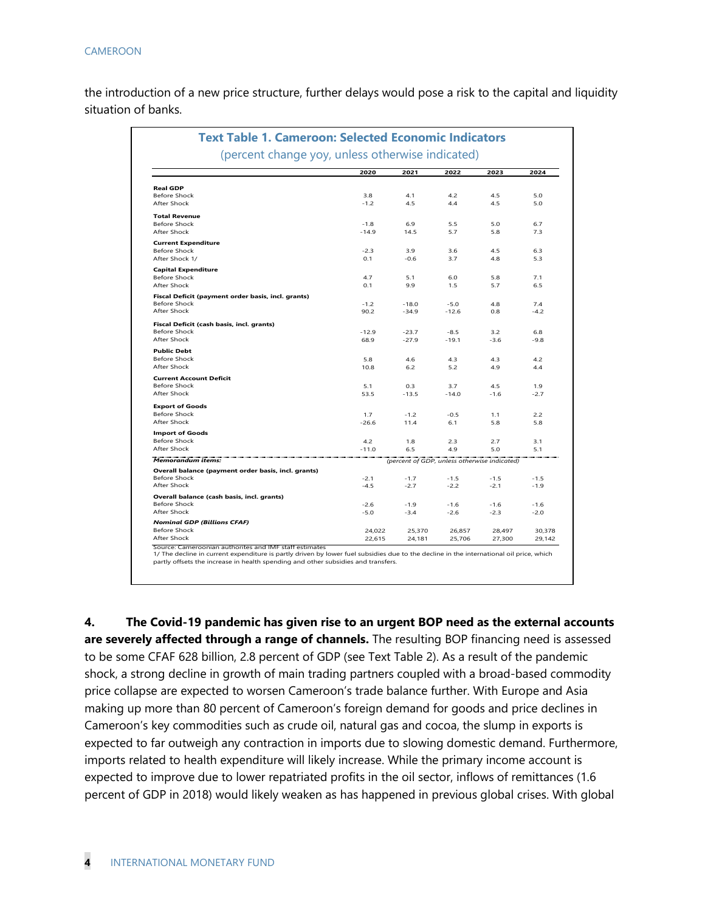the introduction of a new price structure, further delays would pose a risk to the capital and liquidity situation of banks.

| <b>Text Table 1. Cameroon: Selected Economic Indicators</b> |         |         |                                              |        |        |
|-------------------------------------------------------------|---------|---------|----------------------------------------------|--------|--------|
| (percent change yoy, unless otherwise indicated)            |         |         |                                              |        |        |
|                                                             | 2020    | 2021    | 2022                                         | 2023   | 2024   |
| <b>Real GDP</b>                                             |         |         |                                              |        |        |
| <b>Before Shock</b>                                         | 3.8     | 4.1     | 4.2                                          | 4.5    | 5.0    |
| After Shock                                                 | $-1.2$  | 4.5     | 4.4                                          | 4.5    | 5.0    |
| <b>Total Revenue</b>                                        |         |         |                                              |        |        |
| <b>Before Shock</b>                                         | $-1.8$  | 6.9     | 5.5                                          | 5.0    | 6.7    |
| After Shock                                                 | $-14.9$ | 14.5    | 5.7                                          | 5.8    | 7.3    |
| <b>Current Expenditure</b>                                  |         |         |                                              |        |        |
| <b>Before Shock</b>                                         | $-2.3$  | 3.9     | 3.6                                          | 4.5    | 6.3    |
| After Shock 1/                                              | 0.1     | $-0.6$  | 3.7                                          | 4.8    | 5.3    |
| <b>Capital Expenditure</b>                                  |         |         |                                              |        |        |
| <b>Before Shock</b>                                         | 4.7     | 5.1     | 6.0                                          | 5.8    | 7.1    |
| After Shock                                                 | 0.1     | 9.9     | 1.5                                          | 5.7    | 6.5    |
| Fiscal Deficit (payment order basis, incl. grants)          |         |         |                                              |        |        |
| <b>Before Shock</b>                                         | $-1.2$  | $-18.0$ | $-5.0$                                       | 4.8    | 7.4    |
| After Shock                                                 | 90.2    | $-34.9$ | $-12.6$                                      | 0.8    | $-4.2$ |
| Fiscal Deficit (cash basis, incl. grants)                   |         |         |                                              |        |        |
| <b>Before Shock</b>                                         | $-12.9$ | $-23.7$ | $-8.5$                                       | 3.2    | 6.8    |
| After Shock                                                 | 68.9    | $-27.9$ | $-19.1$                                      | $-3.6$ | $-9.8$ |
| <b>Public Debt</b>                                          |         |         |                                              |        |        |
| <b>Before Shock</b>                                         | 5.8     | 4.6     | 4.3                                          | 4.3    | 4.2    |
| After Shock                                                 | 10.8    | 6.2     | 5.2                                          | 4.9    | 4.4    |
| <b>Current Account Deficit</b>                              |         |         |                                              |        |        |
| <b>Before Shock</b>                                         | 5.1     | 0.3     | 3.7                                          | 4.5    | 1.9    |
| After Shock                                                 | 53.5    | $-13.5$ | $-14.0$                                      | $-1.6$ | $-2.7$ |
| <b>Export of Goods</b>                                      |         |         |                                              |        |        |
| <b>Before Shock</b>                                         | 1.7     | $-1.2$  | $-0.5$                                       | 1.1    | 2.2    |
| After Shock                                                 | $-26.6$ | 11.4    | 6.1                                          | 5.8    | 5.8    |
| <b>Import of Goods</b>                                      |         |         |                                              |        |        |
| <b>Before Shock</b>                                         | 4.2     | 1.8     | 2.3                                          | 2.7    | 3.1    |
| After Shock                                                 | $-11.0$ | 6.5     | 4.9                                          | 5.0    | 5.1    |
| Memorandum items:                                           |         |         | (percent of GDP, unless otherwise indicated) |        |        |
| Overall balance (payment order basis, incl. grants)         |         |         |                                              |        |        |
| <b>Before Shock</b>                                         | $-2.1$  | $-1.7$  | $-1.5$                                       | $-1.5$ | $-1.5$ |
| After Shock                                                 | $-4.5$  | $-2.7$  | $-2.2$                                       | $-2.1$ | $-1.9$ |
| Overall balance (cash basis, incl. grants)                  |         |         |                                              |        |        |
| Before Shock                                                | $-2.6$  | $-1.9$  | $-1.6$                                       | $-1.6$ | $-1.6$ |
| After Shock                                                 | $-5.0$  | $-3.4$  | $-2.6$                                       | $-2.3$ | $-2.0$ |
| <b>Nominal GDP (Billions CFAF)</b>                          |         |         |                                              |        |        |
| <b>Before Shock</b>                                         | 24,022  | 25,370  | 26,857                                       | 28,497 | 30,378 |
| After Shock                                                 | 22,615  | 24,181  | 25,706                                       | 27,300 | 29.142 |

partly offsets the increase in health spending and other subsidies and transfers.

**4. The Covid-19 pandemic has given rise to an urgent BOP need as the external accounts are severely affected through a range of channels.** The resulting BOP financing need is assessed to be some CFAF 628 billion, 2.8 percent of GDP (see Text Table 2). As a result of the pandemic shock, a strong decline in growth of main trading partners coupled with a broad-based commodity price collapse are expected to worsen Cameroon's trade balance further. With Europe and Asia making up more than 80 percent of Cameroon's foreign demand for goods and price declines in Cameroon's key commodities such as crude oil, natural gas and cocoa, the slump in exports is expected to far outweigh any contraction in imports due to slowing domestic demand. Furthermore, imports related to health expenditure will likely increase. While the primary income account is expected to improve due to lower repatriated profits in the oil sector, inflows of remittances (1.6 percent of GDP in 2018) would likely weaken as has happened in previous global crises. With global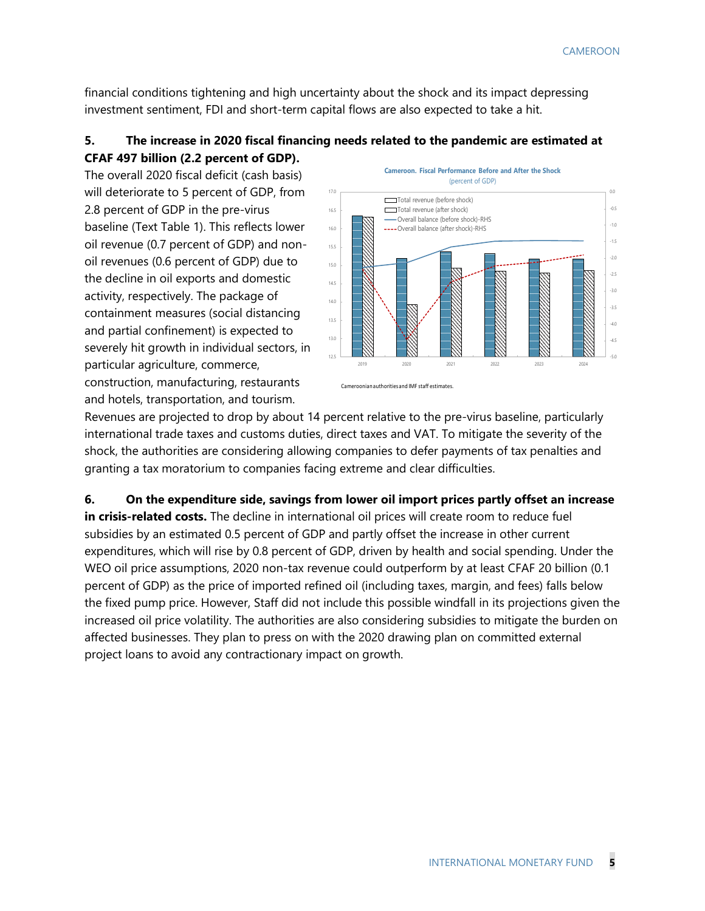financial conditions tightening and high uncertainty about the shock and its impact depressing investment sentiment, FDI and short-term capital flows are also expected to take a hit.

#### **5. The increase in 2020 fiscal financing needs related to the pandemic are estimated at CFAF 497 billion (2.2 percent of GDP).**

The overall 2020 fiscal deficit (cash basis) will deteriorate to 5 percent of GDP, from 2.8 percent of GDP in the pre-virus baseline (Text Table 1). This reflects lower oil revenue (0.7 percent of GDP) and nonoil revenues (0.6 percent of GDP) due to the decline in oil exports and domestic activity, respectively. The package of containment measures (social distancing and partial confinement) is expected to severely hit growth in individual sectors, in particular agriculture, commerce, construction, manufacturing, restaurants and hotels, transportation, and tourism.



Revenues are projected to drop by about 14 percent relative to the pre-virus baseline, particularly international trade taxes and customs duties, direct taxes and VAT. To mitigate the severity of the shock, the authorities are considering allowing companies to defer payments of tax penalties and granting a tax moratorium to companies facing extreme and clear difficulties.

**6. On the expenditure side, savings from lower oil import prices partly offset an increase in crisis-related costs.** The decline in international oil prices will create room to reduce fuel subsidies by an estimated 0.5 percent of GDP and partly offset the increase in other current expenditures, which will rise by 0.8 percent of GDP, driven by health and social spending. Under the WEO oil price assumptions, 2020 non-tax revenue could outperform by at least CFAF 20 billion (0.1 percent of GDP) as the price of imported refined oil (including taxes, margin, and fees) falls below the fixed pump price. However, Staff did not include this possible windfall in its projections given the increased oil price volatility. The authorities are also considering subsidies to mitigate the burden on affected businesses. They plan to press on with the 2020 drawing plan on committed external project loans to avoid any contractionary impact on growth.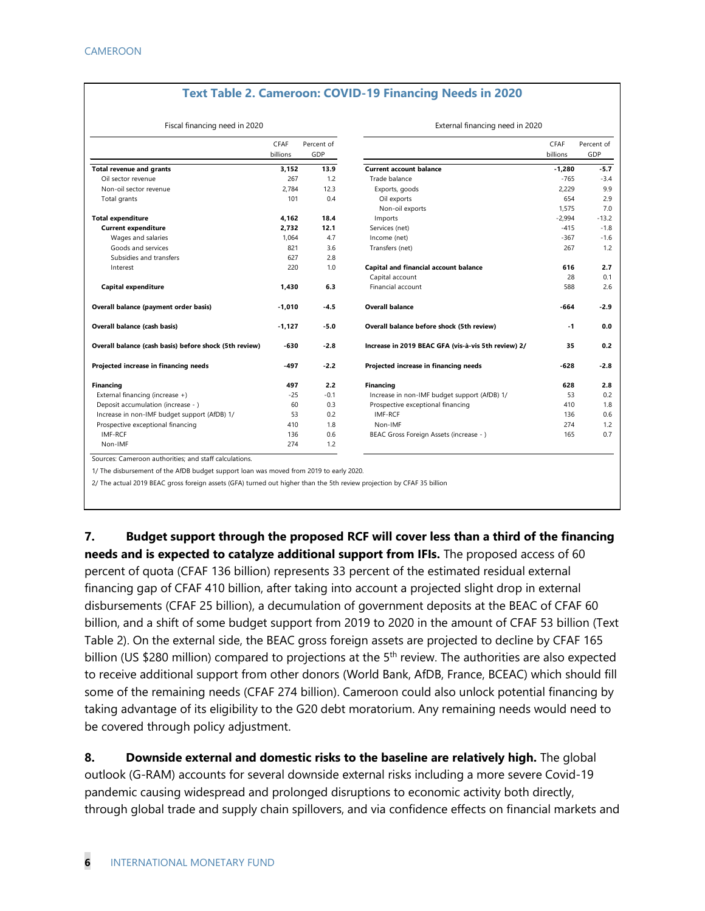#### **Text Table 2. Cameroon: COVID-19 Financing Needs in 2020**

External financing need in 2020

#### Fiscal financing need in 2020

|                                                        | <b>CFAF</b><br>billions | Percent of<br>GDP |                                                     | CFAF<br>billions | Percent of<br>GDP |
|--------------------------------------------------------|-------------------------|-------------------|-----------------------------------------------------|------------------|-------------------|
| <b>Total revenue and grants</b>                        | 3,152                   | 13.9              | <b>Current account balance</b>                      | $-1,280$         | $-5.7$            |
| Oil sector revenue                                     | 267                     | 1.2               | Trade balance                                       | $-765$           | $-3.4$            |
| Non-oil sector revenue                                 | 2,784                   | 12.3              | Exports, goods                                      | 2,229            | 9.9               |
| Total grants                                           | 101                     | 0.4               | Oil exports                                         | 654              | 2.9               |
|                                                        |                         |                   | Non-oil exports                                     | 1,575            | 7.0               |
| <b>Total expenditure</b>                               | 4,162                   | 18.4              | Imports                                             | $-2,994$         | $-13.2$           |
| <b>Current expenditure</b>                             | 2,732                   | 12.1              | Services (net)                                      | $-415$           | $-1.8$            |
| Wages and salaries                                     | 1,064                   | 4.7               | Income (net)                                        | $-367$           | $-1.6$            |
| Goods and services                                     | 821                     | 3.6               | Transfers (net)                                     | 267              | 1.2               |
| Subsidies and transfers                                | 627                     | 2.8               |                                                     |                  |                   |
| Interest                                               | 220                     | 1.0               | Capital and financial account balance               | 616              | 2.7               |
|                                                        |                         |                   | Capital account                                     | 28               | 0.1               |
| <b>Capital expenditure</b>                             | 1,430                   | 6.3               | Financial account                                   | 588              | 2.6               |
| Overall balance (payment order basis)                  | $-1,010$                | $-4.5$            | <b>Overall balance</b>                              | $-664$           | $-2.9$            |
| Overall balance (cash basis)                           | $-1,127$                | $-5.0$            | Overall balance before shock (5th review)           | $-1$             | 0.0               |
| Overall balance (cash basis) before shock (5th review) | $-630$                  | $-2.8$            | Increase in 2019 BEAC GFA (vis-à-vis 5th review) 2/ | 35               | 0.2               |
| Projected increase in financing needs                  | $-497$                  | $-2.2$            | Projected increase in financing needs               | $-628$           | $-2.8$            |
| Financing                                              | 497                     | 2.2               | <b>Financing</b>                                    | 628              | 2.8               |
| External financing (increase +)                        | $-25$                   | $-0.1$            | Increase in non-IMF budget support (AfDB) 1/        | 53               | 0.2               |
| Deposit accumulation (increase - )                     | 60                      | 0.3               | Prospective exceptional financing                   | 410              | 1.8               |
| Increase in non-IMF budget support (AfDB) 1/           | 53                      | 0.2               | IMF-RCF                                             | 136              | 0.6               |
| Prospective exceptional financing                      | 410                     | 1.8               | Non-IMF                                             | 274              | 1.2               |
| IMF-RCF                                                | 136                     | 0.6               | BEAC Gross Foreign Assets (increase - )             | 165              | 0.7               |
| Non-IMF                                                | 274                     | 1.2               |                                                     |                  |                   |
| Sources: Cameroon authorities: and staff calculations  |                         |                   |                                                     |                  |                   |

Sources:

1/ The disbursement of the AfDB budget support loan was moved from 2019 to early 2020.

2/ The actual 2019 BEAC gross foreign assets (GFA) turned out higher than the 5th review projection by CFAF 35 billion

**7. Budget support through the proposed RCF will cover less than a third of the financing needs and is expected to catalyze additional support from IFIs.** The proposed access of 60 percent of quota (CFAF 136 billion) represents 33 percent of the estimated residual external financing gap of CFAF 410 billion, after taking into account a projected slight drop in external disbursements (CFAF 25 billion), a decumulation of government deposits at the BEAC of CFAF 60 billion, and a shift of some budget support from 2019 to 2020 in the amount of CFAF 53 billion (Text Table 2). On the external side, the BEAC gross foreign assets are projected to decline by CFAF 165 billion (US \$280 million) compared to projections at the 5<sup>th</sup> review. The authorities are also expected to receive additional support from other donors (World Bank, AfDB, France, BCEAC) which should fill some of the remaining needs (CFAF 274 billion). Cameroon could also unlock potential financing by taking advantage of its eligibility to the G20 debt moratorium. Any remaining needs would need to be covered through policy adjustment.

**8. Downside external and domestic risks to the baseline are relatively high.** The global outlook (G-RAM) accounts for several downside external risks including a more severe Covid-19 pandemic causing widespread and prolonged disruptions to economic activity both directly, through global trade and supply chain spillovers, and via confidence effects on financial markets and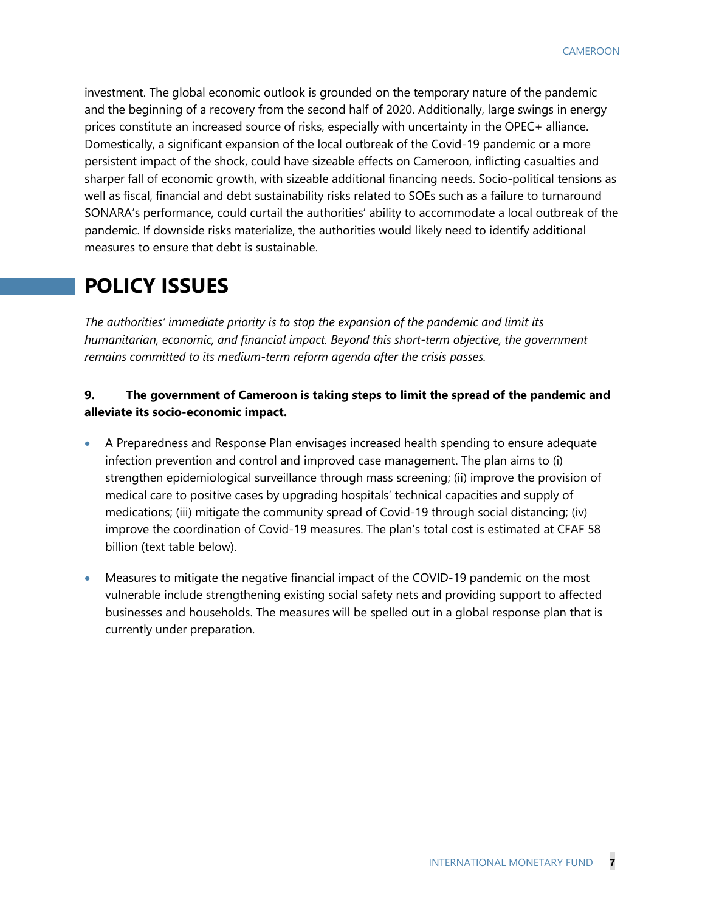investment. The global economic outlook is grounded on the temporary nature of the pandemic and the beginning of a recovery from the second half of 2020. Additionally, large swings in energy prices constitute an increased source of risks, especially with uncertainty in the OPEC+ alliance. Domestically, a significant expansion of the local outbreak of the Covid-19 pandemic or a more persistent impact of the shock, could have sizeable effects on Cameroon, inflicting casualties and sharper fall of economic growth, with sizeable additional financing needs. Socio-political tensions as well as fiscal, financial and debt sustainability risks related to SOEs such as a failure to turnaround SONARA's performance, could curtail the authorities' ability to accommodate a local outbreak of the pandemic. If downside risks materialize, the authorities would likely need to identify additional measures to ensure that debt is sustainable.

### **POLICY ISSUES**

*The authorities' immediate priority is to stop the expansion of the pandemic and limit its humanitarian, economic, and financial impact. Beyond this short-term objective, the government remains committed to its medium-term reform agenda after the crisis passes.* 

#### **9. The government of Cameroon is taking steps to limit the spread of the pandemic and alleviate its socio-economic impact.**

- A Preparedness and Response Plan envisages increased health spending to ensure adequate infection prevention and control and improved case management. The plan aims to (i) strengthen epidemiological surveillance through mass screening; (ii) improve the provision of medical care to positive cases by upgrading hospitals' technical capacities and supply of medications; (iii) mitigate the community spread of Covid-19 through social distancing; (iv) improve the coordination of Covid-19 measures. The plan's total cost is estimated at CFAF 58 billion (text table below).
- Measures to mitigate the negative financial impact of the COVID-19 pandemic on the most vulnerable include strengthening existing social safety nets and providing support to affected businesses and households. The measures will be spelled out in a global response plan that is currently under preparation.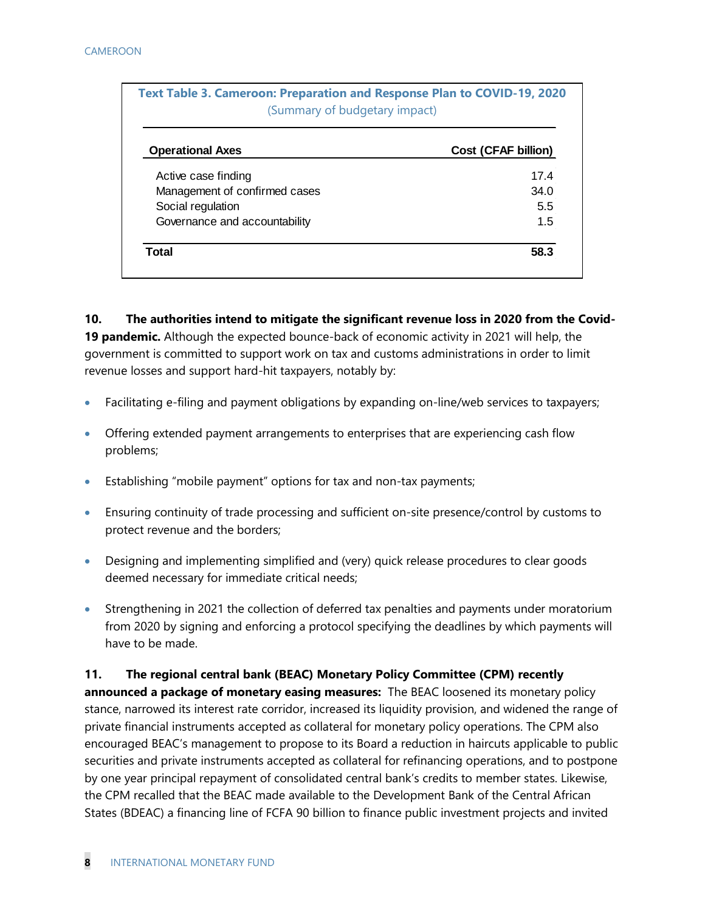| <b>Operational Axes</b>       | <b>Cost (CFAF billion)</b> |
|-------------------------------|----------------------------|
| Active case finding           | 174                        |
| Management of confirmed cases | 34.0                       |
| Social regulation             | 5.5                        |
| Governance and accountability | 1.5                        |

**10. The authorities intend to mitigate the significant revenue loss in 2020 from the Covid-19 pandemic.** Although the expected bounce-back of economic activity in 2021 will help, the government is committed to support work on tax and customs administrations in order to limit revenue losses and support hard-hit taxpayers, notably by:

- Facilitating e-filing and payment obligations by expanding on-line/web services to taxpayers;
- Offering extended payment arrangements to enterprises that are experiencing cash flow problems;
- Establishing "mobile payment" options for tax and non-tax payments;
- Ensuring continuity of trade processing and sufficient on-site presence/control by customs to protect revenue and the borders;
- Designing and implementing simplified and (very) quick release procedures to clear goods deemed necessary for immediate critical needs;
- Strengthening in 2021 the collection of deferred tax penalties and payments under moratorium from 2020 by signing and enforcing a protocol specifying the deadlines by which payments will have to be made.

**11. The regional central bank (BEAC) Monetary Policy Committee (CPM) recently announced a package of monetary easing measures:** The BEAC loosened its monetary policy stance, narrowed its interest rate corridor, increased its liquidity provision, and widened the range of private financial instruments accepted as collateral for monetary policy operations. The CPM also encouraged BEAC's management to propose to its Board a reduction in haircuts applicable to public securities and private instruments accepted as collateral for refinancing operations, and to postpone by one year principal repayment of consolidated central bank's credits to member states. Likewise, the CPM recalled that the BEAC made available to the Development Bank of the Central African States (BDEAC) a financing line of FCFA 90 billion to finance public investment projects and invited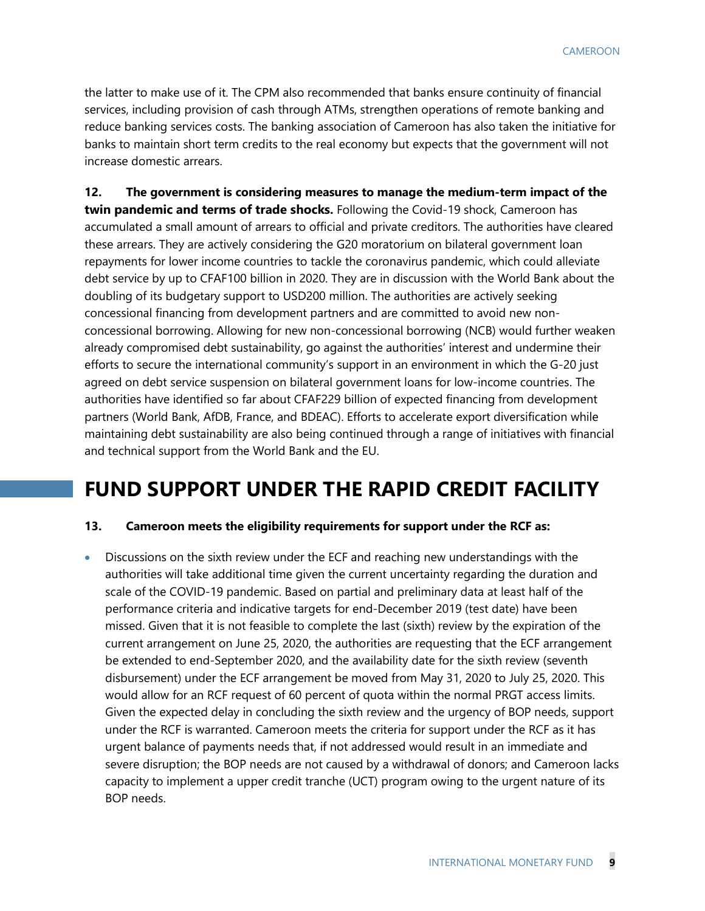the latter to make use of it. The CPM also recommended that banks ensure continuity of financial services, including provision of cash through ATMs, strengthen operations of remote banking and reduce banking services costs. The banking association of Cameroon has also taken the initiative for banks to maintain short term credits to the real economy but expects that the government will not increase domestic arrears.

**12. The government is considering measures to manage the medium-term impact of the twin pandemic and terms of trade shocks.** Following the Covid-19 shock, Cameroon has accumulated a small amount of arrears to official and private creditors. The authorities have cleared these arrears. They are actively considering the G20 moratorium on bilateral government loan repayments for lower income countries to tackle the coronavirus pandemic, which could alleviate debt service by up to CFAF100 billion in 2020. They are in discussion with the World Bank about the doubling of its budgetary support to USD200 million. The authorities are actively seeking concessional financing from development partners and are committed to avoid new nonconcessional borrowing. Allowing for new non-concessional borrowing (NCB) would further weaken already compromised debt sustainability, go against the authorities' interest and undermine their efforts to secure the international community's support in an environment in which the G-20 just agreed on debt service suspension on bilateral government loans for low-income countries. The authorities have identified so far about CFAF229 billion of expected financing from development partners (World Bank, AfDB, France, and BDEAC). Efforts to accelerate export diversification while maintaining debt sustainability are also being continued through a range of initiatives with financial and technical support from the World Bank and the EU.

### **FUND SUPPORT UNDER THE RAPID CREDIT FACILITY**

#### **13. Cameroon meets the eligibility requirements for support under the RCF as:**

• Discussions on the sixth review under the ECF and reaching new understandings with the authorities will take additional time given the current uncertainty regarding the duration and scale of the COVID-19 pandemic. Based on partial and preliminary data at least half of the performance criteria and indicative targets for end-December 2019 (test date) have been missed. Given that it is not feasible to complete the last (sixth) review by the expiration of the current arrangement on June 25, 2020, the authorities are requesting that the ECF arrangement be extended to end-September 2020, and the availability date for the sixth review (seventh disbursement) under the ECF arrangement be moved from May 31, 2020 to July 25, 2020. This would allow for an RCF request of 60 percent of quota within the normal PRGT access limits. Given the expected delay in concluding the sixth review and the urgency of BOP needs, support under the RCF is warranted. Cameroon meets the criteria for support under the RCF as it has urgent balance of payments needs that, if not addressed would result in an immediate and severe disruption; the BOP needs are not caused by a withdrawal of donors; and Cameroon lacks capacity to implement a upper credit tranche (UCT) program owing to the urgent nature of its BOP needs.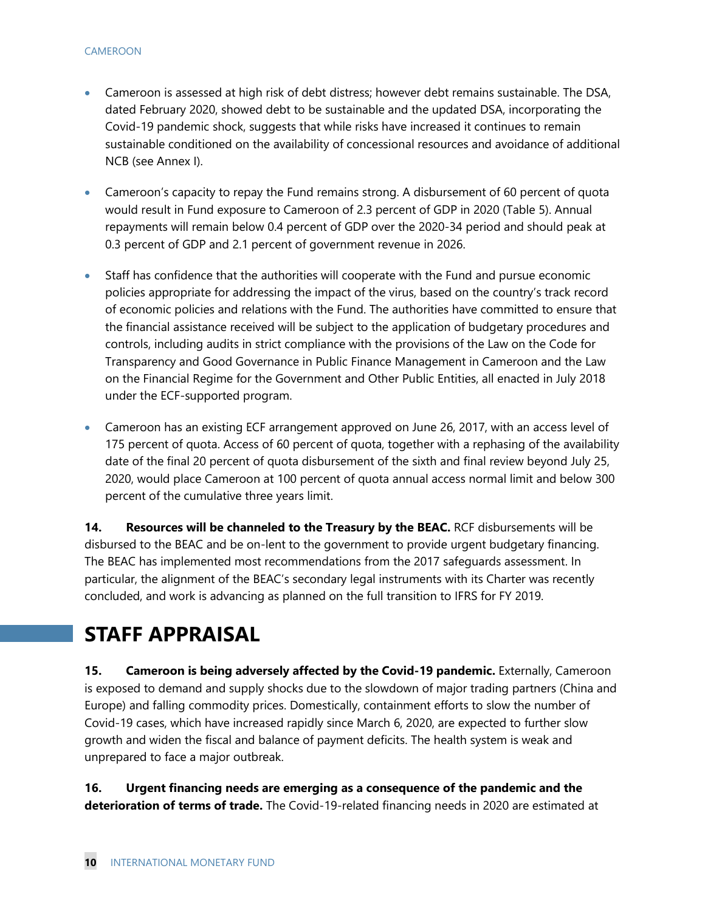- Cameroon is assessed at high risk of debt distress; however debt remains sustainable. The DSA, dated February 2020, showed debt to be sustainable and the updated DSA, incorporating the Covid-19 pandemic shock, suggests that while risks have increased it continues to remain sustainable conditioned on the availability of concessional resources and avoidance of additional NCB (see Annex I).
- Cameroon's capacity to repay the Fund remains strong. A disbursement of 60 percent of quota would result in Fund exposure to Cameroon of 2.3 percent of GDP in 2020 (Table 5). Annual repayments will remain below 0.4 percent of GDP over the 2020-34 period and should peak at 0.3 percent of GDP and 2.1 percent of government revenue in 2026.
- Staff has confidence that the authorities will cooperate with the Fund and pursue economic policies appropriate for addressing the impact of the virus, based on the country's track record of economic policies and relations with the Fund. The authorities have committed to ensure that the financial assistance received will be subject to the application of budgetary procedures and controls, including audits in strict compliance with the provisions of the Law on the Code for Transparency and Good Governance in Public Finance Management in Cameroon and the Law on the Financial Regime for the Government and Other Public Entities, all enacted in July 2018 under the ECF-supported program.
- Cameroon has an existing ECF arrangement approved on June 26, 2017, with an access level of 175 percent of quota. Access of 60 percent of quota, together with a rephasing of the availability date of the final 20 percent of quota disbursement of the sixth and final review beyond July 25, 2020, would place Cameroon at 100 percent of quota annual access normal limit and below 300 percent of the cumulative three years limit.

**14. Resources will be channeled to the Treasury by the BEAC.** RCF disbursements will be disbursed to the BEAC and be on-lent to the government to provide urgent budgetary financing. The BEAC has implemented most recommendations from the 2017 safeguards assessment. In particular, the alignment of the BEAC's secondary legal instruments with its Charter was recently concluded, and work is advancing as planned on the full transition to IFRS for FY 2019.

### **STAFF APPRAISAL**

**15. Cameroon is being adversely affected by the Covid-19 pandemic.** Externally, Cameroon is exposed to demand and supply shocks due to the slowdown of major trading partners (China and Europe) and falling commodity prices. Domestically, containment efforts to slow the number of Covid-19 cases, which have increased rapidly since March 6, 2020, are expected to further slow growth and widen the fiscal and balance of payment deficits. The health system is weak and unprepared to face a major outbreak.

**16. Urgent financing needs are emerging as a consequence of the pandemic and the deterioration of terms of trade.** The Covid-19-related financing needs in 2020 are estimated at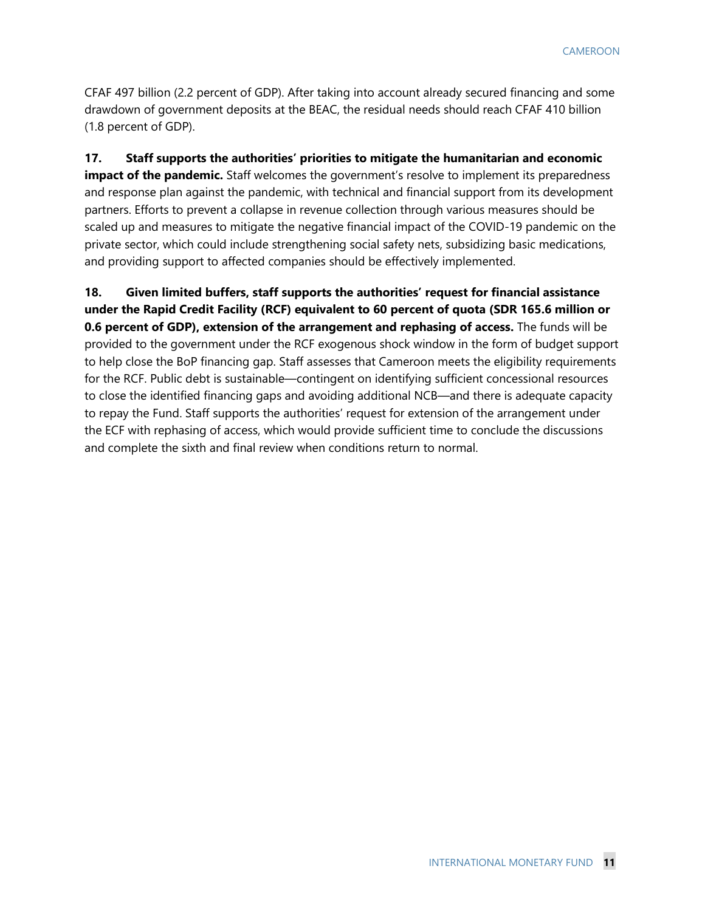CFAF 497 billion (2.2 percent of GDP). After taking into account already secured financing and some drawdown of government deposits at the BEAC, the residual needs should reach CFAF 410 billion (1.8 percent of GDP).

**17. Staff supports the authorities' priorities to mitigate the humanitarian and economic impact of the pandemic.** Staff welcomes the government's resolve to implement its preparedness and response plan against the pandemic, with technical and financial support from its development partners. Efforts to prevent a collapse in revenue collection through various measures should be scaled up and measures to mitigate the negative financial impact of the COVID-19 pandemic on the private sector, which could include strengthening social safety nets, subsidizing basic medications, and providing support to affected companies should be effectively implemented.

**18. Given limited buffers, staff supports the authorities' request for financial assistance under the Rapid Credit Facility (RCF) equivalent to 60 percent of quota (SDR 165.6 million or 0.6 percent of GDP), extension of the arrangement and rephasing of access.** The funds will be provided to the government under the RCF exogenous shock window in the form of budget support to help close the BoP financing gap. Staff assesses that Cameroon meets the eligibility requirements for the RCF. Public debt is sustainable—contingent on identifying sufficient concessional resources to close the identified financing gaps and avoiding additional NCB—and there is adequate capacity to repay the Fund. Staff supports the authorities' request for extension of the arrangement under the ECF with rephasing of access, which would provide sufficient time to conclude the discussions and complete the sixth and final review when conditions return to normal.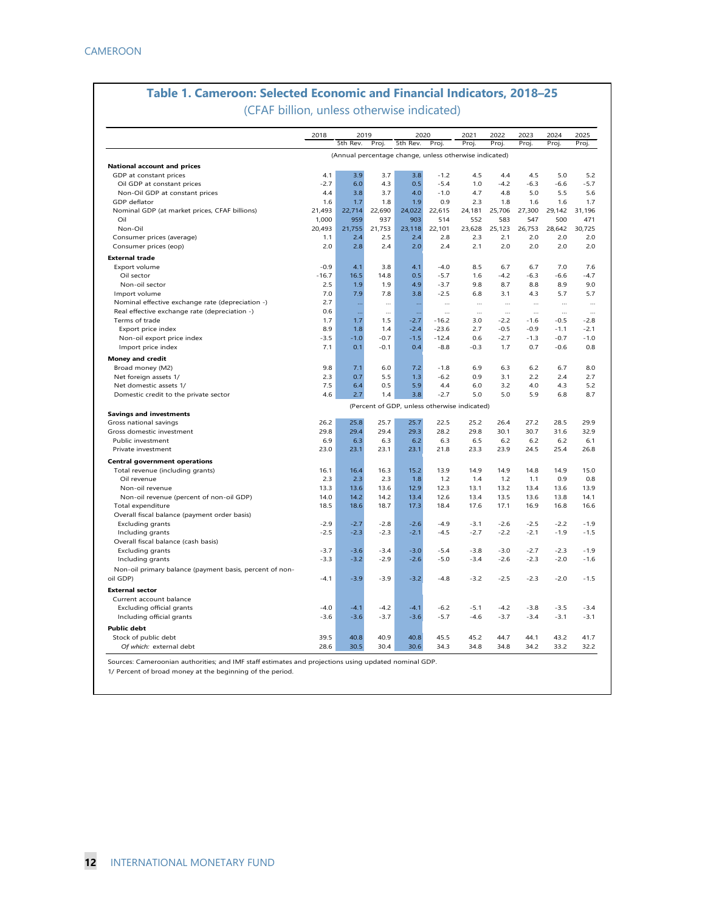### **Table 1. Cameroon: Selected Economic and Financial Indicators, 2018–25**

(CFAF billion, unless otherwise indicated)

|                                                                          | 2018       | 2019<br>5th Rev. | Proj.      | 2020<br>5th Rev.                                       |               | 2021       | 2022       | 2023         | 2024       | 2025       |
|--------------------------------------------------------------------------|------------|------------------|------------|--------------------------------------------------------|---------------|------------|------------|--------------|------------|------------|
|                                                                          |            |                  |            | (Annual percentage change, unless otherwise indicated) | Proj          | Proj.      | Proj.      | Proj         | Proj       | Proj.      |
| <b>National account and prices</b>                                       |            |                  |            |                                                        |               |            |            |              |            |            |
| GDP at constant prices                                                   | 4.1        | 3.9              | 3.7        | 3.8                                                    | $-1.2$        | 4.5        | 4.4        | 4.5          | 5.0        | 5.2        |
| Oil GDP at constant prices                                               | $-2.7$     | 6.0              | 4.3        | 0.5                                                    | $-5.4$        | 1.0        | $-4.2$     | $-6.3$       | $-6.6$     | $-5.7$     |
| Non-Oil GDP at constant prices                                           | 4.4        | 3.8              | 3.7        | 4.0                                                    | $-1.0$        | 4.7        | 4.8        | 5.0          | 5.5        | 5.6        |
| GDP deflator                                                             | 1.6        | 1.7              | 1.8        | 1.9                                                    | 0.9           | 2.3        | 1.8        | 1.6          | 1.6        | 1.7        |
| Nominal GDP (at market prices, CFAF billions)                            | 21,493     | 22,714           | 22,690     | 24,022                                                 | 22,615        | 24,181     | 25,706     | 27,300       | 29,142     | 31,196     |
| Oil                                                                      | 1.000      | 959              | 937        | 903                                                    | 514           | 552        | 583        | 547          | 500        | 471        |
| Non-Oil                                                                  | 20,493     | 21,755           | 21,753     | 23,118                                                 | 22,101        | 23,628     | 25,123     | 26,753       | 28,642     | 30,725     |
| Consumer prices (average)                                                | 1.1        | 2.4              | 2.5        | 2.4                                                    | 2.8           | 2.3        | 2.1        | 2.0          | 2.0        | 2.0        |
| Consumer prices (eop)                                                    | 2.0        | 2.8              | 2.4        | 2.0                                                    | 2.4           | 2.1        | 2.0        | 2.0          | 2.0        | 2.0        |
| <b>External trade</b>                                                    |            |                  |            |                                                        |               |            |            |              |            |            |
| Export volume                                                            | $-0.9$     | 4.1              | 3.8        | 4.1                                                    | $-4.0$        | 8.5        | 6.7        | 6.7          | 7.0        | 7.6        |
| Oil sector                                                               | $-16.7$    | 16.5             | 14.8       | 0.5                                                    | $-5.7$        | 1.6        | $-4.2$     | $-6.3$       | $-6.6$     | $-4.7$     |
| Non-oil sector                                                           | 2.5        | 1.9              | 1.9        | 4.9                                                    | $-3.7$        | 9.8        | 8.7        | 8.8          | 8.9        | 9.0        |
| Import volume                                                            | 7.0        | 7.9              | 7.8        | 3.8                                                    | $-2.5$        | 6.8        | 3.1        | 4.3          | 5.7        | 5.7        |
| Nominal effective exchange rate (depreciation -)                         | 2.7        | Щ,               |            |                                                        | $\cdots$      |            | $\cdots$   | $\cdots$     | $\cdots$   | $\ddotsc$  |
| Real effective exchange rate (depreciation -)                            | 0.6        | Щ,               | <br>       | $\ddotsc$<br>$\ddotsc$                                 | $\cdots$      | $\cdots$   | $\cdots$   |              | $\cdots$   | $\cdots$   |
| Terms of trade                                                           | 1.7        | 1.7              | 1.5        | $-2.7$                                                 | $-16.2$       | 3.0        | $-2.2$     | $-1.6$       | $-0.5$     | $-2.8$     |
| Export price index                                                       | 8.9        | 1.8              | 1.4        | $-2.4$                                                 | $-23.6$       | 2.7        | $-0.5$     | $-0.9$       | $-1.1$     | $-2.1$     |
| Non-oil export price index                                               | $-3.5$     | $-1.0$           | $-0.7$     | $-1.5$                                                 | $-12.4$       | 0.6        | $-2.7$     | $-1.3$       | $-0.7$     | $-1.0$     |
| Import price index                                                       | 7.1        | 0.1              | $-0.1$     | 0.4                                                    | $-8.8$        | $-0.3$     | 1.7        | 0.7          | $-0.6$     | 0.8        |
|                                                                          |            |                  |            |                                                        |               |            |            |              |            |            |
| <b>Money and credit</b><br>Broad money (M2)                              | 9.8        | 7.1              | 6.0        | 7.2                                                    | $-1.8$        | 6.9        | 6.3        | 6.2          | 6.7        | 8.0        |
|                                                                          |            |                  |            |                                                        |               |            |            |              |            |            |
| Net foreign assets 1/                                                    | 2.3<br>7.5 | 0.7<br>6.4       | 5.5<br>0.5 | 1.3<br>5.9                                             | $-6.2$<br>4.4 | 0.9<br>6.0 | 3.1        | 2.2          | 2.4<br>4.3 | 2.7        |
| Net domestic assets 1/                                                   | 4.6        | 2.7              | 1.4        | 3.8                                                    | $-2.7$        | 5.0        | 3.2<br>5.0 | 4.0<br>5.9   | 6.8        | 5.2<br>8.7 |
| Domestic credit to the private sector                                    |            |                  |            |                                                        |               |            |            |              |            |            |
| <b>Savings and investments</b>                                           |            |                  |            | (Percent of GDP, unless otherwise indicated)           |               |            |            |              |            |            |
| Gross national savings                                                   | 26.2       | 25.8             | 25.7       | 25.7                                                   | 22.5          | 25.2       | 26.4       | 27.2         | 28.5       | 29.9       |
| Gross domestic investment                                                | 29.8       | 29.4             | 29.4       | 29.3                                                   | 28.2          | 29.8       | 30.1       | 30.7         | 31.6       | 32.9       |
| Public investment                                                        | 6.9        | 6.3              | 6.3        | 6.2                                                    | 6.3           | 6.5        | 6.2        | 6.2          | 6.2        | 6.1        |
| Private investment                                                       | 23.0       | 23.1             | 23.1       | 23.1                                                   | 21.8          | 23.3       | 23.9       | 24.5         | 25.4       | 26.8       |
|                                                                          |            |                  |            |                                                        |               |            |            |              |            |            |
| <b>Central government operations</b><br>Total revenue (including grants) | 16.1       | 16.4             | 16.3       | 15.2                                                   | 13.9          | 14.9       | 14.9       | 14.8         | 14.9       | 15.0       |
| Oil revenue                                                              | 2.3        | 2.3              | 2.3        | 1.8                                                    | 1.2           | 1.4        | 1.2        | 1.1          | 0.9        | 0.8        |
|                                                                          | 13.3       |                  | 13.6       | 12.9                                                   | 12.3          | 13.1       | 13.2       |              | 13.6       | 13.9       |
| Non-oil revenue<br>Non-oil revenue (percent of non-oil GDP)              | 14.0       | 13.6<br>14.2     | 14.2       | 13.4                                                   | 12.6          | 13.4       | 13.5       | 13.4<br>13.6 | 13.8       | 14.1       |
| Total expenditure                                                        | 18.5       | 18.6             | 18.7       | 17.3                                                   | 18.4          | 17.6       | 17.1       | 16.9         | 16.8       | 16.6       |
| Overall fiscal balance (payment order basis)                             |            |                  |            |                                                        |               |            |            |              |            |            |
| <b>Excluding grants</b>                                                  | $-2.9$     | $-2.7$           | $-2.8$     | $-2.6$                                                 | $-4.9$        | $-3.1$     | $-2.6$     | $-2.5$       | $-2.2$     | $-1.9$     |
| Including grants                                                         | $-2.5$     | $-2.3$           | $-2.3$     | $-2.1$                                                 | $-4.5$        | $-2.7$     | $-2.2$     | $-2.1$       | $-1.9$     | $-1.5$     |
| Overall fiscal balance (cash basis)                                      |            |                  |            |                                                        |               |            |            |              |            |            |
|                                                                          | $-3.7$     | $-3.6$           | $-3.4$     | $-3.0$                                                 | $-5.4$        | $-3.8$     | $-3.0$     | $-2.7$       | $-2.3$     | $-1.9$     |
| <b>Excluding grants</b><br>Including grants                              | $-3.3$     | $-3.2$           | $-2.9$     | $-2.6$                                                 | $-5.0$        | $-3.4$     | $-2.6$     | $-2.3$       | $-2.0$     | $-1.6$     |
|                                                                          |            |                  |            |                                                        |               |            |            |              |            |            |
| Non-oil primary balance (payment basis, percent of non-                  |            |                  |            |                                                        |               |            |            |              |            |            |
| oil GDP)                                                                 | $-4.1$     | $-3.9$           | $-3.9$     | $-3.2$                                                 | $-4.8$        | $-3.2$     | $-2.5$     | $-2.3$       | $-2.0$     | $-1.5$     |
| <b>External sector</b>                                                   |            |                  |            |                                                        |               |            |            |              |            |            |
| Current account balance                                                  |            |                  |            |                                                        |               |            |            |              |            |            |
| <b>Excluding official grants</b>                                         | $-4.0$     | $-4.1$           | $-4.2$     | $-4.1$                                                 | $-6.2$        | $-5.1$     | $-4.2$     | $-3.8$       | $-3.5$     | $-3.4$     |
| Including official grants                                                | $-3.6$     | $-3.6$           | $-3.7$     | $-3.6$                                                 | $-5.7$        | $-4.6$     | $-3.7$     | $-3.4$       | $-3.1$     | $-3.1$     |
| <b>Public debt</b>                                                       |            |                  |            |                                                        |               |            |            |              |            |            |
| Stock of public debt                                                     | 39.5       | 40.8             | 40.9       | 40.8                                                   | 45.5          | 45.2       | 44.7       | 44.1         | 43.2       | 41.7       |
| Of which: external debt                                                  | 28.6       | 30.5             | 30.4       | 30.6                                                   | 34.3          | 34.8       | 34.8       | 34.2         | 33.2       | 32.2       |

Sources: Cameroonian authorities; and IMF staff estimates and projections using updated nominal GDP.

1/ Percent of broad money at the beginning of the period.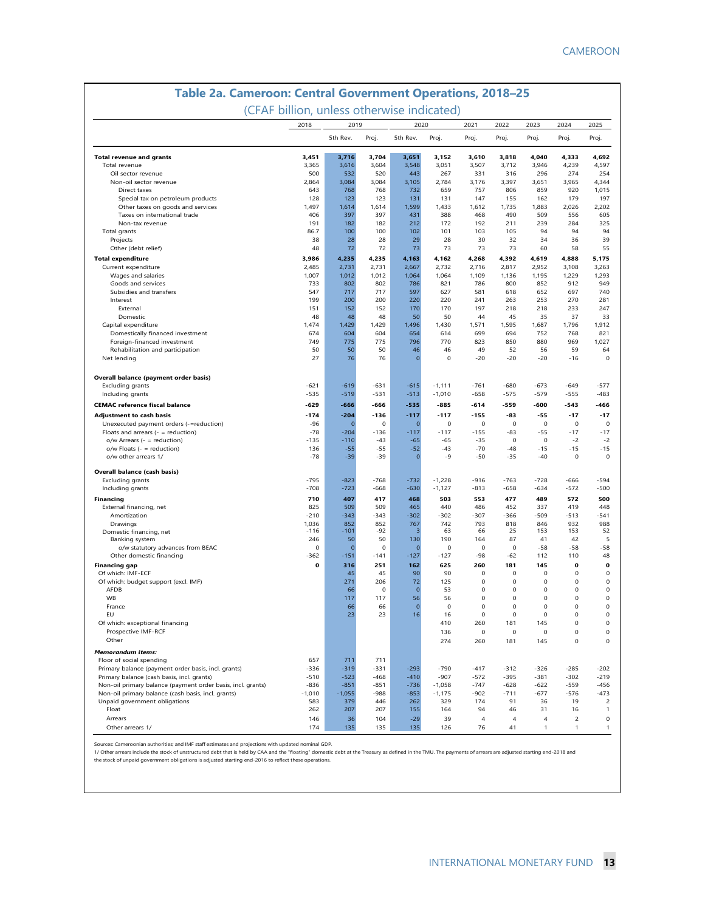| Table 2a. Cameroon: Central Government Operations, 2018-25  | (CFAF billion, unless otherwise indicated) |                 |             |                |              |                            |                |                     |                |                     |
|-------------------------------------------------------------|--------------------------------------------|-----------------|-------------|----------------|--------------|----------------------------|----------------|---------------------|----------------|---------------------|
|                                                             | 2018                                       | 2019            |             | 2020           |              | 2021                       | 2022           | 2023                | 2024           | 2025                |
|                                                             |                                            | 5th Rev.        | Proj.       | 5th Rev.       | Proj.        | Proj.                      | Proj.          | Proj.               | Proj.          | Proj.               |
| <b>Total revenue and grants</b>                             | 3,451                                      | 3,716           | 3,704       | 3,651          | 3,152        | 3,610                      | 3,818          | 4,040               | 4,333          | 4,692               |
| Total revenue                                               | 3,365                                      | 3,616           | 3,604       | 3,548          | 3,051        | 3,507                      | 3,712          | 3,946               | 4,239          | 4,597               |
| Oil sector revenue                                          | 500                                        | 532             | 520         | 443            | 267          | 331                        | 316            | 296                 | 274            | 254                 |
| Non-oil sector revenue                                      | 2,864                                      | 3,084           | 3,084       | 3,105          | 2,784        | 3,176                      | 3,397          | 3,651               | 3,965          | 4,344               |
| Direct taxes                                                | 643                                        | 768             | 768         | 732            | 659          | 757                        | 806            | 859                 | 920            | 1,015               |
| Special tax on petroleum products                           | 128                                        | 123             | 123         | 131            | 131          | 147                        | 155            | 162                 | 179            | 197                 |
| Other taxes on goods and services                           | 1,497                                      | 1,614           | 1,614       | 1,599          | 1,433        | 1,612                      | 1,735          | 1,883               | 2,026          | 2,202               |
| Taxes on international trade<br>Non-tax revenue             | 406<br>191                                 | 397<br>182      | 397<br>182  | 431<br>212     | 388<br>172   | 468<br>192                 | 490<br>211     | 509<br>239          | 556<br>284     | 605<br>325          |
| Total grants                                                | 86.7                                       | 100             | 100         | 102            | 101          | 103                        | 105            | 94                  | 94             | 94                  |
| Projects                                                    | 38                                         | 28              | 28          | 29             | 28           | 30                         | 32             | 34                  | 36             | 39                  |
| Other (debt relief)                                         | 48                                         | 72              | 72          | 73             | 73           | 73                         | 73             | 60                  | 58             | 55                  |
| <b>Total expenditure</b>                                    | 3,986                                      | 4,235           | 4,235       | 4,163          | 4,162        | 4,268                      | 4,392          | 4,619               | 4,888          | 5,175               |
| Current expenditure                                         | 2,485                                      | 2,731           | 2,731       | 2,667          | 2,732        | 2,716                      | 2,817          | 2,952               | 3,108          | 3,263               |
| Wages and salaries                                          | 1,007                                      | 1,012           | 1,012       | 1,064          | 1,064        | 1,109                      | 1,136          | 1,195               | 1,229          | 1,293               |
| Goods and services                                          | 733                                        | 802             | 802         | 786            | 821          | 786                        | 800            | 852                 | 912            | 949                 |
| Subsidies and transfers                                     | 547                                        | 717             | 717         | 597            | 627          | 581                        | 618            | 652                 | 697            | 740                 |
| Interest                                                    | 199                                        | 200             | 200         | 220            | 220          | 241                        | 263            | 253                 | 270            | 281                 |
| External                                                    | 151                                        | 152             | 152         | 170            | 170          | 197                        | 218            | 218                 | 233            | 247                 |
| Domestic                                                    | 48                                         | 48              | 48          | 50             | 50           | 44                         | 45             | 35                  | 37             | 33                  |
| Capital expenditure                                         | 1,474                                      | 1,429           | 1,429       | 1,496          | 1,430        | 1,571                      | 1,595          | 1,687               | 1,796          | 1,912               |
| Domestically financed investment                            | 674                                        | 604             | 604         | 654            | 614          | 699                        | 694            | 752                 | 768            | 821                 |
| Foreign-financed investment                                 | 749                                        | 775             | 775         | 796            | 770          | 823                        | 850            | 880                 | 969            | 1,027               |
| Rehabilitation and participation                            | 50                                         | 50              | 50          | 46             | 46           | 49                         | 52             | 56                  | 59             | 64                  |
| Net lending                                                 | 27                                         | 76              | 76          | $\overline{0}$ | $\mathbf 0$  | $-20$                      | $-20$          | $-20$               | $-16$          | $\mathbf 0$         |
| <b>Overall balance (payment order basis)</b>                |                                            |                 |             |                |              |                            |                |                     |                |                     |
| <b>Excluding grants</b>                                     | $-621$                                     | $-619$          | $-631$      | $-615$         | $-1,111$     | $-761$                     | $-680$         | $-673$              | $-649$         | $-577$              |
| Including grants                                            | $-535$                                     | $-519$          | $-531$      | $-513$         | $-1,010$     | $-658$                     | $-575$         | $-579$              | $-555$         | $-483$              |
| <b>CEMAC</b> reference fiscal balance                       | $-629$                                     | $-666$          | $-666$      | $-535$         | $-885$       | $-614$                     | $-559$         | -600                | $-543$         | -466                |
| <b>Adjustment to cash basis</b>                             | $-174$                                     | $-204$          | $-136$      | $-117$         | $-117$       | $-155$                     | $-83$          | $-55$               | $-17$          | $-17$               |
| Unexecuted payment orders (-=reduction)                     | $-96$                                      | $\overline{0}$  | $\mathbf 0$ | $\mathbf{O}$   | $\mathbf 0$  | $\mathbf 0$                | $\mathbf 0$    | $\mathbf 0$         | $\mathbf 0$    | $\mathbf 0$         |
| Floats and arrears $($ - = reduction)                       | $-78$                                      | $-204$          | $-136$      | $-117$         | $-117$       | $-155$                     | $-83$          | $-55$               | $-17$          | $-17$               |
| $o/w$ Arrears ( $-$ = reduction)                            | $-135$                                     | $-110$          | $-43$       | $-65$          | $-65$        | $-35$                      | $\mathbf 0$    | $\mathsf 0$         | $-2$           | $-2$                |
| $o/w$ Floats ( $-$ = reduction)                             | 136                                        | $-55$           | $-55$       | $-52$          | $-43$        | $-70$                      | $-48$          | $-15$               | $-15$          | $-15$               |
| o/w other arrears 1/                                        | $-78$                                      | $-39$           | $-39$       | $\mathbf{O}$   | $-9$         | $-50$                      | $-35$          | $-40$               | $\mathbf 0$    | $\mathbf 0$         |
| Overall balance (cash basis)<br>Excluding grants            | $-795$                                     | $-823$          | $-768$      | $-732$         | $-1,228$     | $-916$                     | $-763$         | $-728$              | -666           | $-594$              |
| Including grants                                            | $-708$                                     | $-723$          | $-668$      | $-630$         | $-1,127$     | $-813$                     | $-658$         | $-634$              | $-572$         | $-500$              |
|                                                             |                                            |                 |             |                |              |                            |                |                     |                |                     |
| Financing<br>External financing, net                        | 710<br>825                                 | 407<br>509      | 417<br>509  | 468<br>465     | 503<br>440   | 553<br>486                 | 477<br>452     | 489<br>337          | 572<br>419     | 500<br>448          |
| Amortization                                                | $-210$                                     | $-343$          | $-343$      | $-302$         | $-302$       | $-307$                     | $-366$         | $-509$              | $-513$         | $-541$              |
| Drawings                                                    | 1,036                                      | 852             | 852         | 767            | 742          | 793                        | 818            | 846                 | 932            | 988                 |
| Domestic financing, net                                     | $-116$                                     | $-101$          | $-92$       | В              | 63           | 66                         | 25             | 153                 | 153            | 52                  |
| Banking system                                              | 246                                        | 50              | 50          | 130            | 190          | 164                        | 87             | 41                  | 42             | 5                   |
| o/w statutory advances from BEAC                            | $\mathbf 0$                                | $\Omega$        | $\mathbf 0$ | $\Omega$       | $\mathsf{O}$ | $\mathsf{O}$               | $\mathbf 0$    | $-58$               | $-58$          | $-58$               |
| Other domestic financing                                    | $-362$                                     | $-151$          | -141        | $-127$         | $-127$       | -98                        | $-62$          | 112                 | 110            | 48                  |
| <b>Financing gap</b>                                        | 0                                          | 316             | 251         | 162            | 625          | 260                        | 181            | 145                 | 0              | 0                   |
| Of which: IMF-ECF                                           |                                            | 45              | 45          | 90             | 90           | 0                          | 0              | 0                   | 0              | $\mathsf{O}\xspace$ |
| Of which: budget support (excl. IMF)                        |                                            | 271             | 206         | 72             | 125          | 0                          | 0              | $\mathsf{O}$        | 0              | $\mathsf{O}\xspace$ |
| AFDB                                                        |                                            | 66              | 0           | $\mathbf{O}$   | 53           | $\mathbf 0$                | 0              | $\mathbf 0$         | 0              | $\mathsf{O}\xspace$ |
| WВ                                                          |                                            | 117             | 117         | 56             | 56           | o                          |                | U                   | υ              | $^{(1)}$            |
| France                                                      |                                            | 66              | 66          | $\mathbf 0$    | $\mathbf 0$  | $\mathsf{O}\xspace$        | 0              | $\mathbf 0$         | 0              | $\mathsf{O}\xspace$ |
| EU                                                          |                                            | 23              | 23          | 16             | 16           | 0                          | 0              | 0                   | 0              | $\mathsf{O}\xspace$ |
| Of which: exceptional financing                             |                                            |                 |             |                | 410          | 260                        | 181            | 145                 | 0              | 0                   |
| Prospective IMF-RCF<br>Other                                |                                            |                 |             |                | 136<br>274   | $\mathsf{O}\xspace$<br>260 | 0<br>181       | $\mathsf{O}$<br>145 | 0<br>0         | 0<br>$\mathbf 0$    |
| <b>Memorandum items:</b>                                    |                                            |                 |             |                |              |                            |                |                     |                |                     |
| Floor of social spending                                    | 657                                        | 711             | 711         |                |              |                            |                |                     |                |                     |
| Primary balance (payment order basis, incl. grants)         | $-336$                                     | $-319$          | $-331$      | $-293$         | $-790$       | $-417$                     | $-312$         | $-326$              | $-285$         | $-202$              |
| Primary balance (cash basis, incl. grants)                  | $-510$                                     | $-523$          | -468        | $-410$         | $-907$       | $-572$                     | $-395$         | $-381$              | $-302$         | $-219$              |
| Non-oil primary balance (payment order basis, incl. grants) | $-836$                                     | $-851$          | $-851$      | $-736$         | $-1,058$     | $-747$                     | $-628$         | $-622$              | $-559$         | $-456$              |
| Non-oil primary balance (cash basis, incl. grants)          | $-1,010$                                   | $-1,055$<br>379 | $-988$      | $-853$<br>262  | $-1,175$     | $-902$<br>174              | $-711$<br>91   | $-677$              | $-576$<br>19   | $-473$              |
| Unpaid government obligations<br>Float                      | 583<br>262                                 | 207             | 446<br>207  | 155            | 329<br>164   | 94                         | 46             | 36<br>31            | 16             | 2<br>1              |
| Arrears                                                     | 146                                        | 36              | 104         | $-29$          | 39           | $\overline{4}$             | $\overline{4}$ | $\overline{4}$      | $\overline{c}$ | $\mathbf 0$         |
| Other arrears 1/                                            | 174                                        | 135             | 135         | 135            | 126          | 76                         | 41             | $\mathbf{1}$        | 1              | $\mathbf{1}$        |
|                                                             |                                            |                 |             |                |              |                            |                |                     |                |                     |

Sources: Cameroonian authorities; and IMF staff estimates and projections with updated nominal GDP.<br>1/ Other arrears include the stock of unstructured debt that is held by CAA and the "floating" domestic debt at the Treasu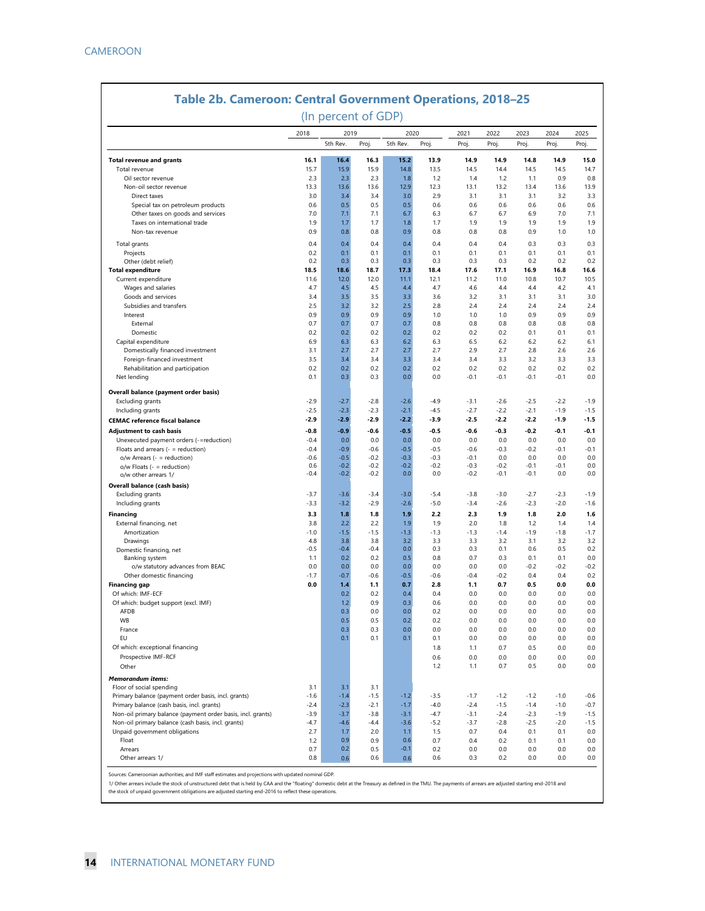|                                                                                                   |            | (In percent of GDP) |        |            |        |        |            |            |            |            |
|---------------------------------------------------------------------------------------------------|------------|---------------------|--------|------------|--------|--------|------------|------------|------------|------------|
|                                                                                                   | 2018       | 2019                |        | 2020       |        | 2021   | 2022       | 2023       | 2024       | 2025       |
|                                                                                                   |            | 5th Rev.            | Proj.  | 5th Rev.   | Proj.  | Proj.  | Proj.      | Proj.      | Proj.      | Proj.      |
| <b>Total revenue and grants</b>                                                                   | 16.1       | 16.4                | 16.3   | 15.2       | 13.9   | 14.9   | 14.9       | 14.8       | 14.9       | 15.0       |
| Total revenue                                                                                     | 15.7       | 15.9                | 15.9   | 14.8       | 13.5   | 14.5   | 14.4       | 14.5       | 14.5       | 14.7       |
| Oil sector revenue                                                                                | 2.3        | 2.3                 | 2.3    | 1.8        | 1.2    | 1.4    | 1.2        | 1.1        | 0.9        | 0.8        |
| Non-oil sector revenue                                                                            | 13.3       | 13.6                | 13.6   | 12.9       | 12.3   | 13.1   | 13.2       | 13.4       | 13.6       | 13.9       |
| Direct taxes                                                                                      | 3.0        | 3.4                 | 3.4    | 3.0        | 2.9    | 3.1    | 3.1        | 3.1        | 3.2        | 3.3        |
| Special tax on petroleum products                                                                 | 0.6        | 0.5                 | 0.5    | 0.5        | 0.6    | 0.6    | 0.6        | 0.6        | 0.6        | 0.6        |
| Other taxes on goods and services                                                                 | 7.0        | 7.1                 | 7.1    | 6.7        | 6.3    | 6.7    | 6.7        | 6.9        | 7.0        | 7.1        |
| Taxes on international trade                                                                      | 1.9        | 1.7                 | 1.7    | 1.8        | 1.7    | 1.9    | 1.9        | 1.9        | 1.9        |            |
| Non-tax revenue                                                                                   | 0.9        | 0.8                 | 0.8    | 0.9        | 0.8    | 0.8    | 0.8        | 0.9        | 1.0        |            |
| Total grants                                                                                      | 0.4        | 0.4                 | 0.4    | 0.4        | 0.4    | 0.4    | 0.4        | 0.3        | 0.3        | 0.3        |
| Projects                                                                                          | 0.2        | 0.1                 | 0.1    | 0.1        | 0.1    | 0.1    | 0.1        | 0.1        | 0.1        | 0.1        |
| Other (debt relief)                                                                               | 0.2        | 0.3                 | 0.3    | 0.3        | 0.3    | 0.3    | 0.3        | 0.2        | 0.2        | 0.2        |
| <b>Total expenditure</b>                                                                          | 18.5       | 18.6                | 18.7   | 17.3       | 18.4   | 17.6   | 17.1       | 16.9       | 16.8       | 16.6       |
| Current expenditure                                                                               | 11.6       | 12.0                | 12.0   | 11.1       | 12.1   | 11.2   | 11.0       | 10.8       | 10.7       | 10.5       |
| Wages and salaries                                                                                | 4.7        | 4.5                 | 4.5    | 4.4        | 4.7    | 4.6    | 4.4        | 4.4        | 4.2        | 4.1        |
| Goods and services                                                                                | 3.4        | 3.5                 | 3.5    | 3.3        | 3.6    | 3.2    | 3.1        | 3.1        | 3.1        | 3.0<br>2.4 |
| Subsidies and transfers                                                                           | 2.5        | 3.2                 | 3.2    | 2.5        | 2.8    | 2.4    | 2.4        | 2.4        | 2.4        |            |
| Interest                                                                                          | 0.9        | 0.9                 | 0.9    | 0.9        | 1.0    | 1.0    | 1.0        | 0.9        | 0.9        |            |
| External                                                                                          | 0.7        | 0.7                 | 0.7    | 0.7        | 0.8    | 0.8    | 0.8        | 0.8        | 0.8        | 0.8        |
| Domestic                                                                                          | 0.2        | 0.2                 | 0.2    | 0.2        | 0.2    | 0.2    | 0.2        | 0.1        | 0.1        | 0.1        |
| Capital expenditure                                                                               | 6.9        | 6.3                 | 6.3    | 6.2        | 6.3    | 6.5    | 6.2        | 6.2        | 6.2        | 6.1        |
| Domestically financed investment                                                                  | 3.1        | 2.7                 | 2.7    | 2.7        | 2.7    | 2.9    | 2.7        | 2.8        | 2.6        | 2.6        |
| Foreign-financed investment                                                                       | 3.5        | 3.4                 | 3.4    | 3.3        | 3.4    | 3.4    | 3.3        | 3.2        | 3.3        | 3.3        |
| Rehabilitation and participation                                                                  | 0.2        | 0.2                 | 0.2    | 0.2        | 0.2    | 0.2    | 0.2        | 0.2        | 0.2        | 0.2        |
| Net lending                                                                                       | 0.1        | 0.3                 | 0.3    | 0.0        | 0.0    | $-0.1$ | $-0.1$     | $-0.1$     | $-0.1$     | 0.0        |
| Overall balance (payment order basis)                                                             |            |                     |        |            |        |        |            |            |            |            |
| <b>Excluding grants</b>                                                                           | $-2.9$     | $-2.7$              | $-2.8$ | $-2.6$     | $-4.9$ | $-3.1$ | $-2.6$     | $-2.5$     | $-2.2$     | $-1.9$     |
| Including grants                                                                                  | $-2.5$     | $-2.3$              | $-2.3$ | $-2.1$     | $-4.5$ | $-2.7$ | $-2.2$     | $-2.1$     | $-1.9$     | $-1.5$     |
| <b>CEMAC</b> reference fiscal balance                                                             | $-2.9$     | $-2.9$              | $-2.9$ | $-2.2$     | $-3.9$ | $-2.5$ | $-2.2$     | $-2.2$     | $-1.9$     | $-1.5$     |
| <b>Adjustment to cash basis</b>                                                                   | $-0.8$     | $-0.9$              | $-0.6$ | $-0.5$     | $-0.5$ | $-0.6$ | $-0.3$     | $-0.2$     | $-0.1$     | $-0.1$     |
| Unexecuted payment orders (-=reduction)                                                           | $-0.4$     | 0.0                 | 0.0    | 0.0        | 0.0    | 0.0    | 0.0        | 0.0        | 0.0        | 0.0        |
| Floats and arrears $($ - = reduction)                                                             | $-0.4$     | $-0.9$              | $-0.6$ | $-0.5$     | $-0.5$ | $-0.6$ | $-0.3$     | $-0.2$     | $-0.1$     | $-0.1$     |
| o/w Arrears (- = reduction)                                                                       | $-0.6$     | $-0.5$              | $-0.2$ | $-0.3$     | $-0.3$ | $-0.1$ | 0.0        | 0.0        | 0.0        | 0.0        |
| $o/w$ Floats (- = reduction)                                                                      | 0.6        | $-0.2$              | $-0.2$ | $-0.2$     | $-0.2$ | $-0.3$ | $-0.2$     | $-0.1$     | $-0.1$     | 0.0        |
| o/w other arrears 1/                                                                              | $-0.4$     | $-0.2$              | $-0.2$ | 0.0        | 0.0    | $-0.2$ | $-0.1$     | $-0.1$     | 0.0        | 0.0        |
| Overall balance (cash basis)                                                                      |            |                     |        |            |        |        |            |            |            |            |
| Excluding grants                                                                                  | $-3.7$     | $-3.6$              | $-3.4$ | $-3.0$     | $-5.4$ | $-3.8$ | $-3.0$     | $-2.7$     | $-2.3$     | $-1.9$     |
| Including grants                                                                                  | $-3.3$     | $-3.2$              | $-2.9$ | $-2.6$     | $-5.0$ | $-3.4$ | $-2.6$     | $-2.3$     | $-2.0$     | $-1.6$     |
| <b>Financing</b>                                                                                  | 3.3        | 1.8                 | 1.8    | 1.9        | 2.2    | 2.3    | 1.9        | 1.8        | 2.0        | 1.6        |
| External financing, net                                                                           | 3.8        | 2.2                 | 2.2    | 1.9        | 1.9    | 2.0    | 1.8        | 1.2        | 1.4        | 1.4        |
| Amortization                                                                                      | $-1.0$     | $-1.5$              | $-1.5$ | $-1.3$     | $-1.3$ | $-1.3$ | $-1.4$     | $-1.9$     | $-1.8$     | $-1.7$     |
| Drawings                                                                                          | 4.8        | 3.8                 | 3.8    | 3.2        | 3.3    | 3.3    | 3.2        | 3.1        | 3.2        | 3.2        |
| Domestic financing, net                                                                           | $-0.5$     | $-0.4$              | $-0.4$ | 0.0        | 0.3    | 0.3    | 0.1        | 0.6        | 0.5        | 0.2        |
| Banking system                                                                                    | 1.1        | 0.2                 | 0.2    | 0.5        | 0.8    | 0.7    | 0.3        | 0.1        | 0.1        | 0.0        |
| o/w statutory advances from BEAC                                                                  | 0.0        | 0.0                 | 0.0    | 0.0        | 0.0    | 0.0    | 0.0        | $-0.2$     | $-0.2$     | -0.2       |
| Other domestic financing                                                                          | $-1.7$     | $-0.7$              | $-0.6$ | $-0.5$     | $-0.6$ | $-0.4$ | $-0.2$     | 0.4        | 0.4        | 0.2        |
| <b>Financing gap</b>                                                                              | 0.0        | 1.4                 | 1.1    | 0.7        | 2.8    | 1.1    | 0.7        | 0.5        | 0.0        | 0.0        |
| Of which: IMF-ECF                                                                                 |            | 0.2                 | 0.2    | 0.4        | 0.4    | 0.0    | 0.0        | 0.0        | 0.0        | 0.0        |
| Of which: budget support (excl. IMF)                                                              |            | 1.2                 | 0.9    | 0.3        | 0.6    | 0.0    | 0.0        | 0.0        | 0.0        | 0.0        |
| AFDB                                                                                              |            | 0.3                 | 0.0    | 0.0        | 0.2    | 0.0    | 0.0        | 0.0        | 0.0        |            |
| <b>WB</b>                                                                                         |            | 0.5                 | 0.5    | 0.2        | 0.2    | 0.0    | 0.0        | 0.0        | 0.0        |            |
| France                                                                                            |            | 0.3                 | 0.3    | 0.0        | 0.0    | 0.0    | 0.0        | 0.0        | 0.0        |            |
| EU                                                                                                |            | 0.1                 | 0.1    | 0.1        | 0.1    | 0.0    | 0.0        | 0.0        | 0.0        |            |
| Of which: exceptional financing                                                                   |            |                     |        |            | 1.8    | 1.1    | 0.7        | 0.5        | 0.0        |            |
| Prospective IMF-RCF                                                                               |            |                     |        |            | 0.6    | 0.0    | 0.0        | 0.0        | 0.0        | 0.0<br>0.0 |
| Other                                                                                             |            |                     |        |            | $1.2$  | 1.1    | 0.7        | 0.5        | 0.0        | 0.0        |
| Memorandum items:                                                                                 |            |                     |        |            |        |        |            |            |            |            |
| Floor of social spending                                                                          | 3.1        | 3.1                 | 3.1    |            |        |        |            |            |            |            |
|                                                                                                   | $-1.6$     | $-1.4$              | $-1.5$ | $-1.2$     | $-3.5$ | $-1.7$ | $-1.2$     | $-1.2$     | $-1.0$     | $-0.6$     |
| Primary balance (payment order basis, incl. grants)<br>Primary balance (cash basis, incl. grants) | $-2.4$     | $-2.3$              | $-2.1$ | $-1.7$     | $-4.0$ | $-2.4$ | $-1.5$     | $-1.4$     | $-1.0$     | -0.7       |
|                                                                                                   | $-3.9$     | $-3.7$              | $-3.8$ | $-3.1$     | $-4.7$ | $-3.1$ | $-2.4$     | $-2.3$     | $-1.9$     | $-1.5$     |
| Non-oil primary balance (payment order basis, incl. grants)                                       | $-4.7$     |                     | $-4.4$ |            |        | $-3.7$ |            |            | $-2.0$     |            |
| Non-oil primary balance (cash basis, incl. grants)                                                | 2.7        | $-4.6$              | 2.0    | $-3.6$     | $-5.2$ | 0.7    | $-2.8$     | $-2.5$     |            | $-1.5$     |
| Unpaid government obligations<br>Float                                                            | 1.2        | 1.7<br>0.9          | 0.9    | 1.1<br>0.6 | 1.5    | 0.4    | 0.4<br>0.2 | 0.1<br>0.1 | 0.1<br>0.1 | 0.0<br>0.0 |
| Arrears                                                                                           |            | 0.2                 |        | $-0.1$     | 0.7    |        |            |            |            | 0.0        |
|                                                                                                   | 0.7<br>0.8 |                     | 0.5    |            | 0.2    | 0.0    | 0.0        | 0.0        | 0.0        |            |

Sources: Cameroonian authorities; and IMF staff estimates and projections with updated nominal GDP.

1/ Other arrears include the stock of unstructured debt that is held by CAA and the "floating" domestic debt at the Treasury as defined in the TMU. The payments of arrears are adjusted starting end-2018 and<br>the stock of un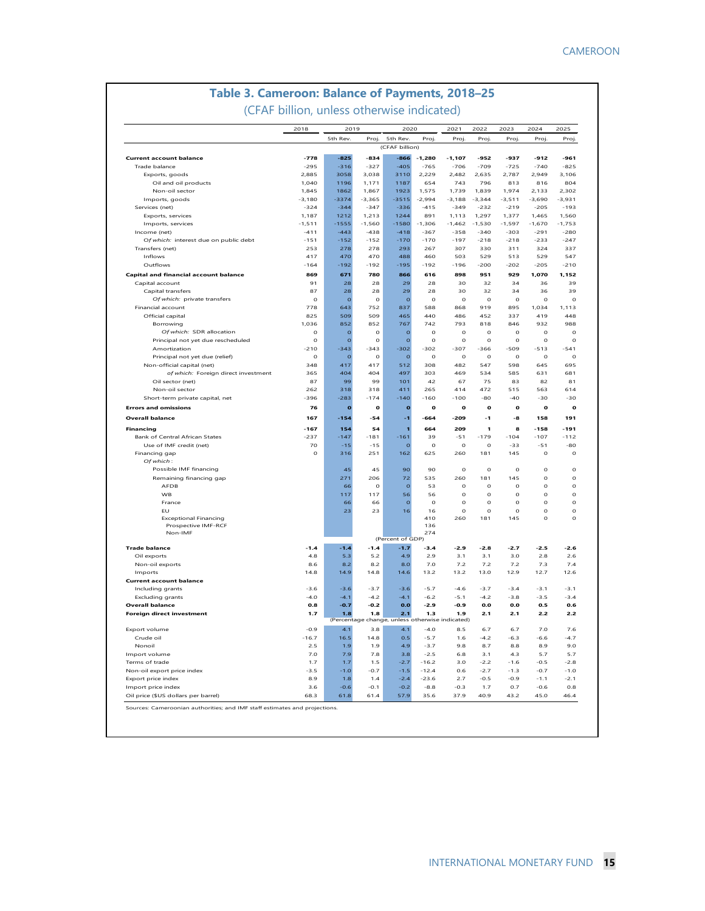### **Table 3. Cameroon: Balance of Payments, 2018–25**

(CFAF billion, unless otherwise indicated)

|                                                                                                                                              | 2018             | 2019             |                  | 2020                                                   |                     | 2021               | 2022             | 2023             | 2024             | 2025                                                              |
|----------------------------------------------------------------------------------------------------------------------------------------------|------------------|------------------|------------------|--------------------------------------------------------|---------------------|--------------------|------------------|------------------|------------------|-------------------------------------------------------------------|
|                                                                                                                                              |                  | 5th Rev.         | Proj.            | 5th Rev.                                               | Proj.               | Proj.              | Proj.            | Proj.            | Proj.            | Proj.                                                             |
|                                                                                                                                              |                  |                  |                  | (CFAF billion)                                         |                     |                    |                  |                  |                  |                                                                   |
| <b>Current account balance</b><br>Trade balance                                                                                              | $-778$<br>$-295$ | $-825$<br>$-316$ | $-834$<br>$-327$ | $-866$<br>$-405$                                       | $-1.280$<br>$-765$  | $-1.107$<br>$-706$ | $-952$<br>$-709$ | $-937$<br>$-725$ | $-912$<br>$-740$ | $-961$<br>$-825$                                                  |
| Exports, goods                                                                                                                               | 2,885            | 3058             | 3,038            | 3110                                                   | 2,229               | 2,482              | 2,635            | 2,787            | 2,949            | 3,106                                                             |
| Oil and oil products                                                                                                                         | 1,040            | 1196             | 1,171            | 1187                                                   | 654                 | 743                | 796              | 813              | 816              | 804                                                               |
| Non-oil sector                                                                                                                               | 1,845            | 1862             | 1,867            | 1923                                                   | 1,575               | 1.739              | 1,839            | 1.974            | 2.133            | 2,302                                                             |
| Imports, goods                                                                                                                               | $-3,180$         | $-3374$          | $-3,365$         | $-3515$                                                | $-2,994$            | $-3,188$           | $-3,344$         | $-3,511$         | $-3,690$         | $-3,931$                                                          |
| Services (net)                                                                                                                               | $-324$           | $-344$           | $-347$           | $-336$                                                 | $-415$              | $-349$             | $-232$           | $-219$           | $-205$           | $-193$                                                            |
| Exports, services                                                                                                                            | 1.187            | 1212             | 1,213            | 1244                                                   | 891                 | 1,113              | 1,297            | 1.377            | 1,465            | 1.560                                                             |
| Imports, services                                                                                                                            | $-1, 511$        | $-1555$          | $-1,560$         | $-1580$                                                | $-1,306$            | $-1,462$           | $-1,530$         | $-1,597$         | $-1,670$         | $-1,753$                                                          |
| Income (net)                                                                                                                                 | $-411$           | $-443$           | $-438$           | $-418$                                                 | $-367$              | $-358$             | $-340$           | $-303$           | $-291$           | $-280$                                                            |
|                                                                                                                                              | $-151$           | $-152$           | $-152$           | $-170$                                                 | $-170$              | $-197$             | $-218$           | $-218$           | $-233$           | $-247$                                                            |
| Of which: interest due on public debt<br>Transfers (net)                                                                                     | 253              | 278              | 278              | 293                                                    | 267                 | 307                | 330              | 311              | 324              | 337                                                               |
| Inflows                                                                                                                                      | 417              | 470              | 470              | 488                                                    | 460                 | 503                | 529              | 513              | 529              | 547                                                               |
| Outflows                                                                                                                                     | $-164$           | $-192$           | $-192$           | $-195$                                                 | $-192$              | $-196$             | $-200$           | $-202$           | $-205$           | $-210$                                                            |
|                                                                                                                                              |                  |                  |                  |                                                        |                     |                    |                  |                  |                  |                                                                   |
| <b>Capital and financial account balance</b>                                                                                                 | 869              | 671              | 780              | 866                                                    | 616                 | 898                | 951              | 929              | 1.070            | 1.152                                                             |
| Capital account                                                                                                                              | 91               | 28               | 28               | 29                                                     | 28                  | 30                 | 32               | 34               | 36               |                                                                   |
| Capital transfers                                                                                                                            | 87               | 28               | 28               | 2 <sub>9</sub>                                         | 28                  | 30                 | 32               | 34               | 36               |                                                                   |
| Of which: private transfers                                                                                                                  | $\Omega$         | $\circ$          | $\mathbf 0$      | $\circ$                                                | $\rm _O$            | $\mathbf 0$        | $\mathbf 0$      | $\mathbf 0$      | $\mathbf 0$      |                                                                   |
| Financial account                                                                                                                            | 778              | 643              | 752              | 837                                                    | 588                 | 868                | 919              | 895              | 1.034            | 1.113                                                             |
| Official capital                                                                                                                             | 825              | 509              | 509              | 465                                                    | 440                 | 486                | 452              | 337              | 419              | 448                                                               |
| Borrowing                                                                                                                                    | 1,036            | 852              | 852              | 767                                                    | 742                 | 793                | 818              | 846              | 932              | 988                                                               |
| Of which: SDR allocation                                                                                                                     | $\mathbf O$      | $\circ$          | $\mathbf 0$      | $\mathbf{o}$                                           | $\mathsf O$         | $\mathbf 0$        | $\mathbf 0$      | $\mathbf 0$      | $\mathbf 0$      |                                                                   |
| Principal not yet due rescheduled                                                                                                            | $\circ$          | $\circ$          | $\circ$          | $\overline{O}$                                         | $\circ$             | $\circ$            | $\circ$          | $\circ$          | $\circ$          |                                                                   |
| Amortization                                                                                                                                 | $-210$           | $-343$           | $-343$           | $-302$                                                 | $-302$              | $-307$             | $-366$           | $-509$           | $-513$           | $-541$                                                            |
| Principal not yet due (relief)                                                                                                               | $\mathbf{o}$     | $\Omega$         | $\circ$          | $\overline{O}$                                         | $\mathsf{o}\xspace$ | $\circ$            | $\circ$          | $\circ$          | $\circ$          |                                                                   |
| Non-official capital (net)                                                                                                                   | 348              | 417              | 417              | 512                                                    | 308                 | 482                | 547              | 598              | 645              | 695                                                               |
| of which: Foreign direct investment                                                                                                          | 365              | 404              | 404              | 497                                                    | 303                 | 469                | 534              | 585              | 631              | 681                                                               |
| Oil sector (net)                                                                                                                             | 87               | 99               | 99               | 101                                                    | 42                  | 67                 | 75               | 83               | 82               |                                                                   |
| Non-oil sector                                                                                                                               | 262              | 318              | 318              | 411                                                    | 265                 | 414                | 472              | 515              | 563              | 614                                                               |
| Short-term private capital, net                                                                                                              | $-396$           | $-283$           | $-174$           | $-140$                                                 | $-160$              | $-100$             | $-80$            | $-40$            | $-30$            | $-30$                                                             |
| <b>Errors and omissions</b>                                                                                                                  | 76               | $\mathbf{o}$     | $\mathbf{o}$     | $\bf{o}$                                               | o                   | $\mathbf{o}$       | $\mathbf{o}$     | o                | o                |                                                                   |
|                                                                                                                                              |                  |                  |                  |                                                        |                     |                    |                  |                  |                  |                                                                   |
| <b>Overall balance</b>                                                                                                                       | 167              | $-154$           | $-54$            | -1                                                     | $-664$              | $-209$             | $-1$             | -8               | 158              | 191                                                               |
| <b>Financing</b>                                                                                                                             | $-167$           | 154              | 54               | п                                                      | 664                 | 209                | 1                | 8                | $-158$           | $-191$                                                            |
| Bank of Central African States                                                                                                               | $-237$           | $-147$           | $-181$           | $-161$                                                 | 39                  | $-51$              | $-179$           | $-104$           | $-107$           | $-112$                                                            |
| Use of IMF credit (net)                                                                                                                      | 70               | $-15$            | $-15$            | $\overline{c}$                                         | $\rm _O$            | $\mathbf 0$        | $\mathbf 0$      | $-33$            | $-51$            | $-80$                                                             |
| Financing gap                                                                                                                                | $\circ$          | 316              | 251              | 162                                                    | 625                 | 260                | 181              | 145              | $\circ$          |                                                                   |
| Of which:                                                                                                                                    |                  |                  |                  |                                                        |                     |                    |                  |                  |                  |                                                                   |
| Possible IMF financing                                                                                                                       |                  | 45               | 45               | 90                                                     | 90                  | $\circ$            | $\circ$          | $\circ$          | $\circ$          |                                                                   |
| Remaining financing gap                                                                                                                      |                  | 271              | 206              | 72                                                     | 535                 | 260                | 181              | 145              | $\mathsf O$      |                                                                   |
| AFDB                                                                                                                                         |                  | 66               | $\circ$          | $\mathbf{o}$                                           | 53                  | $\circ$            | $\circ$          | o                | O                |                                                                   |
| <b>WB</b>                                                                                                                                    |                  | 117              | 117              | 56                                                     | 56                  | $\mathbf 0$        | $\mathbf 0$      | O                | $\mathsf O$      |                                                                   |
| France                                                                                                                                       |                  | 66               | 66               | $\circ$                                                | $\mathbf{o}$        | $\circ$            | $\circ$          | $\circ$          | $\circ$          |                                                                   |
| EU                                                                                                                                           |                  | 23               | 23               | 16                                                     | 16                  | $\circ$            | $\circ$          | $\circ$          | $\circ$          |                                                                   |
| <b>Exceptional Financing</b>                                                                                                                 |                  |                  |                  |                                                        | 410                 | 260                | 181              | 145              | $\circ$          |                                                                   |
| Prospective IMF-RCF                                                                                                                          |                  |                  |                  |                                                        | 136                 |                    |                  |                  |                  |                                                                   |
| Non-IMF                                                                                                                                      |                  |                  |                  |                                                        | 274                 |                    |                  |                  |                  |                                                                   |
|                                                                                                                                              |                  |                  |                  | (Percent of GDP)                                       |                     |                    |                  |                  |                  |                                                                   |
| <b>Trade balance</b>                                                                                                                         |                  |                  |                  |                                                        |                     |                    |                  | $-2.7$           | $-2.5$           | $-2.6$                                                            |
|                                                                                                                                              | $-1.4$           | $-1.4$           | $-1.4$           | $-1.7$                                                 | $-3.4$              | $-2.9$             | $-2.8$           |                  |                  |                                                                   |
| Oil exports                                                                                                                                  | 4.8              | 5.3              | 5.2              | 4.9                                                    | 2.9                 | 3.1                | 3.1              | 3.0              | 2.8              |                                                                   |
| Non-oil exports                                                                                                                              | 8.6              | 8.2              | 8.2              | 8.0                                                    | 70                  | 7.2                | 72               | 72               | 73               |                                                                   |
|                                                                                                                                              |                  | 14.9             |                  |                                                        |                     |                    | 13.0             |                  | 12.7             | 2.6<br>7.4<br>12.6                                                |
| Imports                                                                                                                                      | 14.8             |                  | 14.8             | 14.6                                                   | 13.2                | 13.2               |                  | 12.9             |                  |                                                                   |
| <b>Current account balance</b>                                                                                                               | $-3.6$           | $-3.6$           | $-3.7$           | $-3.6$                                                 | $-5.7$              | $-4.6$             | $-3.7$           | $-3.4$           | $-3.1$           |                                                                   |
| Including grants                                                                                                                             |                  |                  |                  |                                                        |                     |                    |                  |                  |                  |                                                                   |
| <b>Excluding grants</b>                                                                                                                      | $-4.0$           | $-4.1$           | $-4.2$           | $-4.1$                                                 | $-6.2$              | $-5.1$             | $-4.2$           | $-3.8$           | $-3.5$           |                                                                   |
|                                                                                                                                              | 0.8              | $-0.7$           | $-0.2$           | 0.0                                                    | $-2.9$              | $-0.9$             | 0.0              | 0.0              | 0.5              | $-3.1$<br>$-3.4$<br>0.6                                           |
|                                                                                                                                              | 1.7              | $1.8$            | 1.8              | 2.1<br>(Percentage change, unless otherwise indicated) | 1.3                 | 1.9                | 2.1              | 2.1              | 2.2              |                                                                   |
|                                                                                                                                              |                  |                  |                  |                                                        |                     |                    |                  |                  |                  |                                                                   |
|                                                                                                                                              | $-0.9$           | 4.1              | 3.8              | 4.1                                                    | $-4.0$              | 8.5                | 6.7              | 6.7              | 7.0              | 2.2<br>7.6                                                        |
| Crude oil                                                                                                                                    | $-16.7$          | 16.5             | 14.8             | 0.5                                                    | $-5.7$              | 1.6                | $-4.2$           | $-6.3$           | $-6.6$           |                                                                   |
| Nonoil                                                                                                                                       | 2.5              | 1.9              | 1.9              | 4.9                                                    | $-3.7$              | 9.8                | 8.7              | 8.8              | 8.9              |                                                                   |
|                                                                                                                                              | 7.0              | 7.9              | 7.8              | 3.8                                                    | $-2.5$              | 6.8                | 3.1              | 4.3              | 5.7              |                                                                   |
|                                                                                                                                              | 1.7              | 1.7              | 1.5              | $-2.7$                                                 | $-16.2$             | 3.0                | $-2.2$           | $-1.6$           | $-0.5$           |                                                                   |
| <b>Overall balance</b><br><b>Foreign direct investment</b><br>Export volume<br>Import volume<br>Terms of trade<br>Non-oil export price index | $-3.5$           | $-1.0$           | $-0.7$           | $-1.5$                                                 | $-12.4$             | 0.6                | $-2.7$           | $-1.3$           | $-0.7$           |                                                                   |
| Export price index                                                                                                                           | 8.9              | 1.8              | 1.4              | $-2.4$                                                 | $-23.6$             | 2.7                | $-0.5$           | $-0.9$           | $-1.1$           |                                                                   |
| Import price index<br>Oil price (\$US dollars per barrel)                                                                                    | 3.6<br>68.3      | $-0.6$<br>61.8   | $-0.1$<br>61.4   | $-0.2$<br>57.9                                         | $-8.8$<br>35.6      | $-0.3$<br>37.9     | 1.7<br>40.9      | 0.7<br>43.2      | $-0.6$<br>45.0   | $-4.7$<br>9.0<br>5.7<br>$-2.8$<br>$-1.0$<br>$-2.1$<br>0.8<br>46.4 |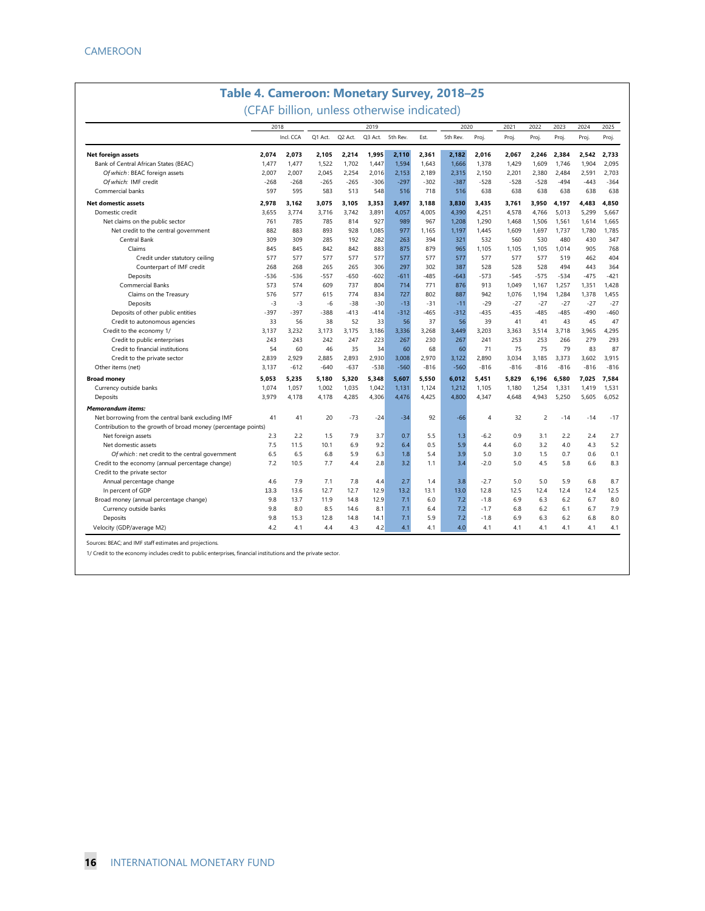|                                                               | 2018   |           |         |         | 2019    |          |        | 2020     |                | 2021   | 2022           | 2023   | 2024   | 2025   |
|---------------------------------------------------------------|--------|-----------|---------|---------|---------|----------|--------|----------|----------------|--------|----------------|--------|--------|--------|
|                                                               |        | Incl. CCA | Q1 Act. | Q2 Act. | Q3 Act. | 5th Rev. | Est.   | 5th Rev. | Proj.          | Proj.  | Proj.          | Proj.  | Proj.  | Proj.  |
| Net foreign assets                                            | 2.074  | 2.073     | 2.105   | 2.214   | 1.995   | 2.110    | 2.361  | 2.182    | 2.016          | 2,067  | 2.246          | 2,384  | 2,542  | 2.733  |
| Bank of Central African States (BEAC)                         | 1.477  | 1,477     | 1,522   | 1,702   | 1,447   | 1,594    | 1,643  | 1,666    | 1,378          | 1,429  | 1,609          | 1,746  | 1,904  | 2,095  |
| Of which: BEAC foreign assets                                 | 2.007  | 2,007     | 2,045   | 2,254   | 2,016   | 2,153    | 2,189  | 2,315    | 2,150          | 2,201  | 2,380          | 2,484  | 2,591  | 2,703  |
| Of which: IMF credit                                          | $-268$ | $-268$    | $-265$  | $-265$  | $-306$  | $-297$   | $-302$ | $-387$   | $-528$         | $-528$ | $-528$         | $-494$ | $-443$ | $-364$ |
| Commercial banks                                              | 597    | 595       | 583     | 513     | 548     | 516      | 718    | 516      | 638            | 638    | 638            | 638    | 638    | 638    |
| <b>Net domestic assets</b>                                    | 2.978  | 3.162     | 3.075   | 3.105   | 3,353   | 3,497    | 3.188  | 3.830    | 3.435          | 3.761  | 3.950          | 4.197  | 4.483  | 4.850  |
| Domestic credit                                               | 3,655  | 3,774     | 3,716   | 3,742   | 3,891   | 4,057    | 4,005  | 4,390    | 4,251          | 4,578  | 4,766          | 5,013  | 5,299  | 5,667  |
| Net claims on the public sector                               | 761    | 785       | 785     | 814     | 927     | 989      | 967    | 1,208    | 1,290          | 1,468  | 1,506          | 1,561  | 1,614  | 1,665  |
| Net credit to the central government                          | 882    | 883       | 893     | 928     | 1.085   | 977      | 1.165  | 1,197    | 1.445          | 1.609  | 1,697          | 1.737  | 1,780  | 1.785  |
| Central Bank                                                  | 309    | 309       | 285     | 192     | 282     | 263      | 394    | 321      | 532            | 560    | 530            | 480    | 430    | 347    |
| Claims                                                        | 845    | 845       | 842     | 842     | 883     | 875      | 879    | 965      | 1,105          | 1,105  | 1,105          | 1,014  | 905    | 768    |
| Credit under statutory ceiling                                | 577    | 577       | 577     | 577     | 577     | 577      | 577    | 577      | 577            | 577    | 577            | 519    | 462    | 404    |
| Counterpart of IMF credit                                     | 268    | 268       | 265     | 265     | 306     | 297      | 302    | 387      | 528            | 528    | 528            | 494    | 443    | 364    |
| Deposits                                                      | -536   | $-536$    | -557    | $-650$  | $-602$  | $-611$   | $-485$ | $-643$   | $-573$         | $-545$ | $-575$         | $-534$ | $-475$ | $-421$ |
| Commercial Banks                                              | 573    | 574       | 609     | 737     | 804     | 714      | 771    | 876      | 913            | 1,049  | 1,167          | 1,257  | 1,351  | 1,428  |
| Claims on the Treasury                                        | 576    | 577       | 615     | 774     | 834     | 727      | 802    | 887      | 942            | 1,076  | 1,194          | 1,284  | 1,378  | 1,455  |
| Deposits                                                      | $-3$   | $-3$      | $-6$    | $-38$   | $-30$   | $-13$    | $-31$  | $-11$    | $-29$          | $-27$  | $-27$          | $-27$  | $-27$  | $-27$  |
| Deposits of other public entities                             | $-397$ | $-397$    | $-388$  | $-413$  | $-414$  | $-312$   | $-465$ | $-312$   | $-435$         | $-435$ | $-485$         | $-485$ | $-490$ | $-460$ |
| Credit to autonomous agencies                                 | 33     | 56        | 38      | 52      | 33      | 56       | 37     | 56       | 39             | 41     | 41             | 43     | 45     | 47     |
| Credit to the economy 1/                                      | 3,137  | 3,232     | 3,173   | 3,175   | 3,186   | 3,336    | 3,268  | 3,449    | 3,203          | 3,363  | 3,514          | 3,718  | 3,965  | 4,295  |
| Credit to public enterprises                                  | 243    | 243       | 242     | 247     | 223     | 267      | 230    | 267      | 241            | 253    | 253            | 266    | 279    | 293    |
| Credit to financial institutions                              | 54     | 60        | 46      | 35      | 34      | 60       | 68     | 60       | 71             | 75     | 75             | 79     | 83     | 87     |
| Credit to the private sector                                  | 2,839  | 2,929     | 2,885   | 2.893   | 2,930   | 3,008    | 2,970  | 3,122    | 2,890          | 3,034  | 3,185          | 3,373  | 3,602  | 3,915  |
| Other items (net)                                             | 3.137  | $-612$    | $-640$  | $-637$  | $-538$  | $-560$   | $-816$ | $-560$   | $-816$         | $-816$ | $-816$         | $-816$ | $-816$ | $-816$ |
| <b>Broad money</b>                                            | 5,053  | 5,235     | 5,180   | 5,320   | 5,348   | 5,607    | 5,550  | 6,012    | 5,451          | 5,829  | 6,196          | 6,580  | 7,025  | 7,584  |
| Currency outside banks                                        | 1.074  | 1,057     | 1,002   | 1,035   | 1,042   | 1,131    | 1,124  | 1,212    | 1,105          | 1,180  | 1,254          | 1,331  | 1,419  | 1,531  |
| Deposits                                                      | 3,979  | 4,178     | 4,178   | 4,285   | 4,306   | 4,476    | 4,425  | 4,800    | 4,347          | 4,648  | 4,943          | 5,250  | 5,605  | 6,052  |
| <b>Memorandum items:</b>                                      |        |           |         |         |         |          |        |          |                |        |                |        |        |        |
| Net borrowing from the central bank excluding IMF             | 41     | 41        | 20      | $-73$   | $-24$   | $-34$    | 92     | $-66$    | $\overline{4}$ | 32     | $\overline{2}$ | $-14$  | $-14$  | $-17$  |
| Contribution to the growth of broad money (percentage points) |        |           |         |         |         |          |        |          |                |        |                |        |        |        |
| Net foreign assets                                            | 2.3    | 2.2       | 1.5     | 7.9     | 3.7     | 0.7      | 5.5    | 1.3      | $-6.2$         | 0.9    | 3.1            | 2.2    | 2.4    | 2.7    |
| Net domestic assets                                           | 7.5    | 11.5      | 10.1    | 6.9     | 9.2     | 6.4      | 0.5    | 5.9      | 4.4            | 6.0    | 3.2            | 4.0    | 4.3    | 5.2    |
| Of which: net credit to the central government                | 6.5    | 6.5       | 6.8     | 5.9     | 6.3     | 1.8      | 5.4    | 3.9      | 5.0            | 3.0    | 1.5            | 0.7    | 0.6    | 0.1    |
| Credit to the economy (annual percentage change)              | 7.2    | 10.5      | 7.7     | 4.4     | 2.8     | 3.2      | 1.1    | 3.4      | $-2.0$         | 5.0    | 4.5            | 5.8    | 6.6    | 8.3    |
| Credit to the private sector                                  |        |           |         |         |         |          |        |          |                |        |                |        |        |        |
| Annual percentage change                                      | 4.6    | 7.9       | 7.1     | 7.8     | 4.4     | 2.7      | 1.4    | 3.8      | $-2.7$         | 5.0    | 5.0            | 5.9    | 6.8    | 8.7    |
| In percent of GDP                                             | 13.3   | 13.6      | 12.7    | 12.7    | 12.9    | 13.2     | 13.1   | 13.0     | 12.8           | 12.5   | 12.4           | 12.4   | 12.4   | 12.5   |
| Broad money (annual percentage change)                        | 9.8    | 13.7      | 11.9    | 14.8    | 12.9    | 7.1      | 6.0    | 7.2      | $-1.8$         | 6.9    | 6.3            | 6.2    | 6.7    | 8.0    |
| Currency outside banks                                        | 9.8    | 8.0       | 8.5     | 14.6    | 8.1     | 7.1      | 6.4    | 7.2      | $-1.7$         | 6.8    | 6.2            | 6.1    | 6.7    | 7.9    |
| Deposits                                                      | 9.8    | 15.3      | 12.8    | 14.8    | 14.1    | 7.1      | 5.9    | 7.2      | $-1.8$         | 6.9    | 6.3            | 6.2    | 6.8    | 8.0    |
| Velocity (GDP/average M2)                                     | 4.2    | 4.1       | 4.4     | 4.3     | 4.2     | 4.1      | 4.1    | 4.0      | 4.1            | 4.1    | 4.1            | 4.1    | 4.1    | 4.1    |

1/ Credit to the economy includes credit to public enterprises, financial institutions and the private sector.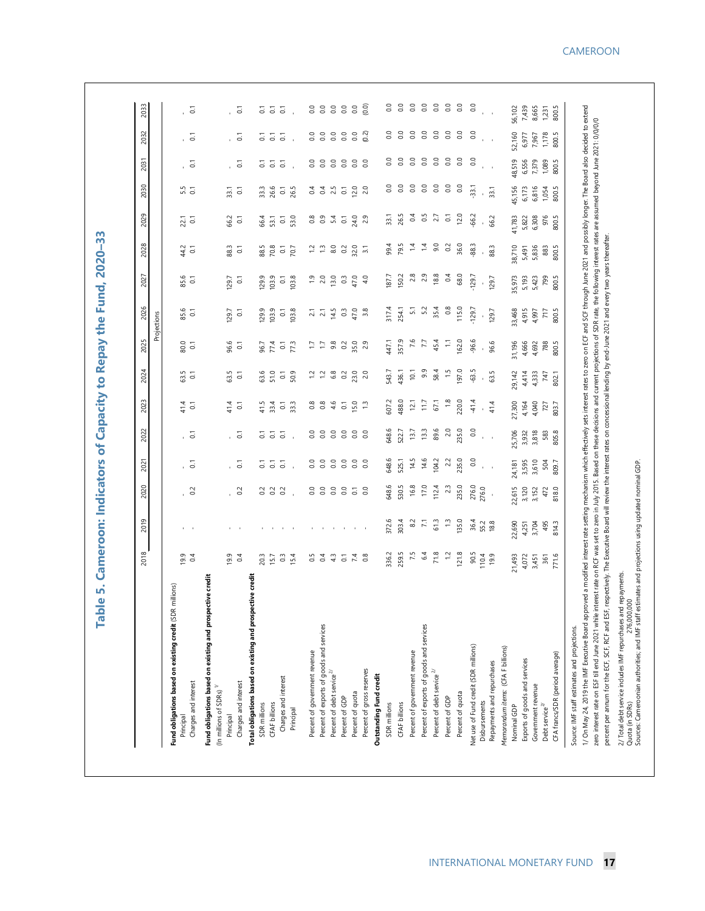٠

|                                                                                                                                                                                                                                            | 2018                  | 2019                                  | 2020                        | 2021               | 2022                        | 2023                  | 2024                  | 2025                  | 2026               | 2027               | 2028               | 2029               | 2030                   | 2031                      | 2032               | 2033                   |
|--------------------------------------------------------------------------------------------------------------------------------------------------------------------------------------------------------------------------------------------|-----------------------|---------------------------------------|-----------------------------|--------------------|-----------------------------|-----------------------|-----------------------|-----------------------|--------------------|--------------------|--------------------|--------------------|------------------------|---------------------------|--------------------|------------------------|
|                                                                                                                                                                                                                                            |                       |                                       |                             |                    |                             |                       |                       |                       | Projections        |                    |                    |                    |                        |                           |                    |                        |
| millions)<br>Fund obligations based on existing credit (SDR<br>Principal                                                                                                                                                                   | 19.9                  |                                       |                             |                    |                             | 41.4                  | 63.5                  |                       | 85.6               | 85.6               | 44.2               | 22.1               |                        |                           |                    |                        |
| Charges and interest                                                                                                                                                                                                                       | 0.4                   |                                       | $\overline{0}$              | $\overline{c}$     | $\overline{5}$              | $\overline{0}$        | $\overline{\circ}$    | 80.0                  | $\overline{\circ}$ | $\overline{\circ}$ | 5                  | $\overline{\circ}$ | $5.5$<br>0.1           | $\overline{5}$            | $\overline{c}$     | $\overline{c}$         |
| Fund obligations based on existing and prospective credit                                                                                                                                                                                  |                       |                                       |                             |                    |                             |                       |                       |                       |                    |                    |                    |                    |                        |                           |                    |                        |
| (In millions of SDRs) $^{\mathrm{1/}}$                                                                                                                                                                                                     |                       |                                       |                             |                    |                             |                       |                       |                       |                    |                    |                    |                    |                        |                           |                    |                        |
| Principal                                                                                                                                                                                                                                  | 19.9                  | $\mathbf{r}$                          | $\overline{0.2}$            |                    | $\overline{5}$              | 41.4                  | 63.5                  | 96.6                  | 129.7              | 129.7              | 88.3               | 66.2               | 33.1                   |                           |                    | r.                     |
| Charges and interest                                                                                                                                                                                                                       | 0.4                   | $\sim$                                |                             | $\overline{0}$     |                             | $\overline{\circ}$    | $\overline{c}$        | $\overline{c}$        | $\overline{c}$     | $\overline{c}$     | $\overline{\circ}$ | $\overline{\circ}$ | $\overline{c}$         | $\overline{c}$            | $\overline{c}$     | $\overline{c}$         |
| Total obligations based on existing and prospective credit                                                                                                                                                                                 |                       |                                       |                             |                    |                             |                       |                       |                       |                    |                    |                    |                    |                        |                           |                    |                        |
| SDR millions                                                                                                                                                                                                                               | 20.3                  | $\Gamma = -1$                         | $\frac{2}{9}$ $\frac{2}{9}$ | $\overline{\circ}$ | $\frac{1}{6}$ $\frac{1}{6}$ | 41.5                  | 63.6                  | 96.7                  | 129.9              | 129.9              | 88.5               | 66.4               | 33.3                   | $\rm \overline{\rm o}$    | $\overline{\circ}$ | $\rm \overline{\rm o}$ |
| CFAF billions                                                                                                                                                                                                                              | 15.7                  |                                       |                             | $\overline{\circ}$ |                             | 33.4                  | 51.0                  | 77.4                  | 103.9              | 103.9              | 70.8               | 53.1               | 26.6                   | $\overline{c}$            | $\overline{\circ}$ | $\overline{c}$         |
| Charges and interest                                                                                                                                                                                                                       | $0.\overline{3}$      | $\sim 10-10$                          | $\sim$                      | $\overline{\circ}$ | $\overline{\circ}$          | $\overline{\text{o}}$ | $\overline{\circ}$    | $\overline{\text{o}}$ | 5                  | $\overline{\circ}$ | $\overline{\circ}$ | $\overline{\circ}$ | $\rm \overline{\rm o}$ | $\overline{\circ}$        | $\overline{\circ}$ | $\overline{\circ}$     |
| Principal                                                                                                                                                                                                                                  | 15.4                  |                                       |                             |                    |                             | 33.3                  | 50.9                  | 77.3                  | 103.8              | 103.8              | 70.7               | 53.0               | 26.5                   |                           |                    |                        |
| Percent of government revenue                                                                                                                                                                                                              | 0.5                   | $\mathbf{I}$                          | $_{\rm 0.0}$                | 0.0                | $\rm ^{\circ}$              | $\frac{8}{2}$         | $\Xi$                 | Ξ                     |                    | $\ddot{5}$         | $\ddot{5}$         | $\frac{8}{2}$      | 3                      | $_{\rm 0.0}$              | 0.0                | $_{\rm 0.0}$           |
| Percent of exports of goods and services                                                                                                                                                                                                   | 0.4                   | $\sim 10$                             | $\overline{0.0}$            | $\overline{0.0}$   | $\overline{0.0}$            | $\frac{8}{2}$         | $\ddot{ }$ $\ddot{ }$ | Ξ                     | $2.1$<br>$2.1$     | 2.0                | $\ddot{ }$         | $\overline{0}$ .   | $\overline{0.4}$       | $\rm ^{0}$                | $\rm ^{\circ}$     | $\rm ^{0.0}$           |
| Percent of debt service $^{2}$                                                                                                                                                                                                             | 4.3                   | $\sim$                                | $\overline{0}$              | 0.0                | 0.0                         | 4.6                   | $6.8$                 | 9.8                   | 14.5               | 13.0               | $_{\rm 8.0}$       | 5.4                | 2.5                    | $_{\rm 0.0}$              | $\rm ^{0}$         | $_{\rm 0.0}$           |
| Percent of GDP                                                                                                                                                                                                                             | $\overline{\text{o}}$ |                                       | 0.0                         | $_{\odot}$         | $_{\rm 0.0}$                | $\rm \Xi$             | $\overline{0}$        | $\overline{0}$        | $\mathbb{S}^3$     | $\overline{0}$     | $\overline{0}$     | $\overline{\circ}$ | $\overline{\text{o}}$  | $_{\rm 0.0}$              | $_{\rm 0.0}$       | $\rm ^{0}$             |
| Percent of quota                                                                                                                                                                                                                           | $7.4$                 | $\sim 10^{-1}$ , $10^{-1}$ , $\sim 1$ | $\overline{a}$ 3            | 0.0                | 0.0                         | 15.0                  | 23.0                  | 35.0<br>2.9           | 47.0               | 47.0               | 32.0               | 24.0               | 12.0                   | $_{\rm 0.0}$              | $_{\rm 0.0}$       | $_{\odot}$             |
| Percent of gross reserves                                                                                                                                                                                                                  | $\frac{8}{2}$         |                                       |                             | 0.0                | 0.0                         | $\frac{1}{2}$         | $\overline{c}$        |                       | 3.8                | $\frac{6}{4}$      | $\overline{3}$     | 2.9                | 2.0                    | $\overline{0}$            | (0.2)              | (0.0)                  |
| Outstanding Fund credit                                                                                                                                                                                                                    |                       |                                       |                             |                    |                             |                       |                       |                       |                    |                    |                    |                    |                        |                           |                    |                        |
| SDR millions                                                                                                                                                                                                                               | 336.2                 | 372.6                                 | 648.6                       | 648.6              | 648.6                       | 607.2                 | 543.7                 | 447.1                 | 317.4              | 187.7              | 99.4               | 33.1               | $\rm ^{\circ}$         | 8                         | $\rm ^{\circ}$     | $\rm ^{\circ}$         |
| <b>CFAF billions</b>                                                                                                                                                                                                                       | 259.5                 | 303.4                                 | 530.5                       | 525.1              | 522.7                       | 488.0                 | 436.1                 | 357.9                 | 254.1              | 150.2              | 79.5               | 26.5               | $\rm ^{0.0}$           | $\rm ^{0.0}$              | $\overline{0.0}$   | $\rm ^{0.0}$           |
| Percent of government revenue                                                                                                                                                                                                              | 7.5                   | $\approx$                             | 16.8                        | 14.5               | 13.7                        | 12.1                  | 10.1                  | 7.6                   | $\frac{1}{2}$      | 2.8                | $\ddot{a}$         | 0.4                | $\overline{0}$         | $\overline{0}$            | 0.0                | $\rm ^{0}$             |
| Percent of exports of goods and services                                                                                                                                                                                                   | 64                    | $\overline{z}$                        | 17.0                        | 14.6               | 13.3                        | 11.7                  | 9.9                   | 77                    | 5.2                | 2.9                | $\ddot{ }$         | 0.5                | $_{\rm 0.0}$           | $_{\rm 0.0}$              | 0.0                | $_{\rm 0.0}$           |
| Percent of debt service $2^{\gamma}$                                                                                                                                                                                                       | 71.8                  | 61.3                                  | 112.4                       | 04.2               | 89.6                        | 67,1                  | 58.4                  | 45.4                  | 35.4               | 18.8               | 9.0                | 2.7                | $\overline{0.0}$       | $\rm ^{0.0}$              | $\overline{0.0}$   | $\overline{0}$ .       |
| Percent of GDP                                                                                                                                                                                                                             | $\ddot{ }$            | $\ddot{ }$                            | 23                          | 2.2                | 2.0                         | $\frac{8}{10}$        | $\frac{15}{2}$        | Ξ                     | 0.8                | $\sim$             | $\approx$          | $\overline{\circ}$ | $_{\odot}$             | $\rm ^{0}$                | $_{\rm 0.0}$       | $_{\odot}$             |
| Percent of quota                                                                                                                                                                                                                           | 121.8                 | 135.0                                 | 235.0                       | 235.0              | 235.0                       | 220.0                 | 197.0                 | 162.0                 | 115.0              | 68.0               | 36.0               | 12.0               | $\rm ^{0.0}$           | $\overline{0}$ .          | $\overline{0.0}$   | $\overline{0}$ .       |
| Net use of Fund credit (SDR millions)                                                                                                                                                                                                      | 90.5                  | 36.4                                  | 276.0                       | 0.0                | 0.0                         | 41.4                  | $-63.5$               | $-96.6$               | 129.7              | $-129.7$           | $-88.3$            | -66.2              | $-33.1$                | $\rm ^{\circ}$            | $\rm ^{0.0}$       | S                      |
| Disbursements                                                                                                                                                                                                                              | 110.4<br>19.9         | 55.2                                  | 276.0                       | $\alpha = 1$       | $\mathbf{r}=\mathbf{r}$     |                       |                       |                       |                    |                    |                    |                    |                        | $\mathbf{r} = \mathbf{r}$ | $\alpha = 1$       |                        |
| Repayments and repurchases                                                                                                                                                                                                                 |                       | 18.8                                  |                             |                    |                             | 41.4                  | 63.5                  | 96.6                  | 129.7              | 129.7              | 88.3               | 66.2               | 33.1                   |                           |                    |                        |
| Memorandum items: (CFA F billions)                                                                                                                                                                                                         |                       |                                       |                             |                    |                             |                       |                       |                       |                    |                    |                    |                    |                        |                           |                    |                        |
| Nominal GDP                                                                                                                                                                                                                                | 21,493                | 22,690                                | 22,615                      | 24,181             | 25,706                      | 27,300                | 29,142                | 31,196                | 33,468             | 35,973             | 38,710             | 41,783             | 45,156                 | 48,519                    | 52,160             | 56,102                 |
| Exports of goods and services                                                                                                                                                                                                              | 4,072                 | 4,251                                 | 3,120                       | 3,595              | 3,932                       | 4,164                 | 4,414                 | 4,666                 | 4,915              | 5,193              | 5,491              | 5,822              | 6,173                  | 6,556                     | 6,977              | 7,439                  |
| Government revenue                                                                                                                                                                                                                         | 3,451<br>361          | 3,704                                 | 3,152                       | 3,610              | 3,818<br>583                | 4,040<br>727          | 4,333<br>747          | 4,692                 | 4,997<br>717       | 5,423<br>799       | 5,836<br>883       | 976<br>6,308       | 6,816<br>1,054         | 1,089<br>7,379            | 7,967              | 8,665<br>1,231         |
| CFA francs/SDR (period average)<br>Debt service $^{2/}$                                                                                                                                                                                    | 771.6                 | 814.3<br>495                          | 818.0<br>472                | 809.7<br>504       | 805.8                       | 803.7                 | 802.1                 | 800.5<br>788          | 800.5              | 800.5              | 800.5              | 800.5              | 800.5                  | 800.5                     | 1,178<br>800.5     | 800.5                  |
| Source: IMF staff estimates and projections.                                                                                                                                                                                               |                       |                                       |                             |                    |                             |                       |                       |                       |                    |                    |                    |                    |                        |                           |                    |                        |
| 1/On May 24, 2019 the IMF Executive Board approved a modified interest rase set at moth and moth interest traces to zero on ECF and SCF through June 2021 and possibly longer. The Board also decided to extend                            |                       |                                       |                             |                    |                             |                       |                       |                       |                    |                    |                    |                    |                        |                           |                    |                        |
| erest rate on RCF was set to zero in July 2015. Based on these decisions and current projections of SDR rate, the following interest rates are assumed beyond June 2021: 0/0/0/0<br>zero interest rate on ESF till end June 2021 while int |                       |                                       |                             |                    |                             |                       |                       |                       |                    |                    |                    |                    |                        |                           |                    |                        |
| espectively. The Executive Board will review the interest rates on concessional lending by end-June 2021 and every two years thereafter.<br>percent per annum for the ECF, SCF, RCF and ESF, r                                             |                       |                                       |                             |                    |                             |                       |                       |                       |                    |                    |                    |                    |                        |                           |                    |                        |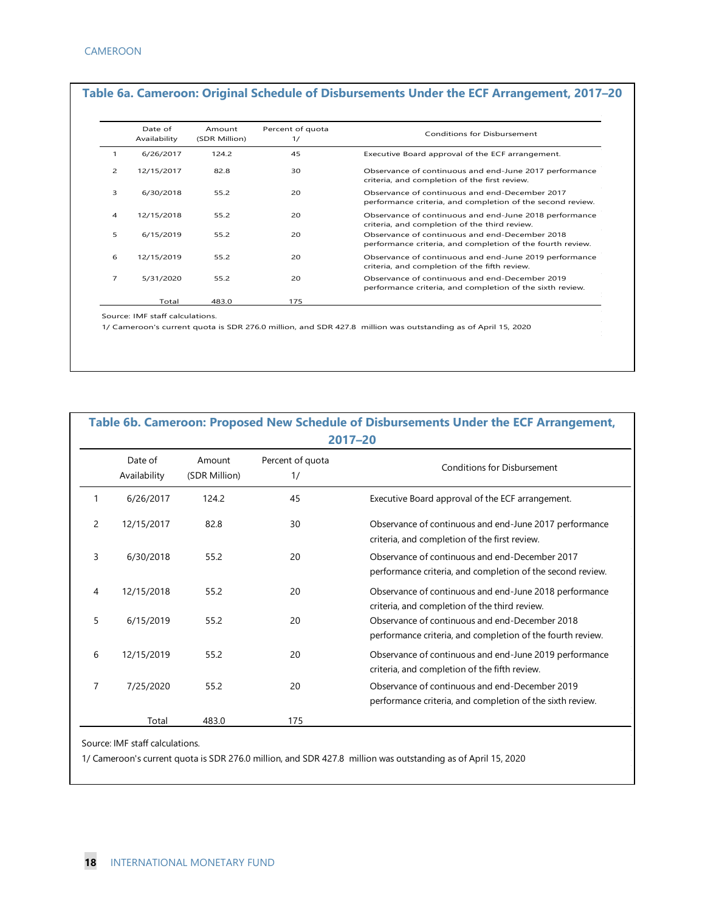|                | Date of<br>Availability | Amount<br>(SDR Million) | Percent of quota<br>1/ | Conditions for Disbursement                                                                                  |
|----------------|-------------------------|-------------------------|------------------------|--------------------------------------------------------------------------------------------------------------|
| 1              | 6/26/2017               | 124.2                   | 45                     | Executive Board approval of the ECF arrangement.                                                             |
| 2              | 12/15/2017              | 82.8                    | 30                     | Observance of continuous and end-June 2017 performance<br>criteria, and completion of the first review.      |
| 3              | 6/30/2018               | 55.2                    | 20                     | Observance of continuous and end-December 2017<br>performance criteria, and completion of the second review. |
| 4              | 12/15/2018              | 55.2                    | 20                     | Observance of continuous and end-June 2018 performance<br>criteria, and completion of the third review.      |
| 5              | 6/15/2019               | 55.2                    | 20                     | Observance of continuous and end-December 2018<br>performance criteria, and completion of the fourth review. |
| 6              | 12/15/2019              | 55.2                    | 20                     | Observance of continuous and end-June 2019 performance<br>criteria, and completion of the fifth review.      |
| $\overline{7}$ | 5/31/2020               | 55.2                    | 20                     | Observance of continuous and end-December 2019<br>performance criteria, and completion of the sixth review.  |
|                | Total                   | 483.0                   | 175                    |                                                                                                              |

|                |                         |                         |                        | 2017-20                                                                                                      |
|----------------|-------------------------|-------------------------|------------------------|--------------------------------------------------------------------------------------------------------------|
|                | Date of<br>Availability | Amount<br>(SDR Million) | Percent of quota<br>1/ | <b>Conditions for Disbursement</b>                                                                           |
| 1              | 6/26/2017               | 124.2                   | 45                     | Executive Board approval of the ECF arrangement.                                                             |
| $\overline{2}$ | 12/15/2017              | 82.8                    | 30                     | Observance of continuous and end-June 2017 performance<br>criteria, and completion of the first review.      |
| 3              | 6/30/2018               | 55.2                    | 20                     | Observance of continuous and end-December 2017<br>performance criteria, and completion of the second review. |
| 4              | 12/15/2018              | 55.2                    | 20                     | Observance of continuous and end-June 2018 performance<br>criteria, and completion of the third review.      |
| 5              | 6/15/2019               | 55.2                    | 20                     | Observance of continuous and end-December 2018<br>performance criteria, and completion of the fourth review. |
| 6              | 12/15/2019              | 55.2                    | 20                     | Observance of continuous and end-June 2019 performance<br>criteria, and completion of the fifth review.      |
| 7              | 7/25/2020               | 55.2                    | 20                     | Observance of continuous and end-December 2019<br>performance criteria, and completion of the sixth review.  |
|                | Total                   | 483.0                   | 175                    |                                                                                                              |

Source: IMF staff calculations.

1/ Cameroon's current quota is SDR 276.0 million, and SDR 427.8 million was outstanding as of April 15, 2020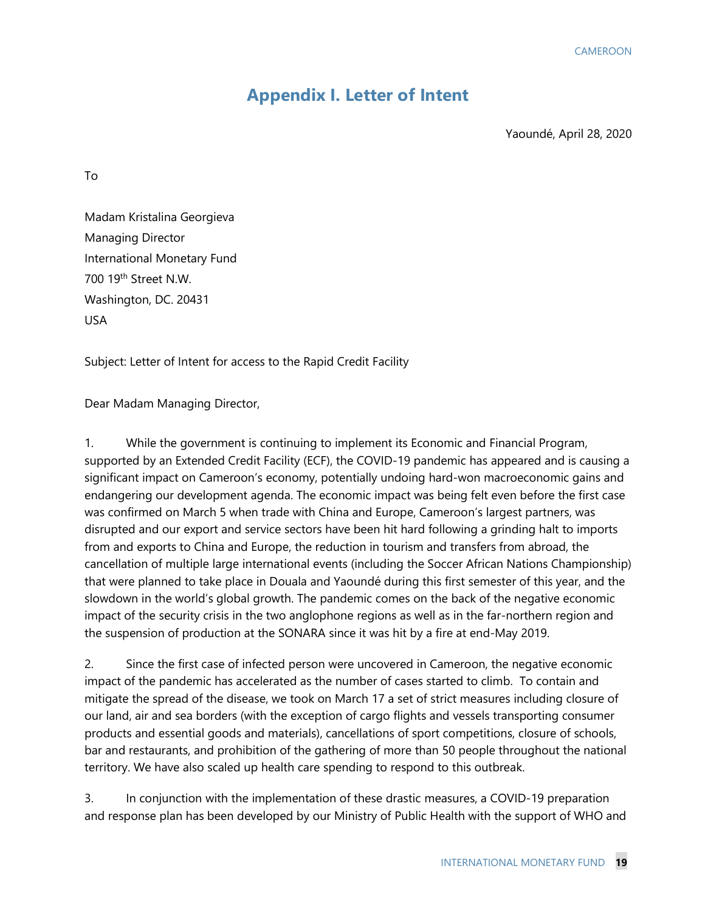### **Appendix I. Letter of Intent**

Yaoundé, April 28, 2020

To

Madam Kristalina Georgieva Managing Director International Monetary Fund 700 19<sup>th</sup> Street N.W. Washington, DC. 20431 USA

Subject: Letter of Intent for access to the Rapid Credit Facility

Dear Madam Managing Director,

1. While the government is continuing to implement its Economic and Financial Program, supported by an Extended Credit Facility (ECF), the COVID-19 pandemic has appeared and is causing a significant impact on Cameroon's economy, potentially undoing hard-won macroeconomic gains and endangering our development agenda. The economic impact was being felt even before the first case was confirmed on March 5 when trade with China and Europe, Cameroon's largest partners, was disrupted and our export and service sectors have been hit hard following a grinding halt to imports from and exports to China and Europe, the reduction in tourism and transfers from abroad, the cancellation of multiple large international events (including the Soccer African Nations Championship) that were planned to take place in Douala and Yaoundé during this first semester of this year, and the slowdown in the world's global growth. The pandemic comes on the back of the negative economic impact of the security crisis in the two anglophone regions as well as in the far-northern region and the suspension of production at the SONARA since it was hit by a fire at end-May 2019.

2. Since the first case of infected person were uncovered in Cameroon, the negative economic impact of the pandemic has accelerated as the number of cases started to climb. To contain and mitigate the spread of the disease, we took on March 17 a set of strict measures including closure of our land, air and sea borders (with the exception of cargo flights and vessels transporting consumer products and essential goods and materials), cancellations of sport competitions, closure of schools, bar and restaurants, and prohibition of the gathering of more than 50 people throughout the national territory. We have also scaled up health care spending to respond to this outbreak.

3. In conjunction with the implementation of these drastic measures, a COVID-19 preparation and response plan has been developed by our Ministry of Public Health with the support of WHO and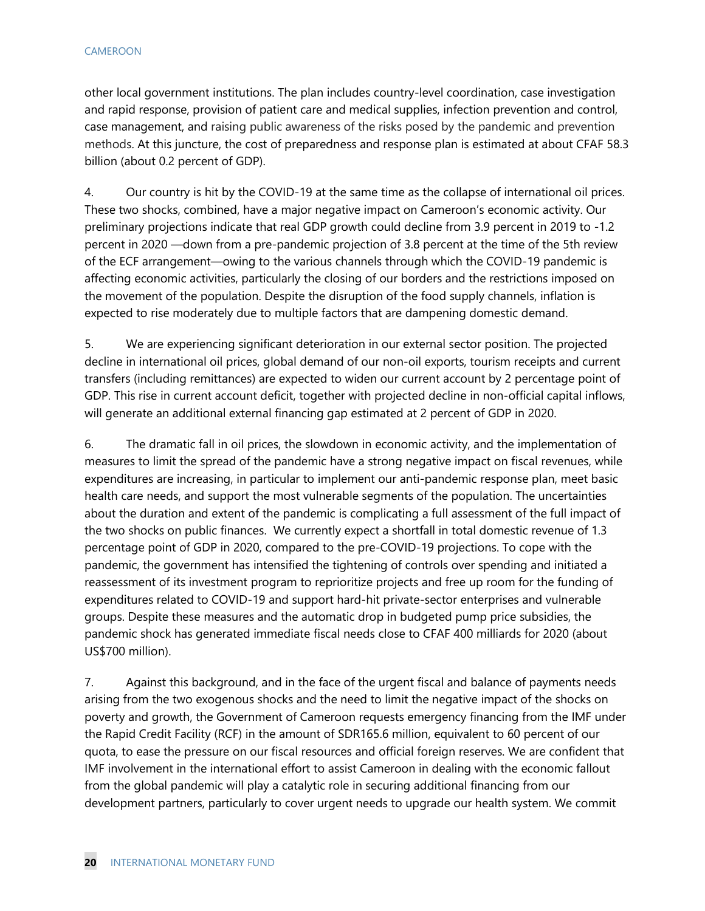other local government institutions. The plan includes country-level coordination, case investigation and rapid response, provision of patient care and medical supplies, infection prevention and control, case management, and raising public awareness of the risks posed by the pandemic and prevention methods. At this juncture, the cost of preparedness and response plan is estimated at about CFAF 58.3 billion (about 0.2 percent of GDP).

4. Our country is hit by the COVID-19 at the same time as the collapse of international oil prices. These two shocks, combined, have a major negative impact on Cameroon's economic activity. Our preliminary projections indicate that real GDP growth could decline from 3.9 percent in 2019 to -1.2 percent in 2020 —down from a pre-pandemic projection of 3.8 percent at the time of the 5th review of the ECF arrangement—owing to the various channels through which the COVID-19 pandemic is affecting economic activities, particularly the closing of our borders and the restrictions imposed on the movement of the population. Despite the disruption of the food supply channels, inflation is expected to rise moderately due to multiple factors that are dampening domestic demand.

5. We are experiencing significant deterioration in our external sector position. The projected decline in international oil prices, global demand of our non-oil exports, tourism receipts and current transfers (including remittances) are expected to widen our current account by 2 percentage point of GDP. This rise in current account deficit, together with projected decline in non-official capital inflows, will generate an additional external financing gap estimated at 2 percent of GDP in 2020.

6. The dramatic fall in oil prices, the slowdown in economic activity, and the implementation of measures to limit the spread of the pandemic have a strong negative impact on fiscal revenues, while expenditures are increasing, in particular to implement our anti-pandemic response plan, meet basic health care needs, and support the most vulnerable segments of the population. The uncertainties about the duration and extent of the pandemic is complicating a full assessment of the full impact of the two shocks on public finances. We currently expect a shortfall in total domestic revenue of 1.3 percentage point of GDP in 2020, compared to the pre-COVID-19 projections. To cope with the pandemic, the government has intensified the tightening of controls over spending and initiated a reassessment of its investment program to reprioritize projects and free up room for the funding of expenditures related to COVID-19 and support hard-hit private-sector enterprises and vulnerable groups. Despite these measures and the automatic drop in budgeted pump price subsidies, the pandemic shock has generated immediate fiscal needs close to CFAF 400 milliards for 2020 (about US\$700 million).

7. Against this background, and in the face of the urgent fiscal and balance of payments needs arising from the two exogenous shocks and the need to limit the negative impact of the shocks on poverty and growth, the Government of Cameroon requests emergency financing from the IMF under the Rapid Credit Facility (RCF) in the amount of SDR165.6 million, equivalent to 60 percent of our quota, to ease the pressure on our fiscal resources and official foreign reserves. We are confident that IMF involvement in the international effort to assist Cameroon in dealing with the economic fallout from the global pandemic will play a catalytic role in securing additional financing from our development partners, particularly to cover urgent needs to upgrade our health system. We commit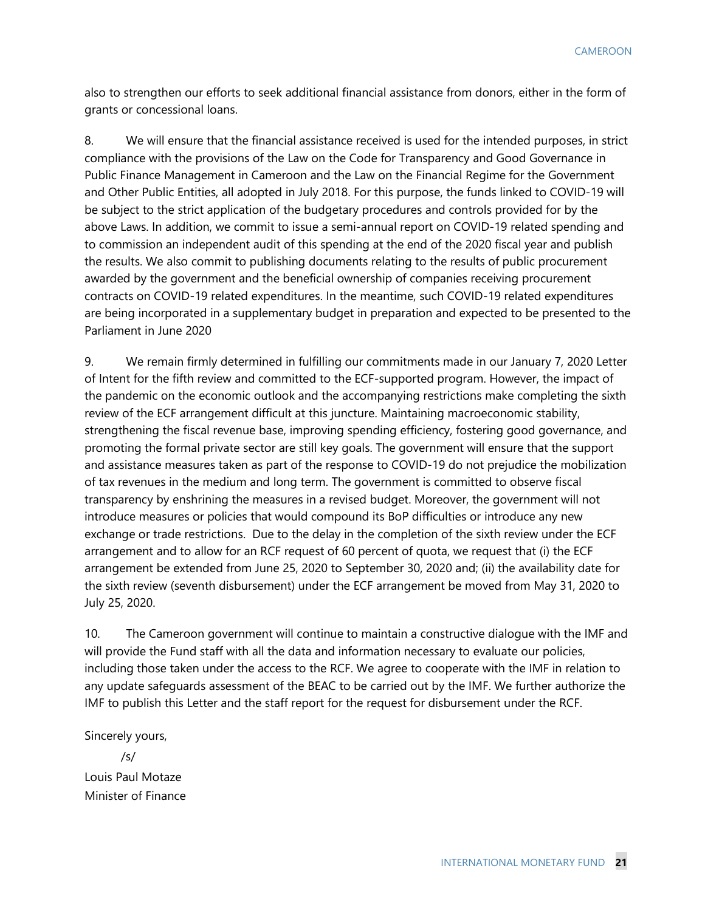also to strengthen our efforts to seek additional financial assistance from donors, either in the form of grants or concessional loans.

8. We will ensure that the financial assistance received is used for the intended purposes, in strict compliance with the provisions of the Law on the Code for Transparency and Good Governance in Public Finance Management in Cameroon and the Law on the Financial Regime for the Government and Other Public Entities, all adopted in July 2018. For this purpose, the funds linked to COVID-19 will be subject to the strict application of the budgetary procedures and controls provided for by the above Laws. In addition, we commit to issue a semi-annual report on COVID-19 related spending and to commission an independent audit of this spending at the end of the 2020 fiscal year and publish the results. We also commit to publishing documents relating to the results of public procurement awarded by the government and the beneficial ownership of companies receiving procurement contracts on COVID-19 related expenditures. In the meantime, such COVID-19 related expenditures are being incorporated in a supplementary budget in preparation and expected to be presented to the Parliament in June 2020

9. We remain firmly determined in fulfilling our commitments made in our January 7, 2020 Letter of Intent for the fifth review and committed to the ECF-supported program. However, the impact of the pandemic on the economic outlook and the accompanying restrictions make completing the sixth review of the ECF arrangement difficult at this juncture. Maintaining macroeconomic stability, strengthening the fiscal revenue base, improving spending efficiency, fostering good governance, and promoting the formal private sector are still key goals. The government will ensure that the support and assistance measures taken as part of the response to COVID-19 do not prejudice the mobilization of tax revenues in the medium and long term. The government is committed to observe fiscal transparency by enshrining the measures in a revised budget. Moreover, the government will not introduce measures or policies that would compound its BoP difficulties or introduce any new exchange or trade restrictions. Due to the delay in the completion of the sixth review under the ECF arrangement and to allow for an RCF request of 60 percent of quota, we request that (i) the ECF arrangement be extended from June 25, 2020 to September 30, 2020 and; (ii) the availability date for the sixth review (seventh disbursement) under the ECF arrangement be moved from May 31, 2020 to July 25, 2020.

10. The Cameroon government will continue to maintain a constructive dialogue with the IMF and will provide the Fund staff with all the data and information necessary to evaluate our policies, including those taken under the access to the RCF. We agree to cooperate with the IMF in relation to any update safeguards assessment of the BEAC to be carried out by the IMF. We further authorize the IMF to publish this Letter and the staff report for the request for disbursement under the RCF.

Sincerely yours,

/s/

Louis Paul Motaze Minister of Finance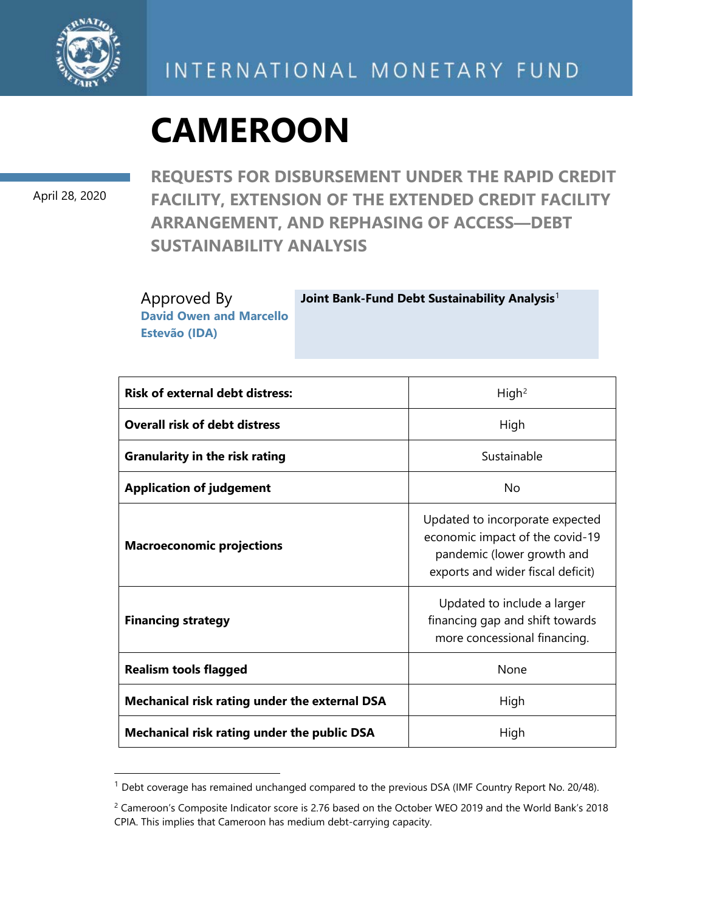

April 28, 2020

**REQUESTS FOR DISBURSEMENT UNDER THE RAPID CREDIT FACILITY, EXTENSION OF THE EXTENDED CREDIT FACILITY ARRANGEMENT, AND REPHASING OF ACCESS—DEBT SUSTAINABILITY ANALYSIS**

Approved By **David Owen and Marcello Estevão (IDA)**

**Joint Bank-Fund Debt Sustainability Analysis**[1](#page-24-1)

| <b>Risk of external debt distress:</b>             | High <sup>2</sup>                                                                                                                     |
|----------------------------------------------------|---------------------------------------------------------------------------------------------------------------------------------------|
| <b>Overall risk of debt distress</b>               | High                                                                                                                                  |
| <b>Granularity in the risk rating</b>              | Sustainable                                                                                                                           |
| <b>Application of judgement</b>                    | No                                                                                                                                    |
| <b>Macroeconomic projections</b>                   | Updated to incorporate expected<br>economic impact of the covid-19<br>pandemic (lower growth and<br>exports and wider fiscal deficit) |
| <b>Financing strategy</b>                          | Updated to include a larger<br>financing gap and shift towards<br>more concessional financing.                                        |
| <b>Realism tools flagged</b>                       | <b>None</b>                                                                                                                           |
| Mechanical risk rating under the external DSA      | High                                                                                                                                  |
| <b>Mechanical risk rating under the public DSA</b> | High                                                                                                                                  |

<span id="page-24-1"></span> $1$  Debt coverage has remained unchanged compared to the previous DSA (IMF Country Report No. 20/48).

<span id="page-24-0"></span><sup>&</sup>lt;sup>2</sup> Cameroon's Composite Indicator score is 2.76 based on the October WEO 2019 and the World Bank's 2018 CPIA. This implies that Cameroon has medium debt-carrying capacity.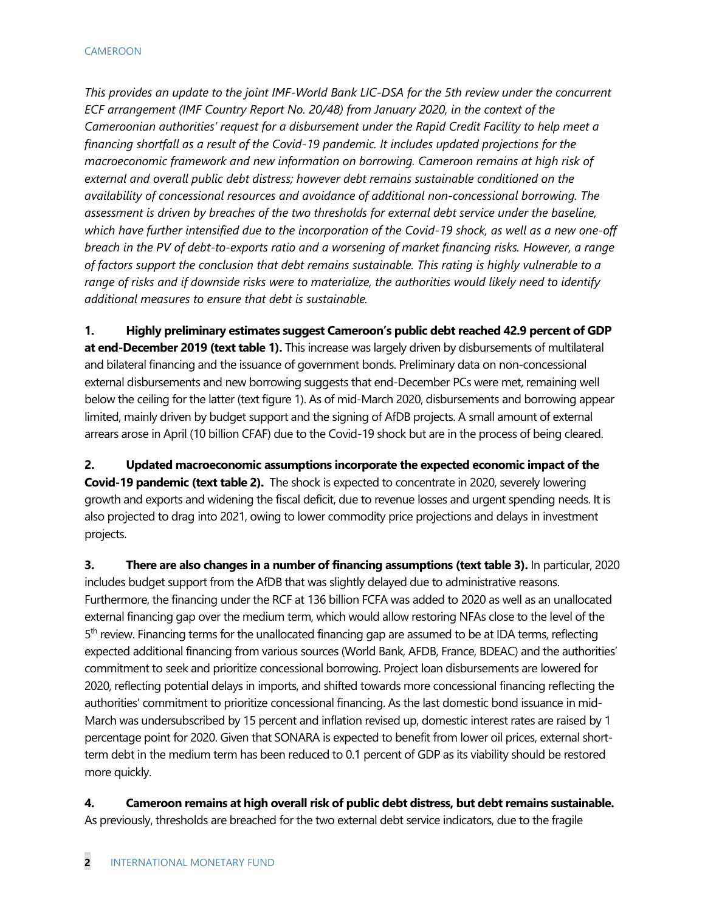*This provides an update to the joint IMF-World Bank LIC-DSA for the 5th review under the concurrent ECF arrangement (IMF Country Report No. 20/48) from January 2020, in the context of the Cameroonian authorities' request for a disbursement under the Rapid Credit Facility to help meet a financing shortfall as a result of the Covid-19 pandemic. It includes updated projections for the macroeconomic framework and new information on borrowing. Cameroon remains at high risk of external and overall public debt distress; however debt remains sustainable conditioned on the availability of concessional resources and avoidance of additional non-concessional borrowing. The assessment is driven by breaches of the two thresholds for external debt service under the baseline, which have further intensified due to the incorporation of the Covid-19 shock, as well as a new one-off breach in the PV of debt-to-exports ratio and a worsening of market financing risks. However, a range of factors support the conclusion that debt remains sustainable. This rating is highly vulnerable to a range of risks and if downside risks were to materialize, the authorities would likely need to identify additional measures to ensure that debt is sustainable.*

**1. Highly preliminary estimates suggest Cameroon's public debt reached 42.9 percent of GDP at end-December 2019 (text table 1).** This increase was largely driven by disbursements of multilateral and bilateral financing and the issuance of government bonds. Preliminary data on non-concessional external disbursements and new borrowing suggests that end-December PCs were met, remaining well below the ceiling for the latter (text figure 1). As of mid-March 2020, disbursements and borrowing appear limited, mainly driven by budget support and the signing of AfDB projects. A small amount of external arrears arose in April (10 billion CFAF) due to the Covid-19 shock but are in the process of being cleared.

**2. Updated macroeconomic assumptions incorporate the expected economic impact of the Covid-19 pandemic (text table 2).** The shock is expected to concentrate in 2020, severely lowering growth and exports and widening the fiscal deficit, due to revenue losses and urgent spending needs. It is also projected to drag into 2021, owing to lower commodity price projections and delays in investment projects.

**3.** There are also changes in a number of financing assumptions (text table 3). In particular, 2020 includes budget support from the AfDB that was slightly delayed due to administrative reasons. Furthermore, the financing under the RCF at 136 billion FCFA was added to 2020 as well as an unallocated external financing gap over the medium term, which would allow restoring NFAs close to the level of the 5<sup>th</sup> review. Financing terms for the unallocated financing gap are assumed to be at IDA terms, reflecting expected additional financing from various sources (World Bank, AFDB, France, BDEAC) and the authorities' commitment to seek and prioritize concessional borrowing. Project loan disbursements are lowered for 2020, reflecting potential delays in imports, and shifted towards more concessional financing reflecting the authorities' commitment to prioritize concessional financing. As the last domestic bond issuance in mid-March was undersubscribed by 15 percent and inflation revised up, domestic interest rates are raised by 1 percentage point for 2020. Given that SONARA is expected to benefit from lower oil prices, external shortterm debt in the medium term has been reduced to 0.1 percent of GDP as its viability should be restored more quickly.

**4. Cameroon remains at high overall risk of public debt distress, but debt remains sustainable.**  As previously, thresholds are breached for the two external debt service indicators, due to the fragile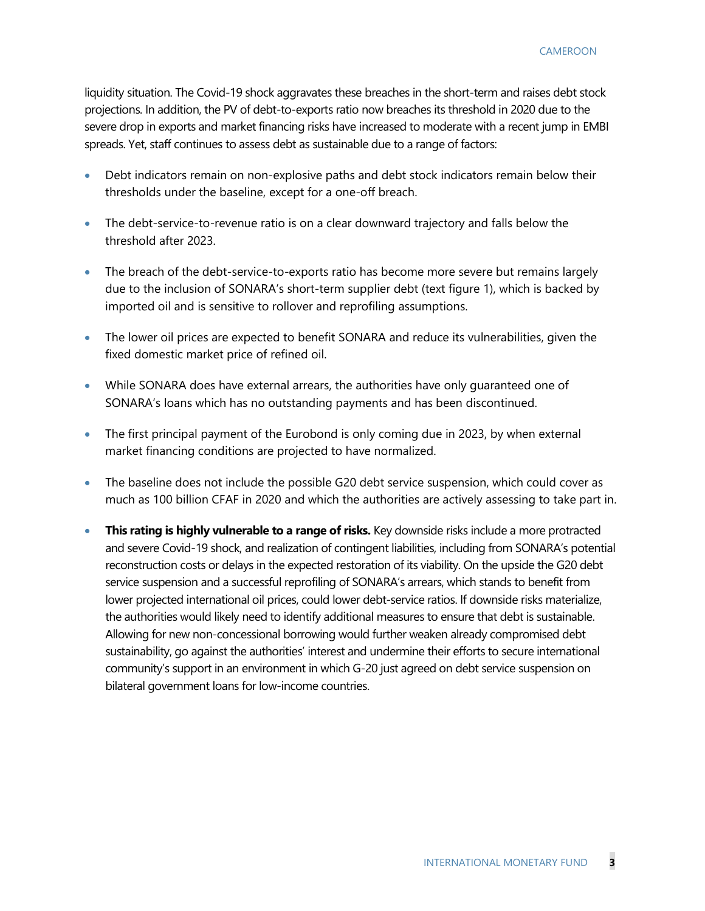liquidity situation. The Covid-19 shock aggravates these breaches in the short-term and raises debt stock projections. In addition, the PV of debt-to-exports ratio now breaches its threshold in 2020 due to the severe drop in exports and market financing risks have increased to moderate with a recent jump in EMBI spreads. Yet, staff continues to assess debt as sustainable due to a range of factors:

- Debt indicators remain on non-explosive paths and debt stock indicators remain below their thresholds under the baseline, except for a one-off breach.
- The debt-service-to-revenue ratio is on a clear downward trajectory and falls below the threshold after 2023.
- The breach of the debt-service-to-exports ratio has become more severe but remains largely due to the inclusion of SONARA's short-term supplier debt (text figure 1), which is backed by imported oil and is sensitive to rollover and reprofiling assumptions.
- The lower oil prices are expected to benefit SONARA and reduce its vulnerabilities, given the fixed domestic market price of refined oil.
- While SONARA does have external arrears, the authorities have only guaranteed one of SONARA's loans which has no outstanding payments and has been discontinued.
- The first principal payment of the Eurobond is only coming due in 2023, by when external market financing conditions are projected to have normalized.
- The baseline does not include the possible G20 debt service suspension, which could cover as much as 100 billion CFAF in 2020 and which the authorities are actively assessing to take part in.
- **This rating is highly vulnerable to a range of risks.** Key downside risks include a more protracted and severe Covid-19 shock, and realization of contingent liabilities, including from SONARA's potential reconstruction costs or delays in the expected restoration of its viability. On the upside the G20 debt service suspension and a successful reprofiling of SONARA's arrears, which stands to benefit from lower projected international oil prices, could lower debt-service ratios. If downside risks materialize, the authorities would likely need to identify additional measures to ensure that debt is sustainable. Allowing for new non-concessional borrowing would further weaken already compromised debt sustainability, go against the authorities' interest and undermine their efforts to secure international community's support in an environment in which G-20 just agreed on debt service suspension on bilateral government loans for low-income countries.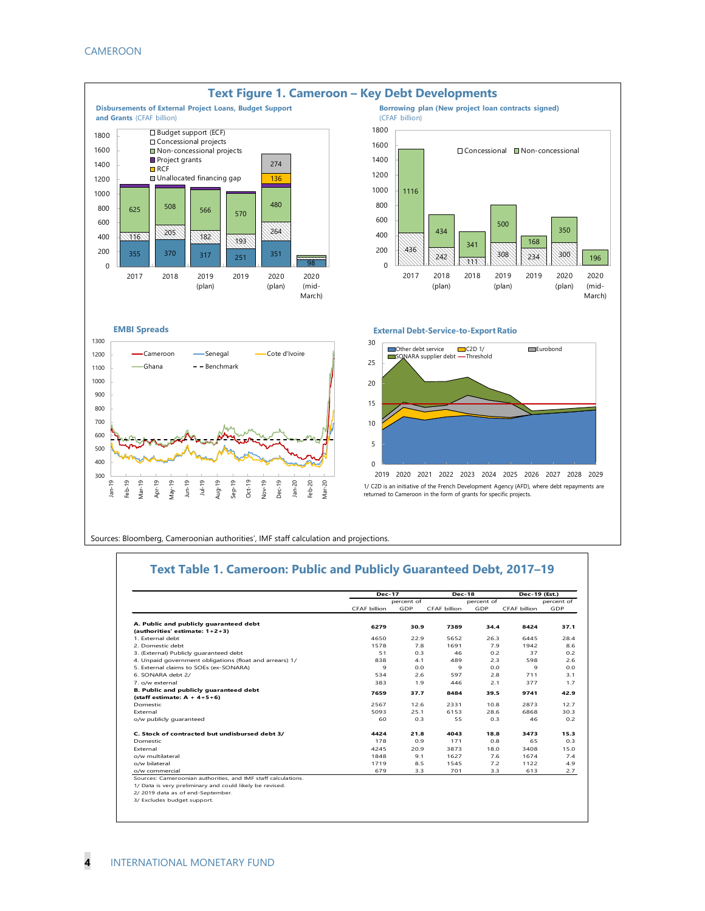

Sources: Bloomberg, Cameroonian authorities', IMF staff calculation and projections.

#### **Text Table 1. Cameroon: Public and Publicly Guaranteed Debt, 2017–19**

|                                                               | <b>Dec-17</b>       |            | <b>Dec-18</b> |            | Dec-19 (Est.) |            |
|---------------------------------------------------------------|---------------------|------------|---------------|------------|---------------|------------|
|                                                               |                     | percent of |               | percent of |               | percent of |
|                                                               | <b>CFAF billion</b> | GDP        | CFAF billion  | GDP        | CFAF billion  | GDP        |
| A. Public and publicly quaranteed debt                        | 6279                | 30.9       | 7389          | 34.4       | 8424          | 37.1       |
| (authorities' estimate: 1+2+3)                                |                     |            |               |            |               |            |
| 1 External debt                                               | 4650                | 22.9       | 5652          | 26.3       | 6445          | 28.4       |
| 2 Domestic debt                                               | 1578                | 7.8        | 1691          | 7.9        | 1942          | 8.6        |
| 3. (External) Publicly quaranteed debt                        | 51                  | 0.3        | 46            | 0.2        | 37            | 0.2        |
| 4. Unpaid government obligations (float and arrears) 1/       | 838                 | 4.1        | 489           | 2.3        | 598           | 2.6        |
| 5. External claims to SOEs (ex-SONARA)                        | 9                   | 0.0        | 9             | 0.0        | $\mathbf{Q}$  | 0.0        |
| 6. SONARA debt 2/                                             | 534                 | 2.6        | 597           | 2.8        | 711           | 3.1        |
| 7. o/w external                                               | 383                 | 1.9        | 446           | 2.1        | 377           | 1.7        |
| B. Public and publicly quaranteed debt                        |                     | 37.7       |               |            |               |            |
| (staff estimate: $A + 4+5+6$ )                                | 7659                |            | 8484          | 39.5       | 9741          | 42.9       |
| Domestic                                                      | 2567                | 12.6       | 2331          | 10.8       | 2873          | 12.7       |
| External                                                      | 5093                | 25.1       | 6153          | 28.6       | 6868          | 30.3       |
| o/w publicly quaranteed                                       | 60                  | 0.3        | 55            | 0.3        | 46            | 0.2        |
| C. Stock of contracted but undisbursed debt 3/                | 4424                | 21.8       | 4043          | 18.8       | 3473          | 15.3       |
| Domestic                                                      | 178                 | 0.9        | 171           | 0.8        | 65            | 0.3        |
| External                                                      | 4245                | 20.9       | 3873          | 18.0       | 3408          | 15.0       |
| o/w multilateral                                              | 1848                | 9.1        | 1627          | 7.6        | 1674          | 7.4        |
| o/w bilateral                                                 | 1719                | 8.5        | 1545          | 7.2        | 1122          | 4.9        |
| o/w commercial                                                | 679                 | 3.3        | 701           | 3.3        | 613           | 2.7        |
| Sources: Cameroonian authorities, and IMF staff calculations. |                     |            |               |            |               |            |
| 1/ Data is very preliminary and could likely be revised.      |                     |            |               |            |               |            |
| 2/2019 data as of end-September.                              |                     |            |               |            |               |            |
| 3/ Excludes budget support.                                   |                     |            |               |            |               |            |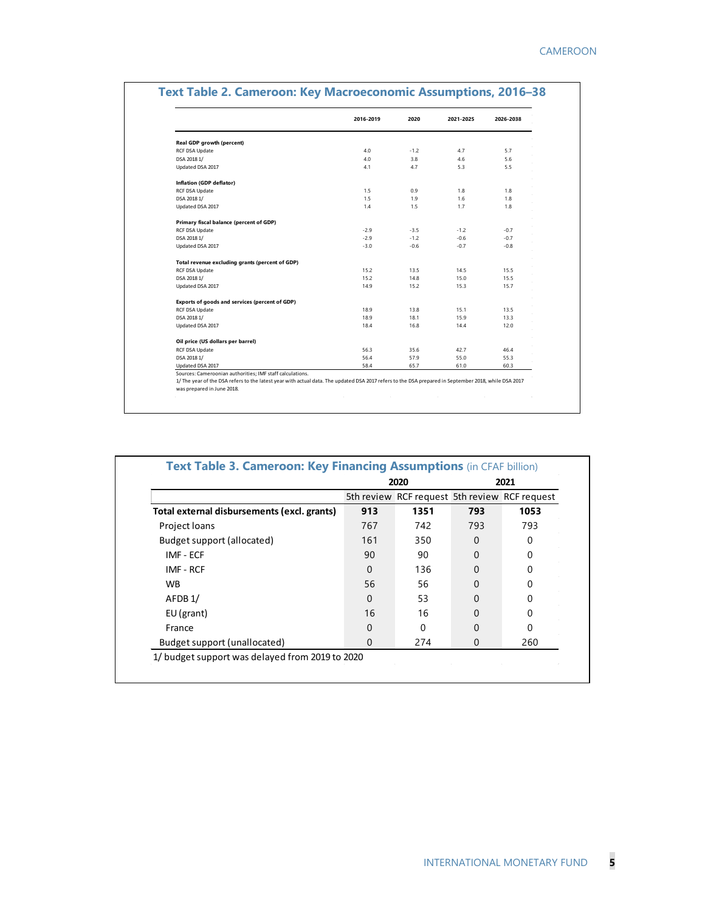|                                                 | 2016-2019 | 2020   | 2021-2025 | 2026-2038 |
|-------------------------------------------------|-----------|--------|-----------|-----------|
| <b>Real GDP growth (percent)</b>                |           |        |           |           |
| RCF DSA Update                                  | 4.0       | $-1.2$ | 4.7       | 5.7       |
| DSA 2018 1/                                     | 4.0       | 3.8    | 4.6       | 5.6       |
| Updated DSA 2017                                | 4.1       | 4.7    | 5.3       | 5.5       |
| Inflation (GDP deflator)                        |           |        |           |           |
| RCF DSA Update                                  | 1.5       | 0.9    | 1.8       | 1.8       |
| DSA 2018 1/                                     | 1.5       | 1.9    | 1.6       | 1.8       |
| Updated DSA 2017                                | 1.4       | 1.5    | 1.7       | 1.8       |
| Primary fiscal balance (percent of GDP)         |           |        |           |           |
| <b>RCF DSA Update</b>                           | $-2.9$    | $-3.5$ | $-1.2$    | $-0.7$    |
| DSA 2018 1/                                     | $-2.9$    | $-1.2$ | $-0.6$    | $-0.7$    |
| Updated DSA 2017                                | $-3.0$    | $-0.6$ | $-0.7$    | $-0.8$    |
| Total revenue excluding grants (percent of GDP) |           |        |           |           |
| RCF DSA Update                                  | 15.2      | 13.5   | 14.5      | 15.5      |
| DSA 2018 1/                                     | 15.2      | 14.8   | 15.0      | 15.5      |
| Updated DSA 2017                                | 14.9      | 15.2   | 15.3      | 15.7      |
| Exports of goods and services (percent of GDP)  |           |        |           |           |
| <b>RCF DSA Update</b>                           | 18.9      | 13.8   | 15.1      | 13.5      |
| DSA 2018 1/                                     | 18.9      | 18.1   | 15.9      | 13.3      |
| Updated DSA 2017                                | 18.4      | 16.8   | 14.4      | 12.0      |
| Oil price (US dollars per barrel)               |           |        |           |           |
| <b>RCF DSA Update</b>                           | 56.3      | 35.6   | 42.7      | 46.4      |
| DSA 2018 1/                                     | 56.4      | 57.9   | 55.0      | 55.3      |
| Updated DSA 2017                                | 58.4      | 65.7   | 61.0      | 60.3      |

|                                             |     | 5th review RCF request 5th review RCF request |          |              |
|---------------------------------------------|-----|-----------------------------------------------|----------|--------------|
| Total external disbursements (excl. grants) | 913 | 1351                                          | 793      | 1053         |
| Project loans                               | 767 | 742                                           | 793      | 793          |
| Budget support (allocated)                  | 161 | 350                                           | 0        | $\mathbf{0}$ |
| IMF - ECF                                   | 90  | 90                                            | 0        |              |
| IMF - RCF                                   | 0   | 136                                           | $\Omega$ |              |
| <b>WB</b>                                   | 56  | 56                                            | 0        |              |
| AFDB1/                                      | 0   | 53                                            | $\Omega$ |              |
| $EU$ (grant)                                | 16  | 16                                            | 0        | O            |
| France                                      | 0   | 0                                             | 0        | O            |
| Budget support (unallocated)                | 0   | 274                                           | 0        | 260          |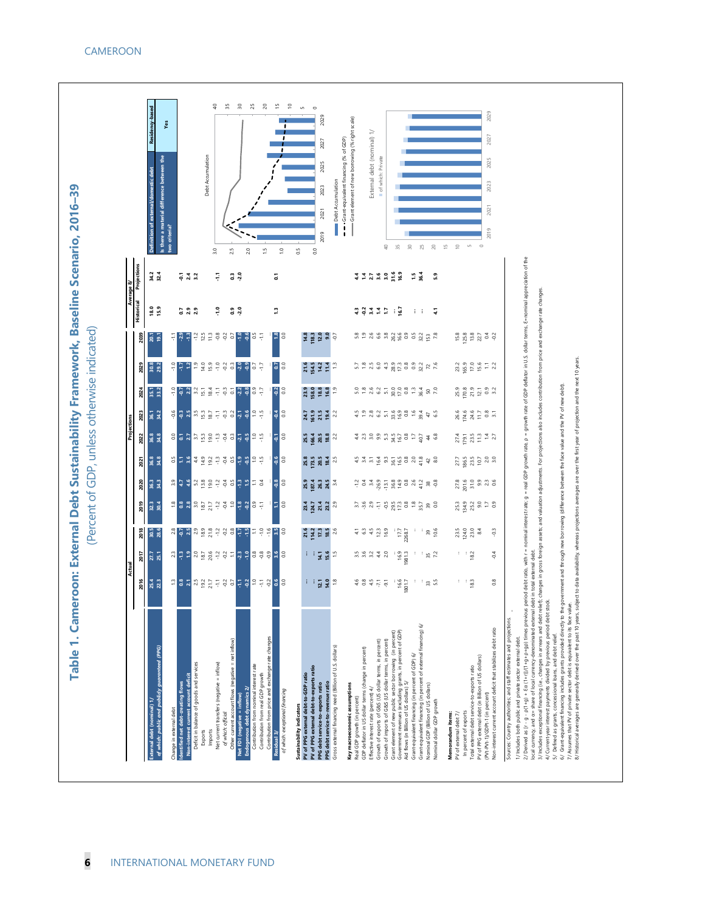

| 32.3<br><mark>을</mark> 용 있 <mark>으로 등</mark> 일 후 을 <mark>을 올 용 등</mark><br>2019<br>30.4<br><mark>제 등 제</mark> 외 홀 로 <sup>실</sup> 영 영 <mark>수 부</mark> 두 운 원 <mark>재</mark> 8<br>2018<br>30.5<br>28.6<br><mark>짜</mark> 뿌 ㅋ 요 횰 몇 걸 걸 두 <mark>짜 두 훌 쭉 쭉 쥑 봐 응</mark><br>2017<br>27.7<br>25.1<br>2016<br>25.4<br><mark>프</mark> 명 지 씨 없 듯 구 영 더 <mark>구 영 우 구 영 영</mark> 영<br>22.3<br>of which: public and publicly guaranteed (PPG)<br>dentified net debt-creating flows<br>External debt (nominal) 1/<br>Change in external debt | 36.3<br>2020<br>34.3                                | 36.8<br><mark>8</mark> 플 유 북 월 일 후 축 명 <mark>후</mark><br>34.8<br>2021 | 2023<br>36.8<br><mark>ន</mark> ទង ដាជ្ញ ខ្លួ ដូ នី <mark>ដូ ង</mark><br>2022<br>34.8                              | 35.1<br>33.2<br>2024<br>$36.1$<br>$34.2$                                                                                                                                                                                                                                                                                                         | $30.8$<br>$29.2$<br>2029 | 2039<br>20.1<br>ē                                          | <b>Historical</b><br>18.0<br>15.9 | Projections<br>34.2<br>32.4 | Residency-based<br>Definition of external/domestic debt           |
|----------------------------------------------------------------------------------------------------------------------------------------------------------------------------------------------------------------------------------------------------------------------------------------------------------------------------------------------------------------------------------------------------------------------------------------------------------------------------------------------------------------------------------|-----------------------------------------------------|-----------------------------------------------------------------------|-------------------------------------------------------------------------------------------------------------------|--------------------------------------------------------------------------------------------------------------------------------------------------------------------------------------------------------------------------------------------------------------------------------------------------------------------------------------------------|--------------------------|------------------------------------------------------------|-----------------------------------|-----------------------------|-------------------------------------------------------------------|
|                                                                                                                                                                                                                                                                                                                                                                                                                                                                                                                                  |                                                     |                                                                       |                                                                                                                   |                                                                                                                                                                                                                                                                                                                                                  |                          |                                                            |                                   |                             |                                                                   |
|                                                                                                                                                                                                                                                                                                                                                                                                                                                                                                                                  |                                                     |                                                                       |                                                                                                                   |                                                                                                                                                                                                                                                                                                                                                  |                          |                                                            |                                   |                             |                                                                   |
|                                                                                                                                                                                                                                                                                                                                                                                                                                                                                                                                  |                                                     |                                                                       |                                                                                                                   |                                                                                                                                                                                                                                                                                                                                                  |                          |                                                            |                                   |                             | yes<br>Is there a material difference between the<br>wo criteria? |
|                                                                                                                                                                                                                                                                                                                                                                                                                                                                                                                                  |                                                     |                                                                       |                                                                                                                   |                                                                                                                                                                                                                                                                                                                                                  |                          | $= 3$                                                      |                                   |                             |                                                                   |
| Non-interest current account deficit                                                                                                                                                                                                                                                                                                                                                                                                                                                                                             |                                                     |                                                                       |                                                                                                                   |                                                                                                                                                                                                                                                                                                                                                  | 유부적                      | ę                                                          | ្ធ ឌូ                             | $-24$<br>$-24$<br>$-3$      |                                                                   |
| Deficit in balance of goods and services                                                                                                                                                                                                                                                                                                                                                                                                                                                                                         |                                                     |                                                                       |                                                                                                                   |                                                                                                                                                                                                                                                                                                                                                  |                          |                                                            |                                   |                             |                                                                   |
| Exports                                                                                                                                                                                                                                                                                                                                                                                                                                                                                                                          |                                                     |                                                                       |                                                                                                                   |                                                                                                                                                                                                                                                                                                                                                  |                          |                                                            |                                   |                             | Debt Accumulation                                                 |
| Net current transfers (negative = inflow)<br>Imports                                                                                                                                                                                                                                                                                                                                                                                                                                                                             |                                                     |                                                                       |                                                                                                                   |                                                                                                                                                                                                                                                                                                                                                  |                          | $12.5$<br>$11.3$<br>$-0.8$                                 | ٩ŗ.                               | ş                           | 3.0                                                               |
| of which: official                                                                                                                                                                                                                                                                                                                                                                                                                                                                                                               |                                                     |                                                                       |                                                                                                                   |                                                                                                                                                                                                                                                                                                                                                  |                          | $^{2}$ $^{2}$ $^{2}$ $\frac{1}{2}$                         |                                   |                             |                                                                   |
| Other current account flows (negative = net inflow)                                                                                                                                                                                                                                                                                                                                                                                                                                                                              |                                                     |                                                                       |                                                                                                                   |                                                                                                                                                                                                                                                                                                                                                  |                          |                                                            | 0.3<br>0.3                        | 0.3                         | 2.5                                                               |
| Endogenous debt dynamics 2/<br>Net FDI (negative = inflow)                                                                                                                                                                                                                                                                                                                                                                                                                                                                       | <mark>요 북 북</mark> 여 通 을 얻 결 <mark>명 블 빌</mark> 드 경 | ្នុ                                                                   |                                                                                                                   | <b>SOS SUBDED SOS SOS</b>                                                                                                                                                                                                                                                                                                                        | 2 2 2 2 3 3 3 3 9        | နိ                                                         |                                   |                             | $\overline{c}$                                                    |
| Contribution from nominal interest rate                                                                                                                                                                                                                                                                                                                                                                                                                                                                                          |                                                     |                                                                       |                                                                                                                   |                                                                                                                                                                                                                                                                                                                                                  |                          | 3                                                          |                                   |                             |                                                                   |
| Contribution from real GDP growth                                                                                                                                                                                                                                                                                                                                                                                                                                                                                                |                                                     | 2.5                                                                   | 2, 5                                                                                                              | 6.9<br>2.5                                                                                                                                                                                                                                                                                                                                       | $-1.7$                   | 두                                                          |                                   |                             | $\frac{5}{1}$                                                     |
| Contribution from price and exchange rate changes<br>Residual 3/                                                                                                                                                                                                                                                                                                                                                                                                                                                                 |                                                     |                                                                       |                                                                                                                   |                                                                                                                                                                                                                                                                                                                                                  |                          |                                                            | ₽                                 | 5                           |                                                                   |
| 目3<br>of which: exceptional financing                                                                                                                                                                                                                                                                                                                                                                                                                                                                                            | 38                                                  | $rac{6}{9}$                                                           | 58                                                                                                                | <b>B</b><br>38                                                                                                                                                                                                                                                                                                                                   | 63                       | 38                                                         |                                   |                             | $\frac{0}{1}$                                                     |
| Sustainability indicators                                                                                                                                                                                                                                                                                                                                                                                                                                                                                                        |                                                     |                                                                       |                                                                                                                   |                                                                                                                                                                                                                                                                                                                                                  |                          |                                                            |                                   |                             | $\frac{5}{2}$                                                     |
| PV of PPG external debt-to-GDP ratio                                                                                                                                                                                                                                                                                                                                                                                                                                                                                             | 25.9<br>187.4                                       | 25.8<br>173.5<br>20.5                                                 | 24.7<br>161.9<br>25.5<br>166.4                                                                                    |                                                                                                                                                                                                                                                                                                                                                  | 21.6<br>154.5            |                                                            |                                   |                             |                                                                   |
| PV of PPG external debt-to-exports ratio                                                                                                                                                                                                                                                                                                                                                                                                                                                                                         |                                                     |                                                                       |                                                                                                                   |                                                                                                                                                                                                                                                                                                                                                  |                          |                                                            |                                   |                             | $\overline{0}$ .                                                  |
| 21.5 12.5 26<br>េះ <b>ក្នុង</b> ១<br>$\frac{1}{2}$ $\frac{1}{2}$ $\frac{1}{2}$ $\frac{9}{2}$ $\frac{19}{2}$<br>PPG debt service-to-exports ratio<br>PPG debt service-to-revenue ratio                                                                                                                                                                                                                                                                                                                                            | 26.3                                                |                                                                       | 20.5                                                                                                              | 3.9<br>158.8<br>16.9<br>19<br>21.5                                                                                                                                                                                                                                                                                                               | $14.2$                   | $\begin{array}{c} 4.3 \\ 1.3 \\ 1.5 \\ 3.5 \\ \end{array}$ |                                   |                             | 2029<br>2027<br>2025<br>2023<br>2021<br>2019                      |
| Gross external financing need (Billion of U.S. dollars)                                                                                                                                                                                                                                                                                                                                                                                                                                                                          | 24.5                                                | 18.4                                                                  | 18.8                                                                                                              | 19.4                                                                                                                                                                                                                                                                                                                                             | 11.4                     |                                                            |                                   |                             | Debt Accumulation                                                 |
|                                                                                                                                                                                                                                                                                                                                                                                                                                                                                                                                  |                                                     |                                                                       |                                                                                                                   |                                                                                                                                                                                                                                                                                                                                                  |                          |                                                            |                                   |                             | - Crant-equivalent financing (% of GDP)                           |
| Key macroeconomic assumptions<br>Real GDP growth (in percent)                                                                                                                                                                                                                                                                                                                                                                                                                                                                    |                                                     |                                                                       |                                                                                                                   |                                                                                                                                                                                                                                                                                                                                                  |                          |                                                            |                                   |                             | -Grant element of new borrowing (% right scale)                   |
| GDP deflator in US dollar terms (change in percent)                                                                                                                                                                                                                                                                                                                                                                                                                                                                              |                                                     |                                                                       |                                                                                                                   |                                                                                                                                                                                                                                                                                                                                                  |                          |                                                            |                                   |                             |                                                                   |
| 18458<br>10 10 10 11 10<br>10 10 11 11 10<br>$4.6$<br>$6.8$<br>$4.5$<br>$7.5$<br>$9.1$<br>Effective interest rate (percent) 4/                                                                                                                                                                                                                                                                                                                                                                                                   |                                                     |                                                                       |                                                                                                                   |                                                                                                                                                                                                                                                                                                                                                  |                          |                                                            |                                   |                             | External debt (nominal) 1/                                        |
| Growth of exports of G&S (US dollar terms, in percent)                                                                                                                                                                                                                                                                                                                                                                                                                                                                           |                                                     |                                                                       |                                                                                                                   |                                                                                                                                                                                                                                                                                                                                                  |                          |                                                            |                                   |                             | of which: Private                                                 |
| Growth of imports of G&S (US dollar terms, in percent)                                                                                                                                                                                                                                                                                                                                                                                                                                                                           |                                                     |                                                                       |                                                                                                                   |                                                                                                                                                                                                                                                                                                                                                  |                          |                                                            |                                   |                             | a                                                                 |
| $\frac{177}{177}$<br>$16.9$<br>1981.3<br>16.6<br>1801.7<br>Government revenues (excluding grants, in percent of GDP)<br>Grant element of new public sector borrowing (in percent)                                                                                                                                                                                                                                                                                                                                                |                                                     |                                                                       |                                                                                                                   |                                                                                                                                                                                                                                                                                                                                                  |                          |                                                            | a d a a d + d                     | 4478259                     | $\frac{5}{20}$                                                    |
| Aid flows (in Billion of US dollars) 5/                                                                                                                                                                                                                                                                                                                                                                                                                                                                                          |                                                     |                                                                       |                                                                                                                   |                                                                                                                                                                                                                                                                                                                                                  |                          |                                                            |                                   |                             | $\approx 0$                                                       |
| Grant-equivalent financing (in percent of GDP) 6/                                                                                                                                                                                                                                                                                                                                                                                                                                                                                |                                                     |                                                                       |                                                                                                                   |                                                                                                                                                                                                                                                                                                                                                  |                          |                                                            | $\mathbb{E} \setminus \mathbb{E}$ | 15                          |                                                                   |
| Grant-equivalent financing (in percent of external financing) 6/<br>Nominal GDP (Billion of US dollars)                                                                                                                                                                                                                                                                                                                                                                                                                          |                                                     |                                                                       |                                                                                                                   |                                                                                                                                                                                                                                                                                                                                                  |                          |                                                            |                                   | 36.4                        | 25                                                                |
| $39$<br>$10.6$<br>$\frac{35}{7}$<br>್ಲಿ ಜ<br>Nominal dollar GDP growth                                                                                                                                                                                                                                                                                                                                                                                                                                                           |                                                     | ង ង ដ វី ង ចំ ង តិ ន ៩ ន ន ទ                                          | 4 ม พ ล ผ หัน คิด 5 ชิ้ 4 ธ                                                                                       | 198358989348                                                                                                                                                                                                                                                                                                                                     | wa wa a 35 a a 35 a 36   | 3 2 3 3 3 3 4 5 6 5 7 8 7 8                                | $\frac{1}{4}$                     | 5.9                         | $\gtrsim$                                                         |
| Memorandum items:                                                                                                                                                                                                                                                                                                                                                                                                                                                                                                                |                                                     |                                                                       |                                                                                                                   |                                                                                                                                                                                                                                                                                                                                                  |                          |                                                            |                                   |                             | $\frac{10}{10}$                                                   |
| PV of external debt 7/                                                                                                                                                                                                                                                                                                                                                                                                                                                                                                           |                                                     |                                                                       |                                                                                                                   |                                                                                                                                                                                                                                                                                                                                                  |                          |                                                            |                                   |                             | $\mathop{=}$                                                      |
| i i<br>់ ' ខ្ល<br>In percent of exports                                                                                                                                                                                                                                                                                                                                                                                                                                                                                          |                                                     |                                                                       |                                                                                                                   |                                                                                                                                                                                                                                                                                                                                                  |                          |                                                            |                                   |                             | $\omega$                                                          |
| $33.88$ $3.38$<br>18.2<br>PV of PPG external debt (in Billion of US dollars)<br>Total external debt service-to-exports ratio                                                                                                                                                                                                                                                                                                                                                                                                     | 789000000000000                                     | $7.7$<br>1865<br>1970<br>1970<br>1980                                 | $\begin{array}{l} 27.4 \\ 79.5 \\ 23.5 \\ \hline \end{array} \begin{array}{l} 27.4 \\ 21.3 \\ \hline \end{array}$ | $\begin{array}{c} 25.9 \\ 25.0 \\ 25.0 \\ 25.0 \\ 25.0 \\ 25.0 \\ 25.0 \\ 25.0 \\ 25.0 \\ 25.0 \\ 25.0 \\ 25.0 \\ 25.0 \\ 25.0 \\ 25.0 \\ 25.0 \\ 25.0 \\ 25.0 \\ 25.0 \\ 25.0 \\ 25.0 \\ 25.0 \\ 25.0 \\ 25.0 \\ 25.0 \\ 25.0 \\ 25.0 \\ 25.0 \\ 25.0 \\ 25.0 \\ 25.0 \\ 25.0 \\ 25.0 \\ 25.0 \\ 25.0 \\ 25$<br>$26.6$ $5.46$ $5.7$ $5.7$ $5.7$ |                          |                                                            |                                   |                             |                                                                   |
| (PVt-PVt-1)/GDPt-1 (in percent)                                                                                                                                                                                                                                                                                                                                                                                                                                                                                                  |                                                     |                                                                       |                                                                                                                   |                                                                                                                                                                                                                                                                                                                                                  |                          |                                                            |                                   |                             | 2029<br>2027<br>2025<br>2023<br>2021<br>2019<br>$\circ$           |
| ុ<br>$\frac{4}{7}$<br>$_{\rm 0.8}$<br>Non-interest current account deficit that stabilizes debt ratio                                                                                                                                                                                                                                                                                                                                                                                                                            |                                                     |                                                                       |                                                                                                                   |                                                                                                                                                                                                                                                                                                                                                  |                          |                                                            |                                   |                             |                                                                   |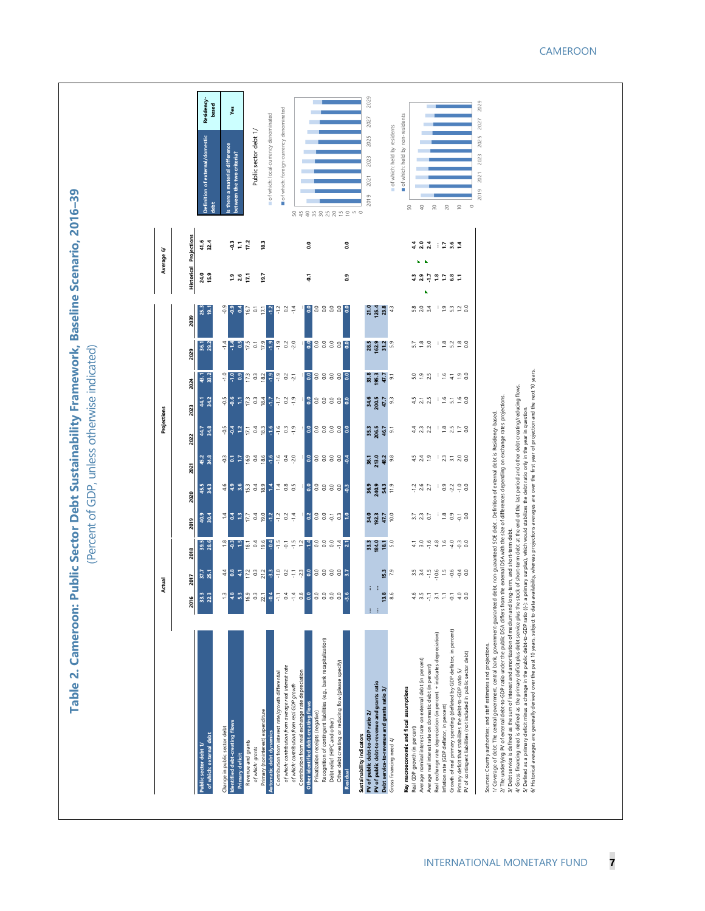| 40.9<br>388532<br>프 블 프 <u>트</u> 클 S<br><mark>일</mark> 은 영후<br>2019<br>39.5<br>$\frac{18}{9}$ $\frac{15}{15}$<br>플 3 월 <mark>3</mark> 월 5 월 일 <mark>후</mark> 3 8 8 후 <mark>지</mark><br>$\overline{28.6}$<br>2018<br><mark>축 용 준 분 용 정 및 및</mark> 분 용 분 및 <mark>용 용 용 용 용 분</mark><br>37.7<br>2017<br>$\frac{8}{9}$<br>S<br>2016<br>Ŧ<br>W,<br>$\frac{6}{5}$<br>$\ddot{\circ}$<br>$\overline{2}$<br>÷<br>Y<br>ò<br>÷<br>ŏ<br>$\breve{\phantom{a}}$<br>ੱ<br>÷<br>я,<br>2<br>್ಚ<br>Recognition of contingent liabilities (e.g., bank recapitalization)<br>Other debt creating or reducing flow (please specify)<br>of which: contribution from average real interest rate<br>Contribution from real exchange rate depreciation<br>Contribution from interest rate/growth differentia<br>of which: contribution from real GDP growth<br>Other identified debt-creating flows<br>Primary (noninterest) expenditure<br>Privatization receipts (negative)<br>Debt relief (HIPC and other)<br>dentified debt-creating flows<br>Change in public sector debt<br>Automatic debt dynamics<br>of which: external debt<br>Revenue and grants<br>Public sector debt 1/<br>of which: grants<br>Primary deficit<br>Residual | 45.2<br>34.8<br>2021<br>45.5<br>2020                       | 2022                                                    |                               |                      | 2039                                                                                |                |                   |                     |                                                                  |
|-------------------------------------------------------------------------------------------------------------------------------------------------------------------------------------------------------------------------------------------------------------------------------------------------------------------------------------------------------------------------------------------------------------------------------------------------------------------------------------------------------------------------------------------------------------------------------------------------------------------------------------------------------------------------------------------------------------------------------------------------------------------------------------------------------------------------------------------------------------------------------------------------------------------------------------------------------------------------------------------------------------------------------------------------------------------------------------------------------------------------------------------------------------------------------------------------------------|------------------------------------------------------------|---------------------------------------------------------|-------------------------------|----------------------|-------------------------------------------------------------------------------------|----------------|-------------------|---------------------|------------------------------------------------------------------|
|                                                                                                                                                                                                                                                                                                                                                                                                                                                                                                                                                                                                                                                                                                                                                                                                                                                                                                                                                                                                                                                                                                                                                                                                             |                                                            | 44.7                                                    | 44.1<br>2023                  | 2029<br>43.1<br>2024 | 25.3<br>36.1                                                                        | 24.0           | <b>Historical</b> | Projections<br>41.6 |                                                                  |
|                                                                                                                                                                                                                                                                                                                                                                                                                                                                                                                                                                                                                                                                                                                                                                                                                                                                                                                                                                                                                                                                                                                                                                                                             |                                                            | 34.8                                                    | 34.2                          |                      | ള്<br>29.2                                                                          | 15.9           |                   | 32.4                | Residency-<br>based<br>Definition of external/domestic<br>ă      |
|                                                                                                                                                                                                                                                                                                                                                                                                                                                                                                                                                                                                                                                                                                                                                                                                                                                                                                                                                                                                                                                                                                                                                                                                             | 49999238                                                   | <b>S 2 5 2 3 3</b>                                      | <b>B</b> B E E B B            | e e a pa a a e       | <b>8 8 3</b><br>$\frac{1}{4}$ $\frac{1}{4}$ 9.5                                     | $1.9$<br>$2.6$ |                   | ី =                 | material difference<br>the two criteria?<br>Is there a<br>stween |
|                                                                                                                                                                                                                                                                                                                                                                                                                                                                                                                                                                                                                                                                                                                                                                                                                                                                                                                                                                                                                                                                                                                                                                                                             |                                                            |                                                         |                               |                      | $\frac{16.7}{0.1}$                                                                  | E              |                   | 17.2                | Public sector debt 1/                                            |
|                                                                                                                                                                                                                                                                                                                                                                                                                                                                                                                                                                                                                                                                                                                                                                                                                                                                                                                                                                                                                                                                                                                                                                                                             |                                                            | $-1.6$                                                  | ÷.                            |                      | $-1.2$                                                                              | 19.7           |                   | $\frac{3}{2}$       | of which: local-currency denominated                             |
|                                                                                                                                                                                                                                                                                                                                                                                                                                                                                                                                                                                                                                                                                                                                                                                                                                                                                                                                                                                                                                                                                                                                                                                                             | 27.33                                                      | 9997<br>$-3.8$                                          | $\frac{5}{10}$ $\frac{5}{10}$ | 787                  | $\frac{1}{2}$ $\frac{2}{5}$<br>ដូច <mark>ខ្</mark> នុទ្ទ ខ្នុង                      |                |                   |                     | of which: foreign-currency denominated                           |
|                                                                                                                                                                                                                                                                                                                                                                                                                                                                                                                                                                                                                                                                                                                                                                                                                                                                                                                                                                                                                                                                                                                                                                                                             |                                                            |                                                         |                               |                      | $\frac{4}{7}$                                                                       |                |                   |                     |                                                                  |
|                                                                                                                                                                                                                                                                                                                                                                                                                                                                                                                                                                                                                                                                                                                                                                                                                                                                                                                                                                                                                                                                                                                                                                                                             |                                                            |                                                         |                               |                      |                                                                                     | č              |                   | ះ                   |                                                                  |
|                                                                                                                                                                                                                                                                                                                                                                                                                                                                                                                                                                                                                                                                                                                                                                                                                                                                                                                                                                                                                                                                                                                                                                                                             | <mark>ខ្</mark> លួខខ្លួ <mark>ឌ</mark> ្                   | 88888<br><mark>ខ</mark> ្លួ ខ្លួ ខ្លួ <mark>ខ្ញុ</mark> | 88888                         | 88888                | 88888<br>88888                                                                      |                |                   |                     | 54483885255                                                      |
|                                                                                                                                                                                                                                                                                                                                                                                                                                                                                                                                                                                                                                                                                                                                                                                                                                                                                                                                                                                                                                                                                                                                                                                                             |                                                            |                                                         |                               |                      |                                                                                     | ្ឆ             |                   | c.                  |                                                                  |
| 34.0<br>33.3<br>PV of public debt-to-GDP ratio 2/<br>Sustainability indicators                                                                                                                                                                                                                                                                                                                                                                                                                                                                                                                                                                                                                                                                                                                                                                                                                                                                                                                                                                                                                                                                                                                              | 36.9                                                       |                                                         |                               |                      | 21.0<br>28.5                                                                        |                |                   |                     | 2027<br>2025<br>2023<br>2021<br>2019                             |
| 192.3<br>184.0<br>18.1<br>5.0<br>i.<br>ë<br>PV of public debt-to-revenue and grants ratio<br>Debt service-to-revenue and grants ratio 3/                                                                                                                                                                                                                                                                                                                                                                                                                                                                                                                                                                                                                                                                                                                                                                                                                                                                                                                                                                                                                                                                    | $36.1$<br>$213.0$<br>$48.2$<br>$9.8$<br>240.9              | $35.3$<br>$206.5$<br>$46.7$                             | 34.6<br>200.5<br>47.7         | 33.3<br>195.7<br>5.7 | 125.4<br>162.9<br>31.2<br>5.9                                                       |                |                   |                     |                                                                  |
| 47.7<br>15.3<br>$\infty$<br>Gross financing need 4/                                                                                                                                                                                                                                                                                                                                                                                                                                                                                                                                                                                                                                                                                                                                                                                                                                                                                                                                                                                                                                                                                                                                                         | 54.3                                                       |                                                         | 3                             |                      | 23.8                                                                                |                |                   |                     | of which: held by residents                                      |
| Key macroeconomic and fiscal assumptions<br>Real GDP growth (in percent)                                                                                                                                                                                                                                                                                                                                                                                                                                                                                                                                                                                                                                                                                                                                                                                                                                                                                                                                                                                                                                                                                                                                    |                                                            |                                                         |                               |                      |                                                                                     |                |                   |                     | of which: held by non-residents<br>$50\,$                        |
| 232 13358<br>$\pm 3.6$ $\pm 4.6$ $\pm 4.6$ $\pm 6.6$<br>എന്<br>Average nominal interest rate on external debt (in percent)                                                                                                                                                                                                                                                                                                                                                                                                                                                                                                                                                                                                                                                                                                                                                                                                                                                                                                                                                                                                                                                                                  | $-126$<br>$-25$<br>$-27$                                   | 4. 3. 2.<br>4. 2. 2.<br>429 3528                        | 423 19598                     | 5.950                | $5.0$ $3.4$<br>522 22328                                                            | $4.3$<br>$2.9$ |                   | 422 : 254           | $\sqrt{4}$                                                       |
| $\pm$ 21<br>Real exchange rate depreciation (in percent, + indicates depreciation)<br>Average real interest rate on domestic debt (in percent)                                                                                                                                                                                                                                                                                                                                                                                                                                                                                                                                                                                                                                                                                                                                                                                                                                                                                                                                                                                                                                                              |                                                            |                                                         |                               |                      |                                                                                     |                |                   |                     | $\rm{S}0$                                                        |
| $ \frac{1}{2}$<br>Inflation rate (GDP deflator, in percent)                                                                                                                                                                                                                                                                                                                                                                                                                                                                                                                                                                                                                                                                                                                                                                                                                                                                                                                                                                                                                                                                                                                                                 |                                                            |                                                         |                               |                      |                                                                                     |                |                   |                     | $_{20}$                                                          |
| Growth of real primary spending (deflated by GDP deflator, in percent)                                                                                                                                                                                                                                                                                                                                                                                                                                                                                                                                                                                                                                                                                                                                                                                                                                                                                                                                                                                                                                                                                                                                      | $= 3\frac{1}{2}$ $\frac{9}{1}$ $\frac{1}{2}$ $\frac{9}{5}$ | 12.58                                                   |                               | 9598                 | $\frac{1}{2}$ $\frac{5}{2}$ $\frac{3}{2}$ $\frac{3}{2}$ $\frac{3}{2}$ $\frac{3}{2}$ | 2287           |                   |                     |                                                                  |
| $\frac{1}{4}$ o<br>Primary deficit that stabilizes the debt-to-GDP ratio 5/<br>PV of contingent liabilities (not included in public sector debt)                                                                                                                                                                                                                                                                                                                                                                                                                                                                                                                                                                                                                                                                                                                                                                                                                                                                                                                                                                                                                                                            |                                                            |                                                         |                               |                      |                                                                                     |                |                   |                     | $\circ$                                                          |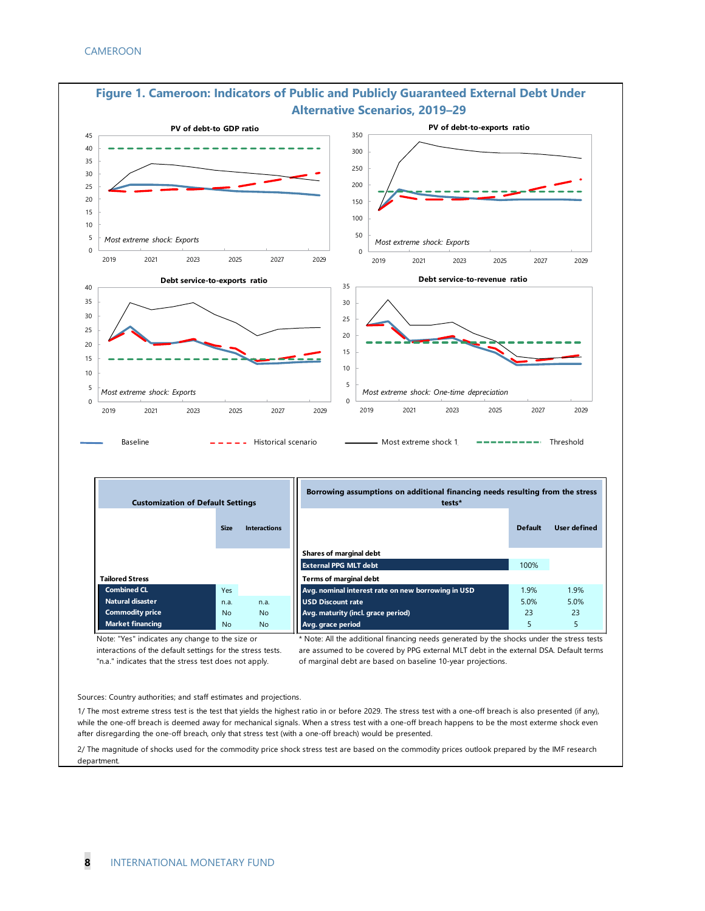

| Figure 1. Cameroon: Indicators of Public and Publicly Guaranteed External Debt Under |  |
|--------------------------------------------------------------------------------------|--|
| <b>Alternative Scenarios, 2019-29</b>                                                |  |

| <b>Customization of Default Settings</b> |             |                     | Borrowing assumptions on additional financing needs resulting from the stress<br>tests* |                |              |
|------------------------------------------|-------------|---------------------|-----------------------------------------------------------------------------------------|----------------|--------------|
|                                          | <b>Size</b> | <b>Interactions</b> |                                                                                         | <b>Default</b> | User defined |
|                                          |             |                     | <b>Shares of marginal debt</b>                                                          |                |              |
|                                          |             |                     | <b>External PPG MLT debt</b>                                                            | 100%           |              |
| <b>Tailored Stress</b>                   |             |                     | <b>Terms of marginal debt</b>                                                           |                |              |
| <b>Combined CL</b>                       | <b>Yes</b>  |                     | Avg. nominal interest rate on new borrowing in USD                                      | 1.9%           | 1.9%         |
| Natural disaster                         | n.a.        | n.a.                | <b>USD Discount rate</b>                                                                | 5.0%           | 5.0%         |
| <b>Commodity price</b>                   | <b>No</b>   | <b>No</b>           | Avg. maturity (incl. grace period)                                                      | 23             | 23           |
| <b>Market financing</b>                  | No          | <b>No</b>           | Avg. grace period                                                                       | 5              |              |

Note: "Yes" indicates any change to the size or interactions of the default settings for the stress tests.

"n.a." indicates that the stress test does not apply.

\* Note: All the additional financing needs generated by the shocks under the stress tests are assumed to be covered by PPG external MLT debt in the external DSA. Default terms of marginal debt are based on baseline 10-year projections.

Sources: Country authorities; and staff estimates and projections.

1/ The most extreme stress test is the test that yields the highest ratio in or before 2029. The stress test with a one-off breach is also presented (if any), while the one-off breach is deemed away for mechanical signals. When a stress test with a one-off breach happens to be the most exterme shock even after disregarding the one-off breach, only that stress test (with a one-off breach) would be presented.

2/ The magnitude of shocks used for the commodity price shock stress test are based on the commodity prices outlook prepared by the IMF research department.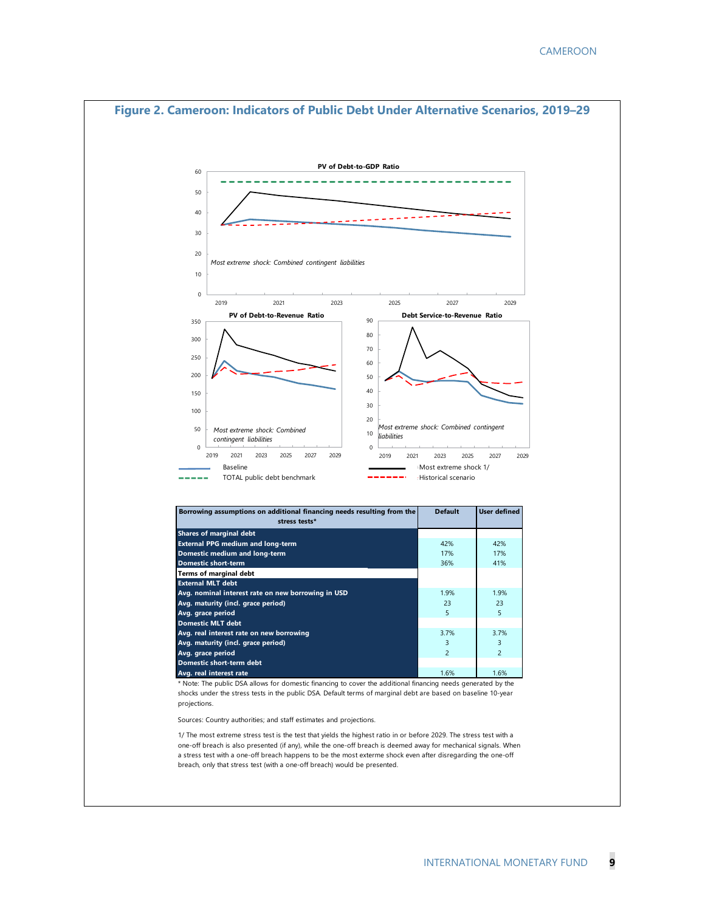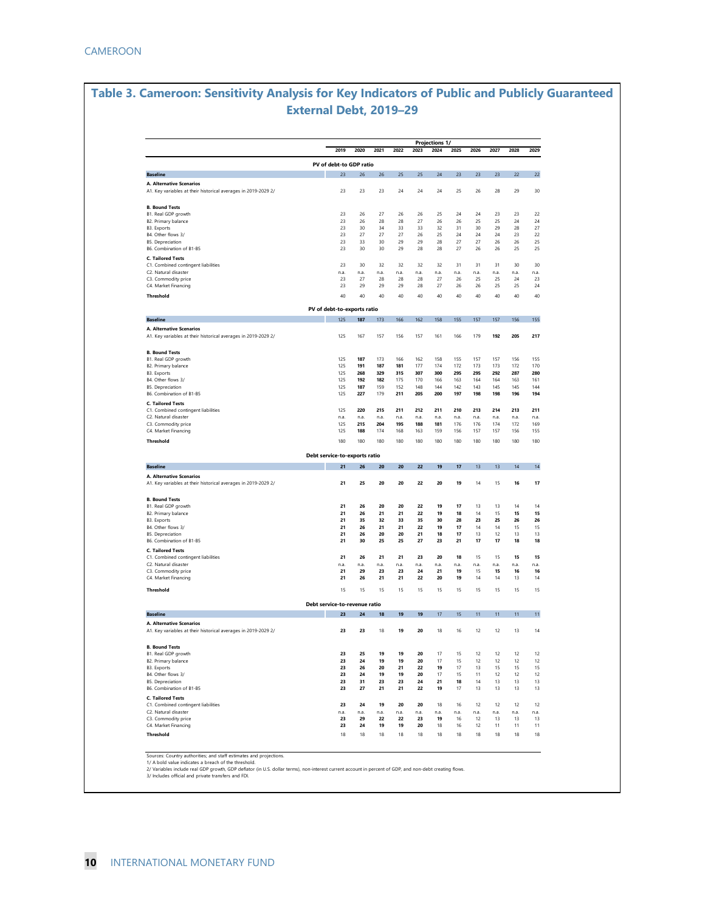#### **Table 3. Cameroon: Sensitivity Analysis for Key Indicators of Public and Publicly Guaranteed External Debt, 2019–29**

|                                                                                                   | 2019                                | 2020       | 2021       | 2022       | 2023       | 2024       | 2025       | 2026       | 2027       | 2028       | 2029 |
|---------------------------------------------------------------------------------------------------|-------------------------------------|------------|------------|------------|------------|------------|------------|------------|------------|------------|------|
|                                                                                                   |                                     |            |            |            |            |            |            |            |            |            |      |
|                                                                                                   | PV of debt-to GDP ratio             |            |            |            |            |            |            |            |            |            |      |
| <b>Baseline</b>                                                                                   | 23                                  | 26         | 26         | 25         | 25         | 24         | 23         | 23         | 23         | 22         |      |
| A. Alternative Scenarios<br>A1. Key variables at their historical averages in 2019-2029 2/        | 23                                  | 23         | 23         | 24         | 24         | 24         | 25         | 26         | 28         | 29         |      |
| <b>B. Bound Tests</b>                                                                             |                                     |            |            |            |            |            |            |            |            |            |      |
| B1. Real GDP growth                                                                               | 23                                  | 26         | 27         | 26         | 26         | 25         | 24         | 24         | 23         | 23         |      |
| B2. Primary balance                                                                               | 23                                  | 26         | 28         | 28         | 27         | 26         | 26         | 25         | 25         | 24         |      |
| B3. Exports<br>B4. Other flows 3/                                                                 | 23<br>23                            | 30<br>27   | 34<br>27   | 33<br>27   | 33<br>26   | 32<br>25   | 31<br>24   | 30<br>24   | 29<br>24   | 28<br>23   |      |
| B5. Depreciation                                                                                  | 23                                  | 33         | 30         | 29         | 29         | 28         | 27         | 27         | 26         | 26         |      |
| B6. Combination of B1-B5                                                                          | 23                                  | 30         | 30         | 29         | 28         | 28         | 27         | 26         | 26         | 25         |      |
| <b>C. Tailored Tests</b>                                                                          |                                     |            |            |            |            |            |            |            |            |            |      |
| C1. Combined contingent liabilities                                                               | 23                                  | 30         | 32         | 32         | 32         | 32         | 31         | 31         | 31         | 30         |      |
| C2. Natural disaster<br>C3. Commodity price                                                       | n.a.<br>23                          | n.a.<br>27 | n.a.<br>28 | n.a.<br>28 | n.a.<br>28 | n.a.<br>27 | n.a.<br>26 | n.a.<br>25 | n.a.<br>25 | n.a.<br>24 |      |
| C4. Market Financing                                                                              | 23                                  | 29         | 29         | 29         | 28         | 27         | 26         | 26         | 25         | 25         |      |
| Threshold                                                                                         | 40                                  | 40         | 40         | 40         | 40         | 40         | 40         | 40         | 40         | 40         |      |
|                                                                                                   | PV of debt-to-exports ratio         |            |            |            |            |            |            |            |            |            |      |
| <b>Baseline</b>                                                                                   | 125                                 | 187        | 173        | 166        | 162        | 158        | 155        | 157        | 157        | 156        |      |
| <b>A. Alternative Scenarios</b><br>A1. Key variables at their historical averages in 2019-2029 2/ | 125                                 | 167        | 157        | 156        | 157        | 161        | 166        | 179        | 192        | 205        |      |
|                                                                                                   |                                     |            |            |            |            |            |            |            |            |            |      |
| <b>B. Bound Tests</b><br>B1. Real GDP growth                                                      |                                     |            |            |            |            |            |            |            |            |            |      |
| B2. Primary balance                                                                               | 125<br>125                          | 187<br>191 | 173<br>187 | 166<br>181 | 162<br>177 | 158<br>174 | 155<br>172 | 157<br>173 | 157<br>173 | 156<br>172 |      |
| B3. Exports                                                                                       | 125                                 | 268        | 329        | 315        | 307        | 300        | 295        | 295        | 292        | 287        |      |
| B4. Other flows 3/                                                                                | 125                                 | 192        | 182        | 175        | 170        | 166        | 163        | 164        | 164        | 163        |      |
| <b>B5.</b> Depreciation                                                                           | 125                                 | 187        | 159        | 152        | 148        | 144        | 142        | 143        | 145        | 145        |      |
| B6. Combination of B1-B5                                                                          | 125                                 | 227        | 179        | 211        | 205        | 200        | 197        | 198        | 198        | 196        |      |
| <b>C. Tailored Tests</b><br>C1. Combined contingent liabilities                                   | 125                                 | 220        | 215        | 211        | 212        | 211        | 210        | 213        | 214        | 213        |      |
| C2. Natural disaster                                                                              | n.a.                                | n.a.       | n.a.       | n.a.       | n.a.       | n.a.       | n.a.       | n.a.       | n.a.       | n.a.       |      |
| C3. Commodity price                                                                               | 125                                 | 215        | 204        | 195        | 188        | 181        | 176        | 176        | 174        | 172        |      |
| C4. Market Financing                                                                              | 125                                 | 188        | 174        | 168        | 163        | 159        | 156        | 157        | 157        | 156        |      |
| Threshold                                                                                         | 180                                 | 180        | 180        | 180        | 180        | 180        | 180        | 180        | 180        | 180        |      |
|                                                                                                   | Debt service-to-exports ratio       |            |            |            |            |            |            |            |            |            |      |
| <b>Baseline</b>                                                                                   | 21                                  | 26         | 20         | 20         | 22         | 19         | 17         | 13         | 13         | 14         |      |
| A. Alternative Scenarios<br>A1. Key variables at their historical averages in 2019-2029 2/        | 21                                  | 25         | 20         | 20         | 22         | 20         | 19         | 14         | 15         | 16         |      |
| <b>B. Bound Tests</b>                                                                             |                                     |            |            |            |            |            |            |            |            |            |      |
| B1. Real GDP growth                                                                               | 21                                  | 26         | 20         | 20         | 22         | 19         | 17         | 13         | 13         | 14         |      |
| B2. Primary balance                                                                               | 21                                  | 26         | 21         | 21         | 22         | 19         | 18         | 14         | 15         | 15         |      |
| B3. Exports                                                                                       | 21                                  | 35         | 32         | 33         | 35         | 30         | 28         | 23         | 25         | 26         |      |
| B4. Other flows 3/                                                                                | 21                                  | 26         | 21         | 21         | 22         | 19         | 17         | 14         | 14         | 15         |      |
| <b>B5.</b> Depreciation<br>B6. Combination of B1-B5                                               | 21<br>21                            | 26<br>30   | 20<br>25   | 20<br>25   | 21<br>27   | 18<br>23   | 17<br>21   | 13<br>17   | 12<br>17   | 13<br>18   |      |
| <b>C. Tailored Tests</b>                                                                          |                                     |            |            |            |            |            |            |            |            |            |      |
| C1. Combined contingent liabilities                                                               | 21                                  | 26         | 21         | 21         | 23         | 20         | 18         | 15         | 15         | 15         |      |
| C2. Natural disaster                                                                              | n.a.                                | n.a.       | n.a.       | n.a.       | n.a.       | n.a.       | n.a.       | n.a.       | n.a.       | n.a.       |      |
| C3. Commodity price                                                                               | 21<br>21                            | 29<br>26   | 23<br>21   | 23<br>21   | 24<br>22   | 21<br>20   | 19<br>19   | 15<br>14   | 15<br>14   | 16<br>13   |      |
| C4. Market Financing                                                                              |                                     |            |            |            |            |            |            |            |            |            |      |
| <b>Threshold</b>                                                                                  | 15                                  | 15         | 15         | 15         | 15         | 15         | 15         | 15         | 15         | 15         |      |
| <b>Baseline</b>                                                                                   | Debt service-to-revenue ratio<br>23 | 24         | 18         | 19         | 19         | 17         | 15         | 11         | 11         | 11         |      |
| A. Alternative Scenarios                                                                          |                                     |            |            |            |            |            |            |            |            |            |      |
| A1. Key variables at their historical averages in 2019-2029 2/                                    | 23                                  | 23         | 18         | 19         | 20         | 18         | 16         | 12         | 12         | 13         |      |
| <b>B. Bound Tests</b>                                                                             |                                     |            |            |            |            |            |            |            |            |            |      |
| B1. Real GDP growth                                                                               | 23                                  | 25         | 19         | 19         | 20         | 17         | 15         | 12         | 12         | 12         |      |
| B2. Primary balance                                                                               | 23<br>23                            | 24<br>26   | 19<br>20   | 19<br>21   | 20<br>22   | 17<br>19   | 15<br>17   | 12         | 12<br>15   | 12<br>15   |      |
| B3. Exports<br>B4. Other flows 3/                                                                 | 23                                  | 24         | 19         | 19         | 20         | 17         | 15         | 13<br>11   | 12         | 12         |      |
| <b>B5. Depreciation</b>                                                                           | 23                                  | 31         | 23         | 23         | 24         | 21         | 18         | 14         | 13         | 13         |      |
| B6. Combination of B1-B5                                                                          | 23                                  | 27         | 21         | 21         | 22         | 19         | 17         | 13         | 13         | 13         |      |
| <b>C. Tailored Tests</b>                                                                          |                                     |            |            |            |            |            |            |            |            |            |      |
| C1. Combined contingent liabilities                                                               | 23                                  | 24         | 19         | 20         | 20         | 18         | 16         | 12         | 12         | 12         |      |
|                                                                                                   | n.a.                                | n.a.       | n.a.       | n.a.       | n.a.<br>23 | n.a.<br>19 | n.a.       | n.a.<br>12 | n.a.<br>13 | n.a.<br>13 |      |
| C2. Natural disaster                                                                              |                                     |            |            |            |            |            | 16         |            |            |            |      |
| C3. Commodity price                                                                               | 23                                  | 29         | 22         | 22         |            |            |            |            |            |            |      |
| C4. Market Financing<br>Threshold                                                                 | 23<br>18                            | 24<br>18   | 19<br>18   | 19<br>18   | 20<br>18   | 18<br>18   | 16<br>18   | 12<br>18   | 11<br>18   | 11<br>18   |      |

Sources: Country authorities; and staff estimates and projections.<br>1/ A bold value indicates a breach of the threshold.<br>2/ Variables include real GDP growth, GDP deflator (in U.S. dollar terms), non-interest current accoun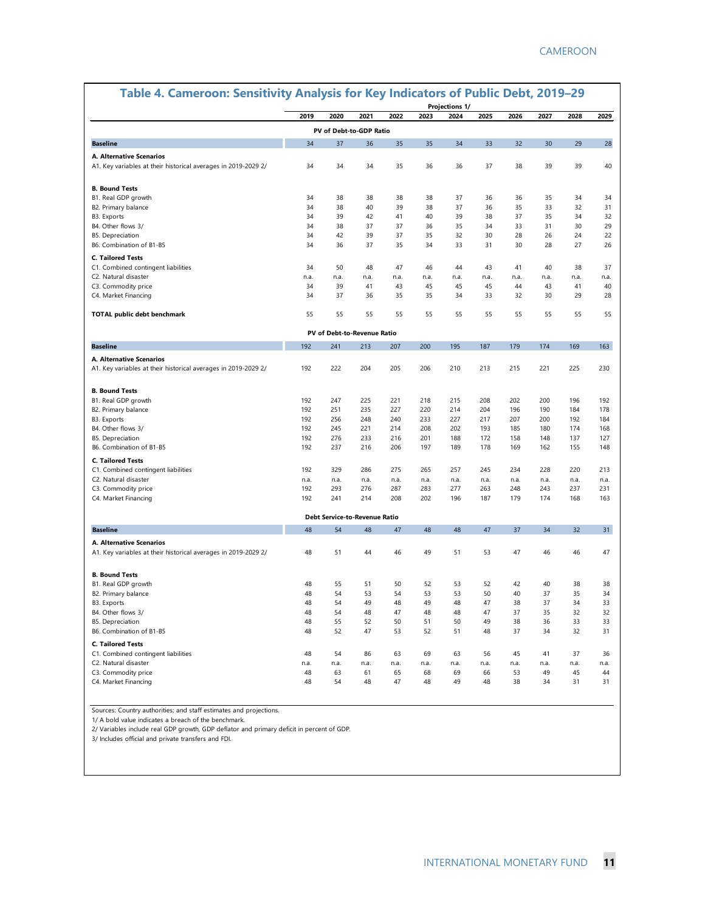| Table 4. Cameroon: Sensitivity Analysis for Key Indicators of Public Debt, 2019-29 |            |            |                               |            |            | <b>Projections 1/</b> |            |            |            |            |            |
|------------------------------------------------------------------------------------|------------|------------|-------------------------------|------------|------------|-----------------------|------------|------------|------------|------------|------------|
|                                                                                    | 2019       | 2020       | 2021                          | 2022       | 2023       | 2024                  | 2025       | 2026       | 2027       | 2028       | 2029       |
|                                                                                    |            |            | PV of Debt-to-GDP Ratio       |            |            |                       |            |            |            |            |            |
| <b>Baseline</b>                                                                    | 34         | 37         | 36                            | 35         | 35         | 34                    | 33         | 32         | 30         | 29         | 28         |
| <b>A. Alternative Scenarios</b>                                                    |            |            |                               |            |            |                       |            |            |            |            |            |
| A1. Key variables at their historical averages in 2019-2029 2/                     | 34         | 34         | 34                            | 35         | 36         | 36                    | 37         | 38         | 39         | 39         | 40         |
| <b>B. Bound Tests</b>                                                              |            |            |                               |            |            |                       |            |            |            |            |            |
| B1. Real GDP growth                                                                | 34         | 38         | 38                            | 38         | 38         | 37                    | 36         | 36         | 35         | 34         | 34         |
| B2. Primary balance                                                                | 34         | 38         | 40                            | 39         | 38         | 37                    | 36         | 35         | 33         | 32         | 31         |
| B3. Exports                                                                        | 34         | 39         | 42                            | 41         | 40         | 39                    | 38         | 37         | 35         | 34         | 32         |
| B4. Other flows 3/                                                                 | 34         | 38         | 37                            | 37         | 36         | 35                    | 34         | 33         | 31         | 30         | 29         |
| B5. Depreciation                                                                   | 34         | 42         | 39                            | 37         | 35         | 32                    | 30         | 28         | 26         | 24         | 22         |
| B6. Combination of B1-B5                                                           | 34         | 36         | 37                            | 35         | 34         | 33                    | 31         | 30         | 28         | 27         | 26         |
| <b>C. Tailored Tests</b>                                                           |            |            |                               |            |            |                       |            |            |            |            |            |
| C1. Combined contingent liabilities                                                | 34         | 50         | 48                            | 47         | 46         | 44                    | 43         | 41         | 40         | 38         | 37         |
| C2. Natural disaster                                                               | n.a.       | n.a.       | n.a.                          | n.a.       | n.a.       | n.a.                  | n.a.       | n.a.       | n.a.       | n.a.       | n.a.       |
| C3. Commodity price                                                                | 34         | 39         | 41                            | 43         | 45         | 45                    | 45         | 44         | 43         | 41         | 40         |
| C4. Market Financing                                                               | 34         | 37         | 36                            | 35         | 35         | 34                    | 33         | 32         | 30         | 29         | 28         |
| <b>TOTAL public debt benchmark</b>                                                 | 55         | 55         | 55                            | 55         | 55         | 55                    | 55         | 55         | 55         | 55         | 55         |
|                                                                                    |            |            | PV of Debt-to-Revenue Ratio   |            |            |                       |            |            |            |            |            |
| <b>Baseline</b>                                                                    | 192        | 241        | 213                           | 207        | 200        | 195                   | 187        | 179        | 174        | 169        | 163        |
| A. Alternative Scenarios                                                           |            |            |                               |            |            |                       |            |            |            |            |            |
| A1. Key variables at their historical averages in 2019-2029 2/                     | 192        | 222        | 204                           | 205        | 206        | 210                   | 213        | 215        | 221        | 225        | 230        |
| <b>B. Bound Tests</b>                                                              |            |            |                               |            |            |                       |            |            |            |            |            |
| B1. Real GDP growth                                                                | 192        | 247        | 225                           | 221        | 218        | 215                   | 208        | 202        | 200        | 196        | 192        |
| B2. Primary balance                                                                | 192        | 251        | 235                           | 227        | 220        | 214                   | 204        | 196        | 190        | 184        | 178        |
| B3. Exports                                                                        | 192        | 256        | 248                           | 240        | 233        | 227                   | 217        | 207        | 200        | 192        | 184        |
| B4. Other flows 3/                                                                 | 192<br>192 | 245<br>276 | 221<br>233                    | 214<br>216 | 208<br>201 | 202<br>188            | 193<br>172 | 185<br>158 | 180<br>148 | 174<br>137 | 168<br>127 |
| B5. Depreciation<br>B6. Combination of B1-B5                                       | 192        | 237        | 216                           | 206        | 197        | 189                   | 178        | 169        | 162        | 155        | 148        |
| <b>C. Tailored Tests</b>                                                           |            |            |                               |            |            |                       |            |            |            |            |            |
| C1. Combined contingent liabilities                                                | 192        | 329        | 286                           | 275        | 265        | 257                   | 245        | 234        | 228        | 220        | 213        |
| C2. Natural disaster                                                               | n.a.       | n.a.       | n.a.                          | n.a.       | n.a.       | n.a.                  | n.a.       | n.a.       | n.a.       | n.a.       | n.a.       |
| C3. Commodity price                                                                | 192        | 293        | 276                           | 287        | 283        | 277                   | 263        | 248        | 243        | 237        | 231        |
| C4. Market Financing                                                               | 192        | 241        | 214                           | 208        | 202        | 196                   | 187        | 179        | 174        | 168        | 163        |
|                                                                                    |            |            | Debt Service-to-Revenue Ratio |            |            |                       |            |            |            |            |            |
| <b>Baseline</b>                                                                    | 48         | 54         | 48                            | 47         | 48         | 48                    | 47         | 37         | 34         | 32         | 31         |
| A. Alternative Scenarios                                                           |            |            |                               |            |            |                       |            |            |            |            |            |
| A1. Key variables at their historical averages in 2019-2029 2/                     | 48         | 51         | 44                            | 46         | 49         | 51                    | 53         | 47         | 46         | 46         | 47         |
| <b>B. Bound Tests</b>                                                              |            |            |                               |            |            |                       |            |            |            |            |            |
| B1. Real GDP growth                                                                | 48         | 55         | 51                            | 50         | 52         | 53                    | 52         | 42         | 40         | 38         | 38         |
| B2. Primary balance                                                                | 48         | 54         | 53                            | 54         | 53         | 53                    | 50         | 40         | 37         | 35         | 34         |
| B3. Exports                                                                        | 48         | 54         | 49                            | 48         | 49         | 48                    | 47         | 38         | 37         | 34         | 33         |
| B4. Other flows 3/                                                                 | 48         | 54         | 48                            | 47         | 48         | 48                    | 47         | 37         | 35         | 32         | 32         |
| B5. Depreciation                                                                   | 48         | 55         | 52                            | 50         | 51         | 50                    | 49         | 38         | 36         | 33         | 33         |
|                                                                                    |            | 52         | 47                            | 53         | 52         | 51                    | 48         | 37         | 34         | 32         | 31         |
| B6. Combination of B1-B5                                                           | 48         |            |                               |            |            |                       |            |            |            |            |            |
| <b>C. Tailored Tests</b>                                                           |            |            |                               |            |            |                       |            |            |            |            |            |
| C1. Combined contingent liabilities                                                | 48         | 54         | 86                            | 63         | 69         | 63                    | 56         | 45         | 41         | 37         | 36         |
| C2. Natural disaster                                                               | n.a.       | n.a.       | n.a.                          | n.a.       | n.a.       | n.a.                  | n.a.       | n.a.       | n.a.       | n.a.       | n.a.       |
| C3. Commodity price<br>C4. Market Financing                                        | 48<br>48   | 63<br>54   | 61<br>48                      | 65<br>47   | 68<br>48   | 69<br>49              | 66<br>48   | 53<br>38   | 49<br>34   | 45<br>31   | 44<br>31   |

Sources: Country authorities; and staff estimates and projections.

1/ A bold value indicates a breach of the benchmark.

2/ Variables include real GDP growth, GDP deflator and primary deficit in percent of GDP.

3/ Includes official and private transfers and FDI.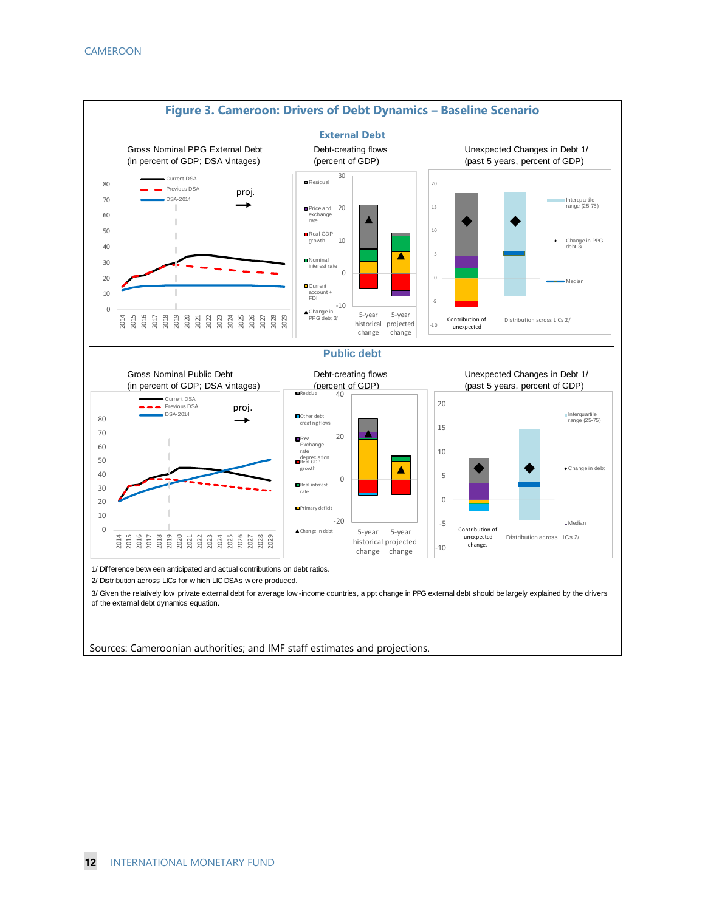

Sources: Cameroonian authorities; and IMF staff estimates and projections.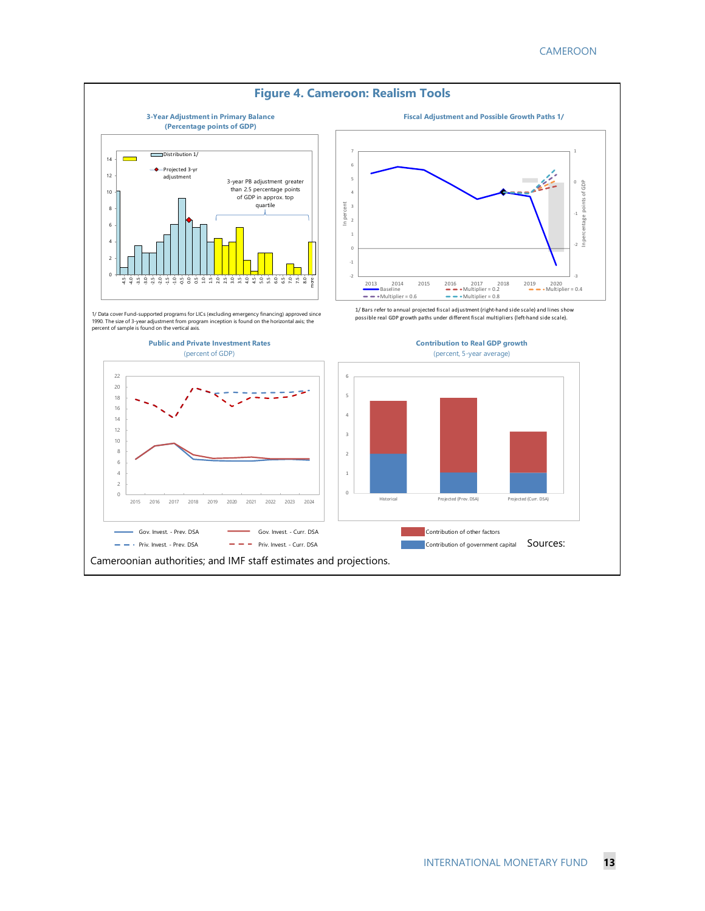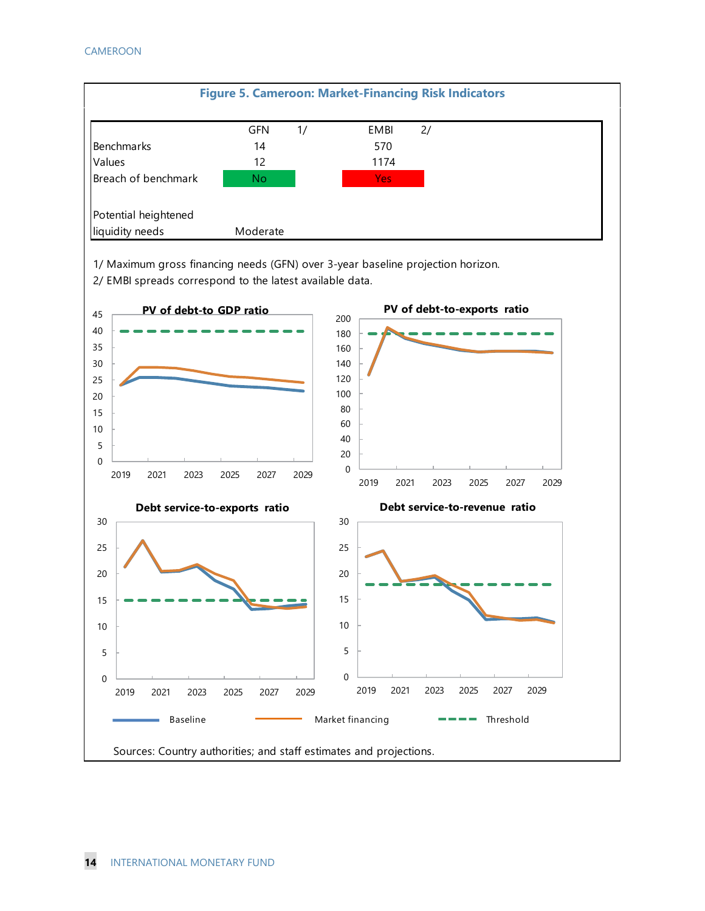

1/ Maximum gross financing needs (GFN) over 3-year baseline projection horizon.

2/ EMBI spreads correspond to the latest available data.

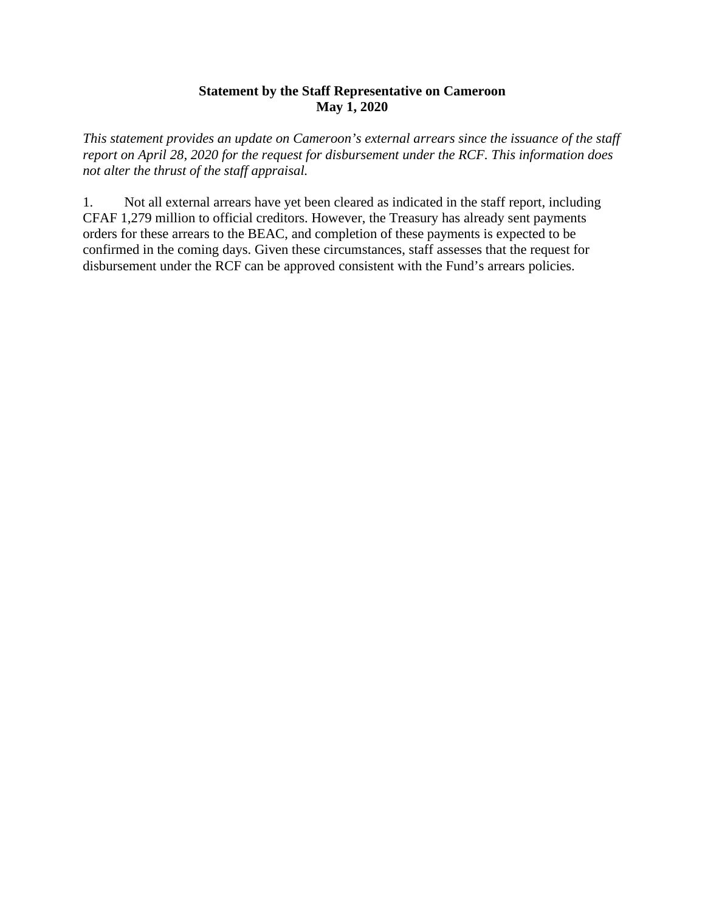#### **Statement by the Staff Representative on Cameroon May 1, 2020**

*This statement provides an update on Cameroon's external arrears since the issuance of the staff report on April 28, 2020 for the request for disbursement under the RCF. This information does not alter the thrust of the staff appraisal.*

1. Not all external arrears have yet been cleared as indicated in the staff report, including CFAF 1,279 million to official creditors. However, the Treasury has already sent payments orders for these arrears to the BEAC, and completion of these payments is expected to be confirmed in the coming days. Given these circumstances, staff assesses that the request for disbursement under the RCF can be approved consistent with the Fund's arrears policies.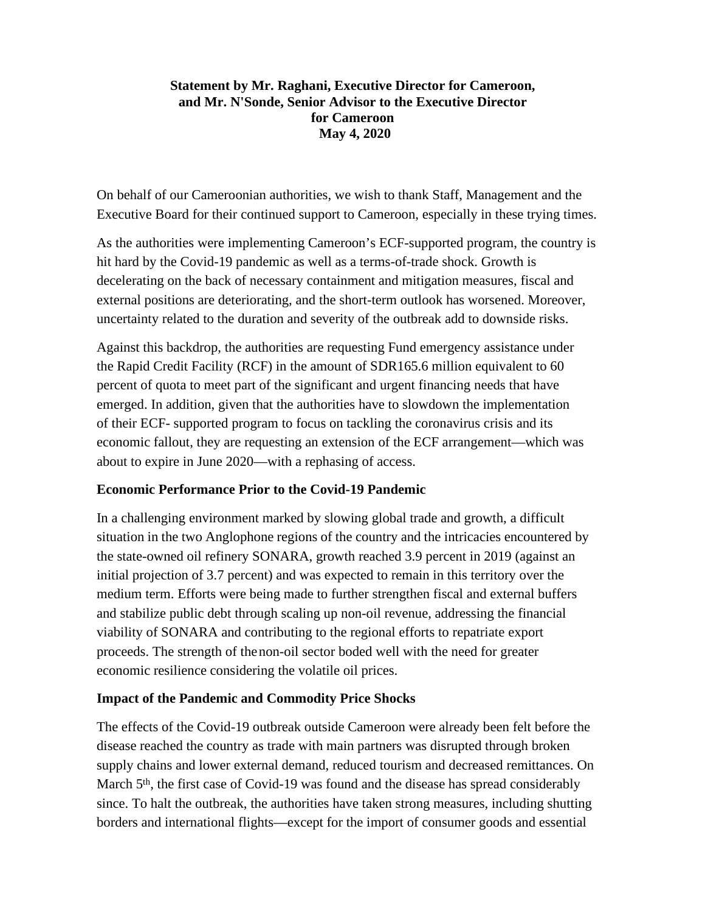#### **Statement by Mr. Raghani, Executive Director for Cameroon, and Mr. N'Sonde, Senior Advisor to the Executive Director for Cameroon May 4, 2020**

On behalf of our Cameroonian authorities, we wish to thank Staff, Management and the Executive Board for their continued support to Cameroon, especially in these trying times.

As the authorities were implementing Cameroon's ECF-supported program, the country is hit hard by the Covid-19 pandemic as well as a terms-of-trade shock. Growth is decelerating on the back of necessary containment and mitigation measures, fiscal and external positions are deteriorating, and the short-term outlook has worsened. Moreover, uncertainty related to the duration and severity of the outbreak add to downside risks.

Against this backdrop, the authorities are requesting Fund emergency assistance under the Rapid Credit Facility (RCF) in the amount of SDR165.6 million equivalent to 60 percent of quota to meet part of the significant and urgent financing needs that have emerged. In addition, given that the authorities have to slowdown the implementation of their ECF- supported program to focus on tackling the coronavirus crisis and its economic fallout, they are requesting an extension of the ECF arrangement—which was about to expire in June 2020—with a rephasing of access.

#### **Economic Performance Prior to the Covid-19 Pandemic**

In a challenging environment marked by slowing global trade and growth, a difficult situation in the two Anglophone regions of the country and the intricacies encountered by the state-owned oil refinery SONARA, growth reached 3.9 percent in 2019 (against an initial projection of 3.7 percent) and was expected to remain in this territory over the medium term. Efforts were being made to further strengthen fiscal and external buffers and stabilize public debt through scaling up non-oil revenue, addressing the financial viability of SONARA and contributing to the regional efforts to repatriate export proceeds. The strength of thenon-oil sector boded well with the need for greater economic resilience considering the volatile oil prices.

#### **Impact of the Pandemic and Commodity Price Shocks**

The effects of the Covid-19 outbreak outside Cameroon were already been felt before the disease reached the country as trade with main partners was disrupted through broken supply chains and lower external demand, reduced tourism and decreased remittances. On March 5<sup>th</sup>, the first case of Covid-19 was found and the disease has spread considerably since. To halt the outbreak, the authorities have taken strong measures, including shutting borders and international flights—except for the import of consumer goods and essential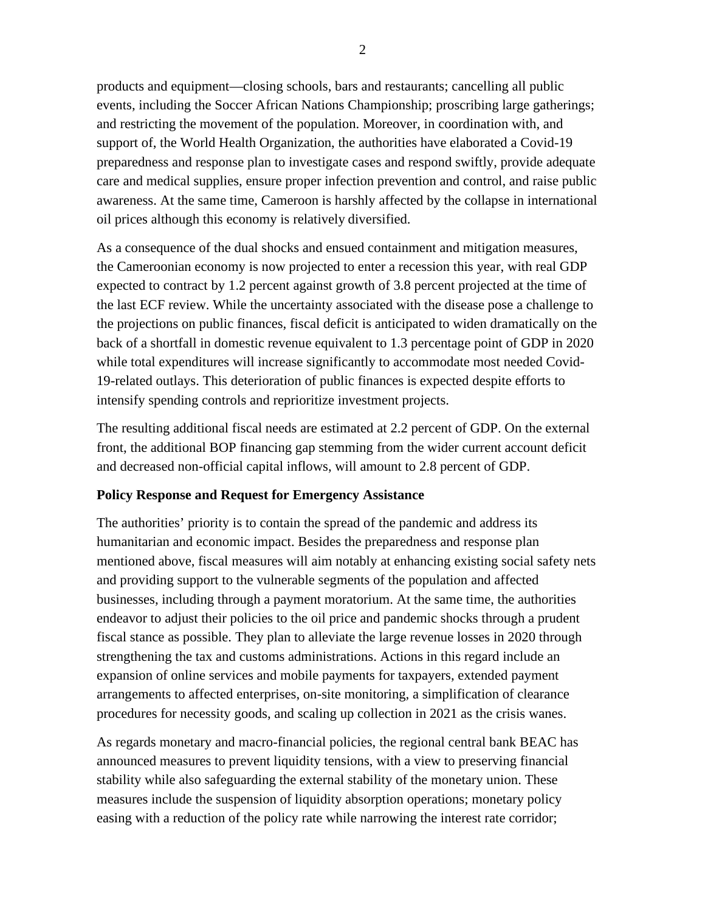products and equipment—closing schools, bars and restaurants; cancelling all public events, including the Soccer African Nations Championship; proscribing large gatherings; and restricting the movement of the population. Moreover, in coordination with, and support of, the World Health Organization, the authorities have elaborated a Covid-19 preparedness and response plan to investigate cases and respond swiftly, provide adequate care and medical supplies, ensure proper infection prevention and control, and raise public awareness. At the same time, Cameroon is harshly affected by the collapse in international oil prices although this economy is relatively diversified.

As a consequence of the dual shocks and ensued containment and mitigation measures, the Cameroonian economy is now projected to enter a recession this year, with real GDP expected to contract by 1.2 percent against growth of 3.8 percent projected at the time of the last ECF review. While the uncertainty associated with the disease pose a challenge to the projections on public finances, fiscal deficit is anticipated to widen dramatically on the back of a shortfall in domestic revenue equivalent to 1.3 percentage point of GDP in 2020 while total expenditures will increase significantly to accommodate most needed Covid-19-related outlays. This deterioration of public finances is expected despite efforts to intensify spending controls and reprioritize investment projects.

The resulting additional fiscal needs are estimated at 2.2 percent of GDP. On the external front, the additional BOP financing gap stemming from the wider current account deficit and decreased non-official capital inflows, will amount to 2.8 percent of GDP.

#### **Policy Response and Request for Emergency Assistance**

The authorities' priority is to contain the spread of the pandemic and address its humanitarian and economic impact. Besides the preparedness and response plan mentioned above, fiscal measures will aim notably at enhancing existing social safety nets and providing support to the vulnerable segments of the population and affected businesses, including through a payment moratorium. At the same time, the authorities endeavor to adjust their policies to the oil price and pandemic shocks through a prudent fiscal stance as possible. They plan to alleviate the large revenue losses in 2020 through strengthening the tax and customs administrations. Actions in this regard include an expansion of online services and mobile payments for taxpayers, extended payment arrangements to affected enterprises, on-site monitoring, a simplification of clearance procedures for necessity goods, and scaling up collection in 2021 as the crisis wanes.

As regards monetary and macro-financial policies, the regional central bank BEAC has announced measures to prevent liquidity tensions, with a view to preserving financial stability while also safeguarding the external stability of the monetary union. These measures include the suspension of liquidity absorption operations; monetary policy easing with a reduction of the policy rate while narrowing the interest rate corridor;